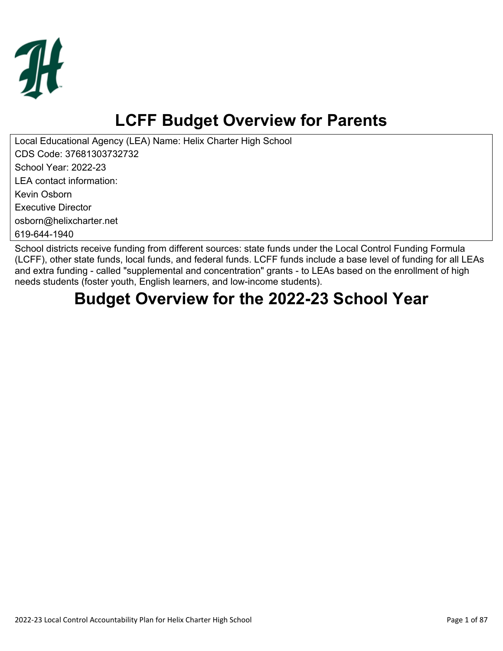

# **LCFF Budget Overview for Parents**

Local Educational Agency (LEA) Name: Helix Charter High School CDS Code: 37681303732732 School Year: 2022-23 LEA contact information: Kevin Osborn Executive Director osborn@helixcharter.net 619-644-1940

School districts receive funding from different sources: state funds under the Local Control Funding Formula (LCFF), other state funds, local funds, and federal funds. LCFF funds include a base level of funding for all LEAs and extra funding - called "supplemental and concentration" grants - to LEAs based on the enrollment of high needs students (foster youth, English learners, and low-income students).

## **Budget Overview for the 2022-23 School Year**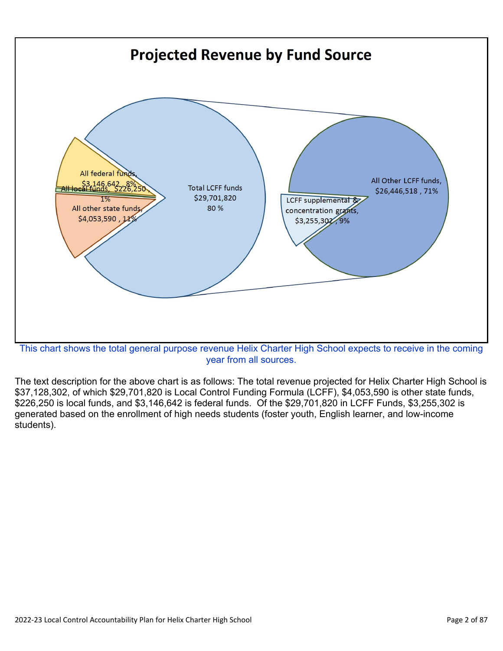

year from all sources.

The text description for the above chart is as follows: The total revenue projected for Helix Charter High School is \$37,128,302, of which \$29,701,820 is Local Control Funding Formula (LCFF), \$4,053,590 is other state funds, \$226,250 is local funds, and \$3,146,642 is federal funds. Of the \$29,701,820 in LCFF Funds, \$3,255,302 is generated based on the enrollment of high needs students (foster youth, English learner, and low-income students).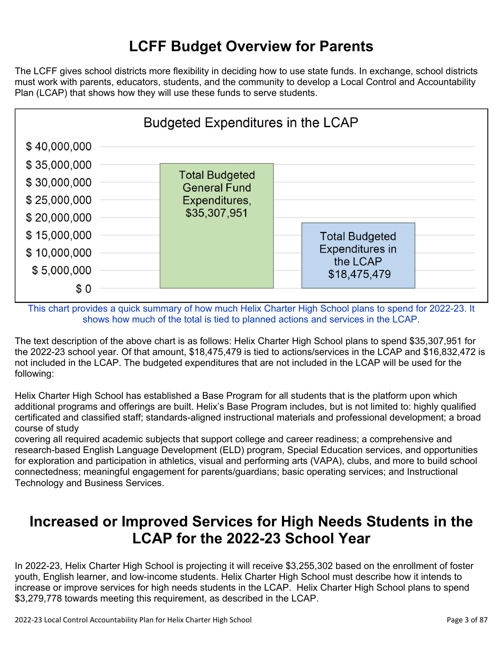## **LCFF Budget Overview for Parents**

The LCFF gives school districts more flexibility in deciding how to use state funds. In exchange, school districts must work with parents, educators, students, and the community to develop a Local Control and Accountability Plan (LCAP) that shows how they will use these funds to serve students.



This chart provides a quick summary of how much Helix Charter High School plans to spend for 2022-23. It shows how much of the total is tied to planned actions and services in the LCAP.

The text description of the above chart is as follows: Helix Charter High School plans to spend \$35,307,951 for the 2022-23 school year. Of that amount, \$18,475,479 is tied to actions/services in the LCAP and \$16,832,472 is not included in the LCAP. The budgeted expenditures that are not included in the LCAP will be used for the following:

Helix Charter High School has established a Base Program for all students that is the platform upon which additional programs and offerings are built. Helix's Base Program includes, but is not limited to: highly qualified certificated and classified staff; standards-aligned instructional materials and professional development; a broad course of study

covering all required academic subjects that support college and career readiness; a comprehensive and research-based English Language Development (ELD) program, Special Education services, and opportunities for exploration and participation in athletics, visual and performing arts (VAPA), clubs, and more to build school connectedness; meaningful engagement for parents/guardians; basic operating services; and Instructional Technology and Business Services.

## **Increased or Improved Services for High Needs Students in the LCAP for the 2022-23 School Year**

In 2022-23, Helix Charter High School is projecting it will receive \$3,255,302 based on the enrollment of foster youth, English learner, and low-income students. Helix Charter High School must describe how it intends to increase or improve services for high needs students in the LCAP. Helix Charter High School plans to spend \$3,279,778 towards meeting this requirement, as described in the LCAP.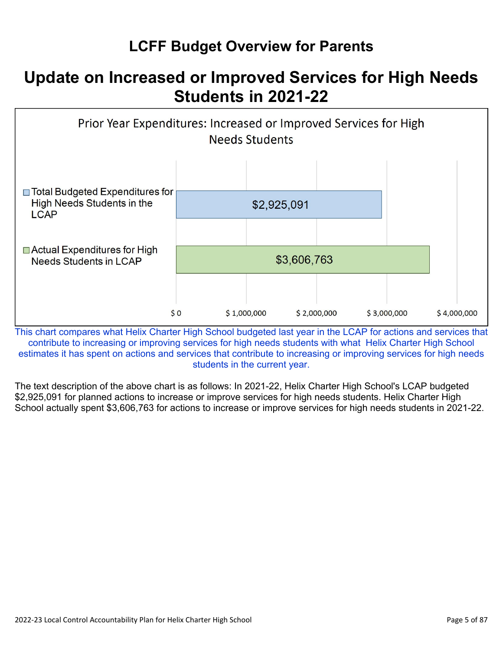## **LCFF Budget Overview for Parents**

## **Update on Increased or Improved Services for High Needs Students in 2021-22**



This chart compares what Helix Charter High School budgeted last year in the LCAP for actions and services that contribute to increasing or improving services for high needs students with what Helix Charter High School estimates it has spent on actions and services that contribute to increasing or improving services for high needs students in the current year.

The text description of the above chart is as follows: In 2021-22, Helix Charter High School's LCAP budgeted \$2,925,091 for planned actions to increase or improve services for high needs students. Helix Charter High School actually spent \$3,606,763 for actions to increase or improve services for high needs students in 2021-22.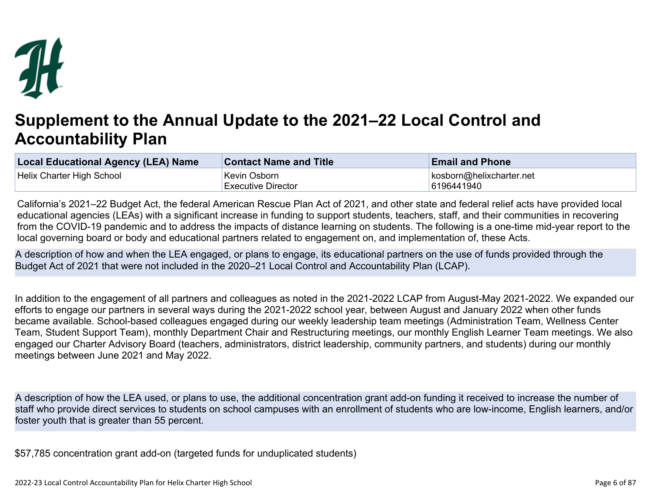

## **Supplement to the Annual Update to the 2021–22 Local Control and Accountability Plan**

| Local Educational Agency (LEA) Name | <b>Contact Name and Title</b> | <b>Email and Phone</b>   |
|-------------------------------------|-------------------------------|--------------------------|
| Helix Charter High School           | Kevin Osborn                  | kosborn@helixcharter.net |
|                                     | <b>Executive Director</b>     | 6196441940               |

California's 2021–22 Budget Act, the federal American Rescue Plan Act of 2021, and other state and federal relief acts have provided local educational agencies (LEAs) with a significant increase in funding to support students, teachers, staff, and their communities in recovering from the COVID-19 pandemic and to address the impacts of distance learning on students. The following is a one-time mid-year report to the local governing board or body and educational partners related to engagement on, and implementation of, these Acts.

A description of how and when the LEA engaged, or plans to engage, its educational partners on the use of funds provided through the Budget Act of 2021 that were not included in the 2020–21 Local Control and Accountability Plan (LCAP).

In addition to the engagement of all partners and colleagues as noted in the 2021-2022 LCAP from August-May 2021-2022. We expanded our efforts to engage our partners in several ways during the 2021-2022 school year, between August and January 2022 when other funds became available. School-based colleagues engaged during our weekly leadership team meetings (Administration Team, Wellness Center Team, Student Support Team), monthly Department Chair and Restructuring meetings, our monthly English Learner Team meetings. We also engaged our Charter Advisory Board (teachers, administrators, district leadership, community partners, and students) during our monthly meetings between June 2021 and May 2022.

A description of how the LEA used, or plans to use, the additional concentration grant add-on funding it received to increase the number of staff who provide direct services to students on school campuses with an enrollment of students who are low-income, English learners, and/or foster youth that is greater than 55 percent.

\$57,785 concentration grant add-on (targeted funds for unduplicated students)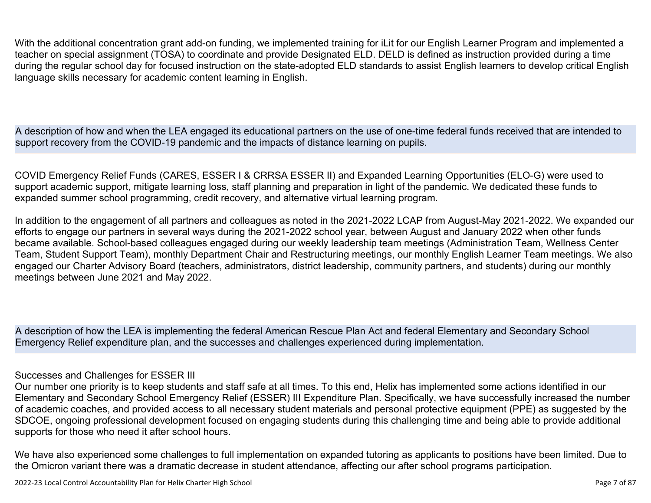With the additional concentration grant add-on funding, we implemented training for iLit for our English Learner Program and implemented a teacher on special assignment (TOSA) to coordinate and provide Designated ELD. DELD is defined as instruction provided during a time during the regular school day for focused instruction on the state-adopted ELD standards to assist English learners to develop critical English language skills necessary for academic content learning in English.

A description of how and when the LEA engaged its educational partners on the use of one-time federal funds received that are intended to support recovery from the COVID-19 pandemic and the impacts of distance learning on pupils.

COVID Emergency Relief Funds (CARES, ESSER I & CRRSA ESSER II) and Expanded Learning Opportunities (ELO-G) were used to support academic support, mitigate learning loss, staff planning and preparation in light of the pandemic. We dedicated these funds to expanded summer school programming, credit recovery, and alternative virtual learning program.

In addition to the engagement of all partners and colleagues as noted in the 2021-2022 LCAP from August-May 2021-2022. We expanded our efforts to engage our partners in several ways during the 2021-2022 school year, between August and January 2022 when other funds became available. School-based colleagues engaged during our weekly leadership team meetings (Administration Team, Wellness Center Team, Student Support Team), monthly Department Chair and Restructuring meetings, our monthly English Learner Team meetings. We also engaged our Charter Advisory Board (teachers, administrators, district leadership, community partners, and students) during our monthly meetings between June 2021 and May 2022.

A description of how the LEA is implementing the federal American Rescue Plan Act and federal Elementary and Secondary School Emergency Relief expenditure plan, and the successes and challenges experienced during implementation.

#### Successes and Challenges for ESSER III

Our number one priority is to keep students and staff safe at all times. To this end, Helix has implemented some actions identified in our Elementary and Secondary School Emergency Relief (ESSER) III Expenditure Plan. Specifically, we have successfully increased the number of academic coaches, and provided access to all necessary student materials and personal protective equipment (PPE) as suggested by the SDCOE, ongoing professional development focused on engaging students during this challenging time and being able to provide additional supports for those who need it after school hours.

We have also experienced some challenges to full implementation on expanded tutoring as applicants to positions have been limited. Due to the Omicron variant there was a dramatic decrease in student attendance, affecting our after school programs participation.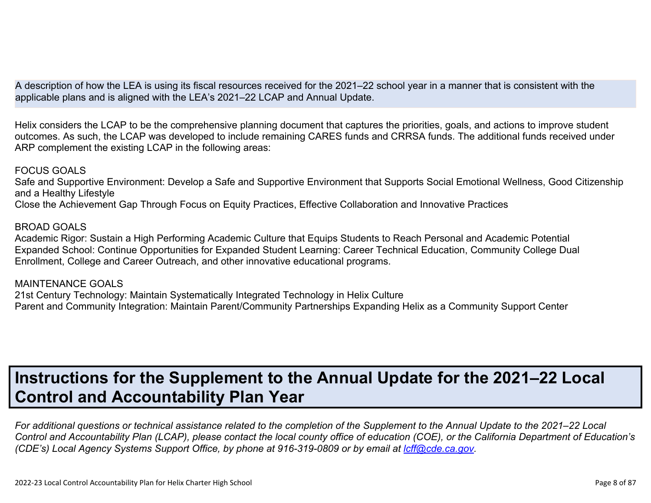A description of how the LEA is using its fiscal resources received for the 2021–22 school year in a manner that is consistent with the applicable plans and is aligned with the LEA's 2021–22 LCAP and Annual Update.

Helix considers the LCAP to be the comprehensive planning document that captures the priorities, goals, and actions to improve student outcomes. As such, the LCAP was developed to include remaining CARES funds and CRRSA funds. The additional funds received under ARP complement the existing LCAP in the following areas:

#### FOCUS GOALS

Safe and Supportive Environment: Develop a Safe and Supportive Environment that Supports Social Emotional Wellness, Good Citizenship and a Healthy Lifestyle

Close the Achievement Gap Through Focus on Equity Practices, Effective Collaboration and Innovative Practices

#### BROAD GOALS

Academic Rigor: Sustain a High Performing Academic Culture that Equips Students to Reach Personal and Academic Potential Expanded School: Continue Opportunities for Expanded Student Learning: Career Technical Education, Community College Dual Enrollment, College and Career Outreach, and other innovative educational programs.

#### MAINTENANCE GOALS

21st Century Technology: Maintain Systematically Integrated Technology in Helix Culture Parent and Community Integration: Maintain Parent/Community Partnerships Expanding Helix as a Community Support Center

## **Instructions for the Supplement to the Annual Update for the 2021–22 Local Control and Accountability Plan Year**

*For additional questions or technical assistance related to the completion of the Supplement to the Annual Update to the 2021–22 Local Control and Accountability Plan (LCAP), please contact the local county office of education (COE), or the California Department of Education's (CDE's) Local Agency Systems Support Office, by phone at 916-319-0809 or by email at <i>[lcff@cde.ca.gov](mailto:lcff@cde.ca.gov)*.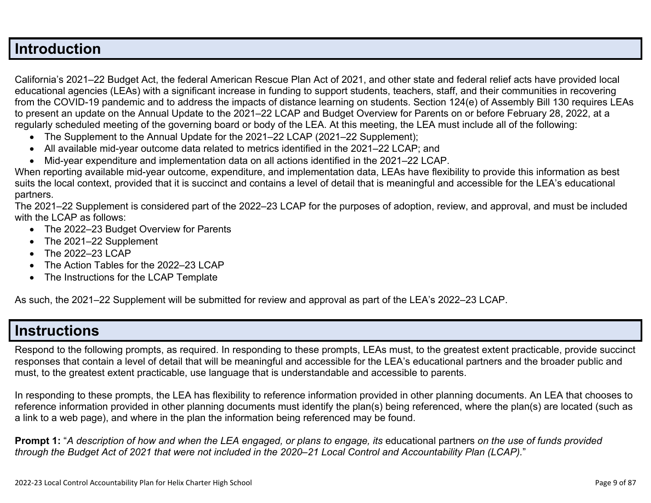#### **Introduction**

California's 2021–22 Budget Act, the federal American Rescue Plan Act of 2021, and other state and federal relief acts have provided local educational agencies (LEAs) with a significant increase in funding to support students, teachers, staff, and their communities in recovering from the COVID-19 pandemic and to address the impacts of distance learning on students. Section 124(e) of Assembly Bill 130 requires LEAs to present an update on the Annual Update to the 2021–22 LCAP and Budget Overview for Parents on or before February 28, 2022, at a regularly scheduled meeting of the governing board or body of the LEA. At this meeting, the LEA must include all of the following:

- The Supplement to the Annual Update for the 2021–22 LCAP (2021–22 Supplement);
- All available mid-year outcome data related to metrics identified in the 2021–22 LCAP; and
- Mid-year expenditure and implementation data on all actions identified in the 2021–22 LCAP.

When reporting available mid-year outcome, expenditure, and implementation data, LEAs have flexibility to provide this information as best suits the local context, provided that it is succinct and contains a level of detail that is meaningful and accessible for the LEA's educational partners.

The 2021–22 Supplement is considered part of the 2022–23 LCAP for the purposes of adoption, review, and approval, and must be included with the LCAP as follows:

- The 2022–23 Budget Overview for Parents
- The 2021-22 Supplement
- The 2022-23 LCAP
- The Action Tables for the 2022–23 LCAP
- The Instructions for the LCAP Template

As such, the 2021–22 Supplement will be submitted for review and approval as part of the LEA's 2022–23 LCAP.

### **Instructions**

Respond to the following prompts, as required. In responding to these prompts, LEAs must, to the greatest extent practicable, provide succinct responses that contain a level of detail that will be meaningful and accessible for the LEA's educational partners and the broader public and must, to the greatest extent practicable, use language that is understandable and accessible to parents.

In responding to these prompts, the LEA has flexibility to reference information provided in other planning documents. An LEA that chooses to reference information provided in other planning documents must identify the plan(s) being referenced, where the plan(s) are located (such as a link to a web page), and where in the plan the information being referenced may be found.

**Prompt 1:** "*A description of how and when the LEA engaged, or plans to engage, its* educational partners *on the use of funds provided through the Budget Act of 2021 that were not included in the 2020–21 Local Control and Accountability Plan (LCAP).*"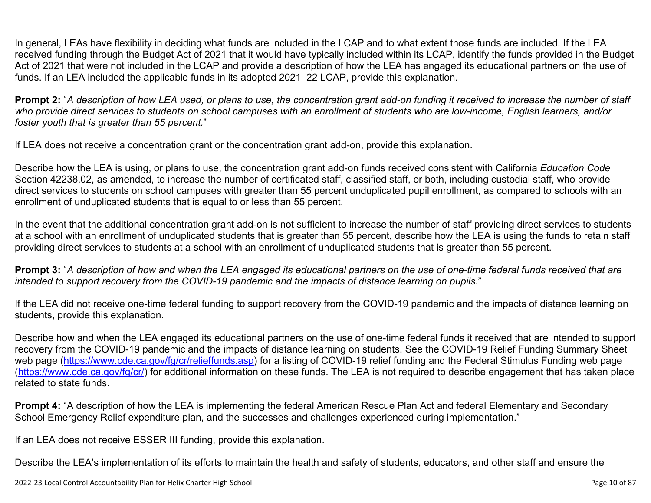In general, LEAs have flexibility in deciding what funds are included in the LCAP and to what extent those funds are included. If the LEA received funding through the Budget Act of 2021 that it would have typically included within its LCAP, identify the funds provided in the Budget Act of 2021 that were not included in the LCAP and provide a description of how the LEA has engaged its educational partners on the use of funds. If an LEA included the applicable funds in its adopted 2021–22 LCAP, provide this explanation.

**Prompt 2:** "*A description of how LEA used, or plans to use, the concentration grant add-on funding it received to increase the number of staff who provide direct services to students on school campuses with an enrollment of students who are low-income, English learners, and/or foster youth that is greater than 55 percent.*"

If LEA does not receive a concentration grant or the concentration grant add-on, provide this explanation.

Describe how the LEA is using, or plans to use, the concentration grant add-on funds received consistent with California *Education Code* Section 42238.02, as amended, to increase the number of certificated staff, classified staff, or both, including custodial staff, who provide direct services to students on school campuses with greater than 55 percent unduplicated pupil enrollment, as compared to schools with an enrollment of unduplicated students that is equal to or less than 55 percent.

In the event that the additional concentration grant add-on is not sufficient to increase the number of staff providing direct services to students at a school with an enrollment of unduplicated students that is greater than 55 percent, describe how the LEA is using the funds to retain staff providing direct services to students at a school with an enrollment of unduplicated students that is greater than 55 percent.

**Prompt 3:** "*A description of how and when the LEA engaged its educational partners on the use of one-time federal funds received that are intended to support recovery from the COVID-19 pandemic and the impacts of distance learning on pupils.*"

If the LEA did not receive one-time federal funding to support recovery from the COVID-19 pandemic and the impacts of distance learning on students, provide this explanation.

Describe how and when the LEA engaged its educational partners on the use of one-time federal funds it received that are intended to support recovery from the COVID-19 pandemic and the impacts of distance learning on students. See the COVID-19 Relief Funding Summary Sheet web page [\(https://www.cde.ca.gov/fg/cr/relieffunds.asp\)](https://www.cde.ca.gov/fg/cr/relieffunds.asp) for a listing of COVID-19 relief funding and the Federal Stimulus Funding web page (<https://www.cde.ca.gov/fg/cr/>) for additional information on these funds. The LEA is not required to describe engagement that has taken place related to state funds.

**Prompt 4:** "A description of how the LEA is implementing the federal American Rescue Plan Act and federal Elementary and Secondary School Emergency Relief expenditure plan, and the successes and challenges experienced during implementation."

If an LEA does not receive ESSER III funding, provide this explanation.

Describe the LEA's implementation of its efforts to maintain the health and safety of students, educators, and other staff and ensure the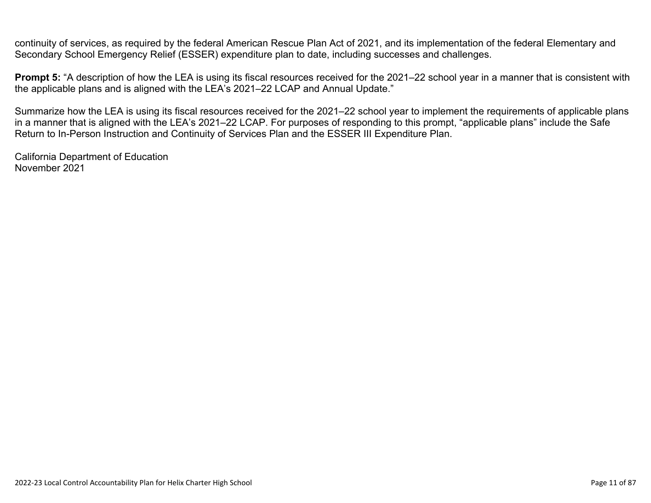continuity of services, as required by the federal American Rescue Plan Act of 2021, and its implementation of the federal Elementary and Secondary School Emergency Relief (ESSER) expenditure plan to date, including successes and challenges.

**Prompt 5:** "A description of how the LEA is using its fiscal resources received for the 2021–22 school year in a manner that is consistent with the applicable plans and is aligned with the LEA's 2021–22 LCAP and Annual Update."

Summarize how the LEA is using its fiscal resources received for the 2021–22 school year to implement the requirements of applicable plans in a manner that is aligned with the LEA's 2021–22 LCAP. For purposes of responding to this prompt, "applicable plans" include the Safe Return to In-Person Instruction and Continuity of Services Plan and the ESSER III Expenditure Plan.

California Department of Education November 2021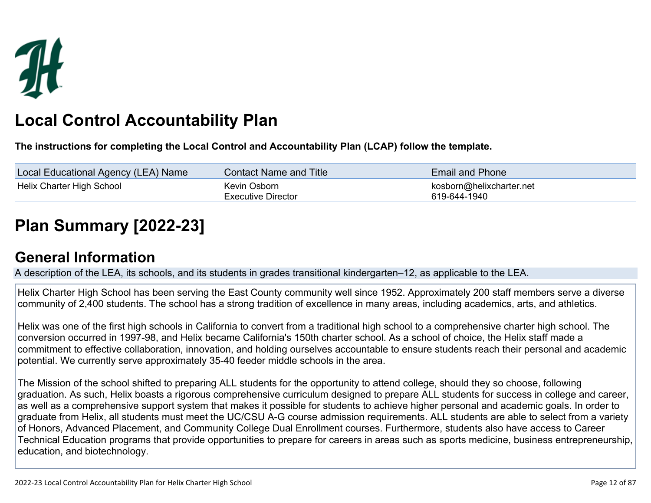

# **Local Control Accountability Plan**

**The instructions for completing the Local Control and Accountability Plan (LCAP) follow the template.**

| Local Educational Agency (LEA) Name | <b>Contact Name and Title</b>             | <b>Email and Phone</b>                   |
|-------------------------------------|-------------------------------------------|------------------------------------------|
| Helix Charter High School           | Kevin Osborn<br><b>Executive Director</b> | kosborn@helixcharter.net<br>619-644-1940 |

# **[Plan Summary \[2022-23\]](http://www.doc-tracking.com/screenshots/22LCAP/Instructions/22LCAPInstructions.htm#PlanSummary)**

## **[General Information](http://www.doc-tracking.com/screenshots/22LCAP/Instructions/22LCAPInstructions.htm#generalinformation)**

A description of the LEA, its schools, and its students in grades transitional kindergarten–12, as applicable to the LEA.

Helix Charter High School has been serving the East County community well since 1952. Approximately 200 staff members serve a diverse community of 2,400 students. The school has a strong tradition of excellence in many areas, including academics, arts, and athletics.

Helix was one of the first high schools in California to convert from a traditional high school to a comprehensive charter high school. The conversion occurred in 1997-98, and Helix became California's 150th charter school. As a school of choice, the Helix staff made a commitment to effective collaboration, innovation, and holding ourselves accountable to ensure students reach their personal and academic potential. We currently serve approximately 35-40 feeder middle schools in the area.

The Mission of the school shifted to preparing ALL students for the opportunity to attend college, should they so choose, following graduation. As such, Helix boasts a rigorous comprehensive curriculum designed to prepare ALL students for success in college and career, as well as a comprehensive support system that makes it possible for students to achieve higher personal and academic goals. In order to graduate from Helix, all students must meet the UC/CSU A-G course admission requirements. ALL students are able to select from a variety of Honors, Advanced Placement, and Community College Dual Enrollment courses. Furthermore, students also have access to Career Technical Education programs that provide opportunities to prepare for careers in areas such as sports medicine, business entrepreneurship, education, and biotechnology.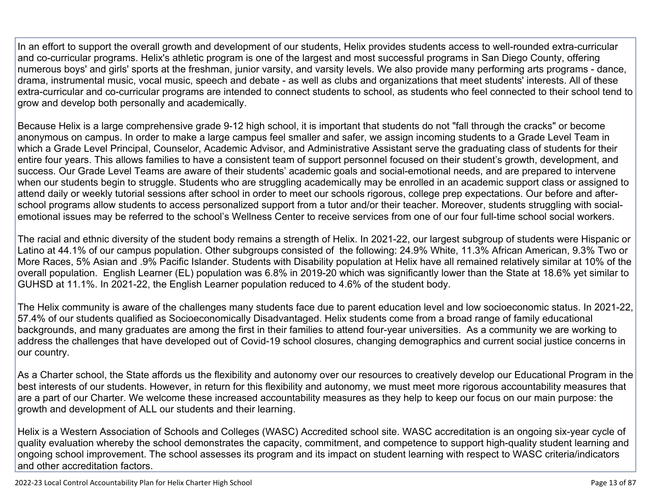In an effort to support the overall growth and development of our students, Helix provides students access to well-rounded extra-curricular and co-curricular programs. Helix's athletic program is one of the largest and most successful programs in San Diego County, offering numerous boys' and girls' sports at the freshman, junior varsity, and varsity levels. We also provide many performing arts programs - dance, drama, instrumental music, vocal music, speech and debate - as well as clubs and organizations that meet students' interests. All of these extra-curricular and co-curricular programs are intended to connect students to school, as students who feel connected to their school tend to grow and develop both personally and academically.

Because Helix is a large comprehensive grade 9-12 high school, it is important that students do not "fall through the cracks" or become anonymous on campus. In order to make a large campus feel smaller and safer, we assign incoming students to a Grade Level Team in which a Grade Level Principal, Counselor, Academic Advisor, and Administrative Assistant serve the graduating class of students for their entire four years. This allows families to have a consistent team of support personnel focused on their student's growth, development, and success. Our Grade Level Teams are aware of their students' academic goals and social-emotional needs, and are prepared to intervene when our students begin to struggle. Students who are struggling academically may be enrolled in an academic support class or assigned to attend daily or weekly tutorial sessions after school in order to meet our schools rigorous, college prep expectations. Our before and afterschool programs allow students to access personalized support from a tutor and/or their teacher. Moreover, students struggling with socialemotional issues may be referred to the school's Wellness Center to receive services from one of our four full-time school social workers.

The racial and ethnic diversity of the student body remains a strength of Helix. In 2021-22, our largest subgroup of students were Hispanic or Latino at 44.1% of our campus population. Other subgroups consisted of the following: 24.9% White, 11.3% African American, 9.3% Two or More Races, 5% Asian and .9% Pacific Islander. Students with Disability population at Helix have all remained relatively similar at 10% of the overall population. English Learner (EL) population was 6.8% in 2019-20 which was significantly lower than the State at 18.6% yet similar to GUHSD at 11.1%. In 2021-22, the English Learner population reduced to 4.6% of the student body.

The Helix community is aware of the challenges many students face due to parent education level and low socioeconomic status. In 2021-22, 57.4% of our students qualified as Socioeconomically Disadvantaged. Helix students come from a broad range of family educational backgrounds, and many graduates are among the first in their families to attend four-year universities. As a community we are working to address the challenges that have developed out of Covid-19 school closures, changing demographics and current social justice concerns in our country.

As a Charter school, the State affords us the flexibility and autonomy over our resources to creatively develop our Educational Program in the best interests of our students. However, in return for this flexibility and autonomy, we must meet more rigorous accountability measures that are a part of our Charter. We welcome these increased accountability measures as they help to keep our focus on our main purpose: the growth and development of ALL our students and their learning.

Helix is a Western Association of Schools and Colleges (WASC) Accredited school site. WASC accreditation is an ongoing six-year cycle of quality evaluation whereby the school demonstrates the capacity, commitment, and competence to support high-quality student learning and ongoing school improvement. The school assesses its program and its impact on student learning with respect to WASC criteria/indicators and other accreditation factors.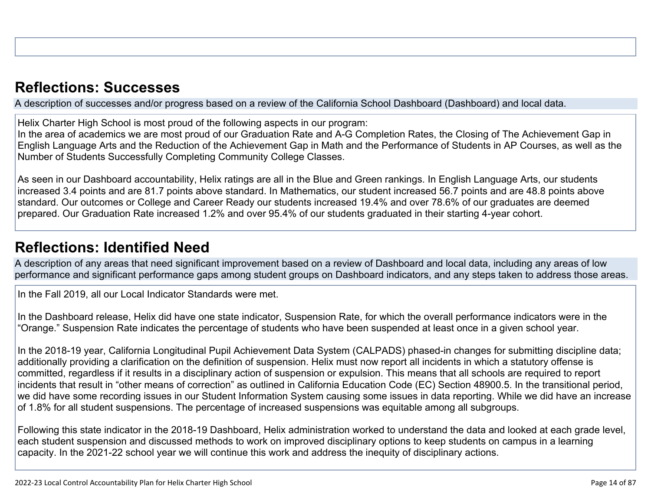## **[Reflections: Successes](http://www.doc-tracking.com/screenshots/22LCAP/Instructions/22LCAPInstructions.htm#ReflectionsSuccesses)**

A description of successes and/or progress based on a review of the California School Dashboard (Dashboard) and local data.

Helix Charter High School is most proud of the following aspects in our program:

In the area of academics we are most proud of our Graduation Rate and A-G Completion Rates, the Closing of The Achievement Gap in English Language Arts and the Reduction of the Achievement Gap in Math and the Performance of Students in AP Courses, as well as the Number of Students Successfully Completing Community College Classes.

As seen in our Dashboard accountability, Helix ratings are all in the Blue and Green rankings. In English Language Arts, our students increased 3.4 points and are 81.7 points above standard. In Mathematics, our student increased 56.7 points and are 48.8 points above standard. Our outcomes or College and Career Ready our students increased 19.4% and over 78.6% of our graduates are deemed prepared. Our Graduation Rate increased 1.2% and over 95.4% of our students graduated in their starting 4-year cohort.

## **[Reflections: Identified Need](http://www.doc-tracking.com/screenshots/22LCAP/Instructions/22LCAPInstructions.htm#ReflectionsIdentifiedNeed)**

A description of any areas that need significant improvement based on a review of Dashboard and local data, including any areas of low performance and significant performance gaps among student groups on Dashboard indicators, and any steps taken to address those areas.

In the Fall 2019, all our Local Indicator Standards were met.

In the Dashboard release, Helix did have one state indicator, Suspension Rate, for which the overall performance indicators were in the "Orange." Suspension Rate indicates the percentage of students who have been suspended at least once in a given school year.

In the 2018-19 year, California Longitudinal Pupil Achievement Data System (CALPADS) phased-in changes for submitting discipline data; additionally providing a clarification on the definition of suspension. Helix must now report all incidents in which a statutory offense is committed, regardless if it results in a disciplinary action of suspension or expulsion. This means that all schools are required to report incidents that result in "other means of correction" as outlined in California Education Code (EC) Section 48900.5. In the transitional period, we did have some recording issues in our Student Information System causing some issues in data reporting. While we did have an increase of 1.8% for all student suspensions. The percentage of increased suspensions was equitable among all subgroups.

Following this state indicator in the 2018-19 Dashboard, Helix administration worked to understand the data and looked at each grade level, each student suspension and discussed methods to work on improved disciplinary options to keep students on campus in a learning capacity. In the 2021-22 school year we will continue this work and address the inequity of disciplinary actions.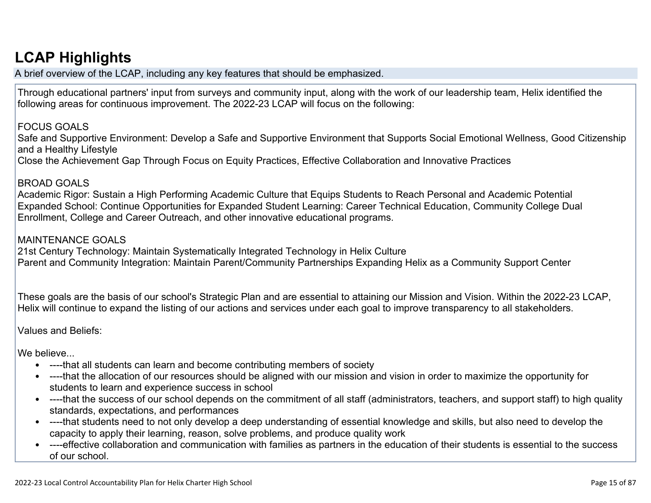## **[LCAP Highlights](http://www.doc-tracking.com/screenshots/22LCAP/Instructions/22LCAPInstructions.htm#LCAPHighlights)**

A brief overview of the LCAP, including any key features that should be emphasized.

Through educational partners' input from surveys and community input, along with the work of our leadership team, Helix identified the following areas for continuous improvement. The 2022-23 LCAP will focus on the following:

#### FOCUS GOALS

Safe and Supportive Environment: Develop a Safe and Supportive Environment that Supports Social Emotional Wellness, Good Citizenship and a Healthy Lifestyle

Close the Achievement Gap Through Focus on Equity Practices, Effective Collaboration and Innovative Practices

#### BROAD GOALS

Academic Rigor: Sustain a High Performing Academic Culture that Equips Students to Reach Personal and Academic Potential Expanded School: Continue Opportunities for Expanded Student Learning: Career Technical Education, Community College Dual Enrollment, College and Career Outreach, and other innovative educational programs.

#### MAINTENANCE GOALS

21st Century Technology: Maintain Systematically Integrated Technology in Helix Culture Parent and Community Integration: Maintain Parent/Community Partnerships Expanding Helix as a Community Support Center

These goals are the basis of our school's Strategic Plan and are essential to attaining our Mission and Vision. Within the 2022-23 LCAP, Helix will continue to expand the listing of our actions and services under each goal to improve transparency to all stakeholders.

Values and Beliefs:

We believe.

- ----that all students can learn and become contributing members of society
- ----that the allocation of our resources should be aligned with our mission and vision in order to maximize the opportunity for students to learn and experience success in school
- ----that the success of our school depends on the commitment of all staff (administrators, teachers, and support staff) to high quality standards, expectations, and performances
- ----that students need to not only develop a deep understanding of essential knowledge and skills, but also need to develop the capacity to apply their learning, reason, solve problems, and produce quality work
- ----effective collaboration and communication with families as partners in the education of their students is essential to the success of our school.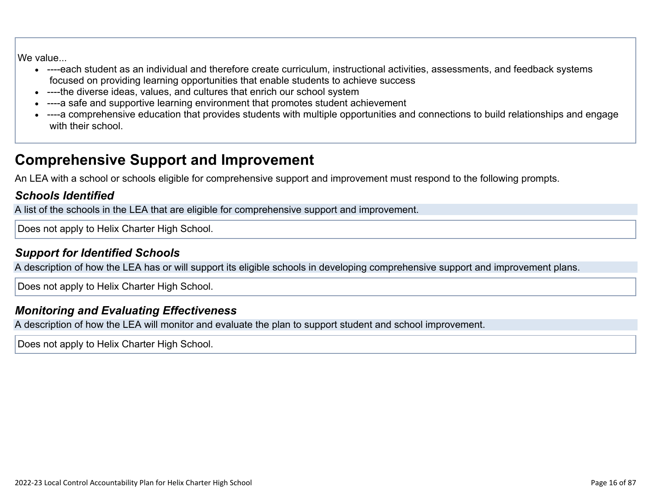We value...

- ----each student as an individual and therefore create curriculum, instructional activities, assessments, and feedback systems focused on providing learning opportunities that enable students to achieve success
- ----the diverse ideas, values, and cultures that enrich our school system
- ----a safe and supportive learning environment that promotes student achievement
- ----a comprehensive education that provides students with multiple opportunities and connections to build relationships and engage with their school.

## **Comprehensive Support and Improvement**

An LEA with a school or schools eligible for comprehensive support and improvement must respond to the following prompts.

#### *[Schools Identified](http://www.doc-tracking.com/screenshots/22LCAP/Instructions/22LCAPInstructions.htm#SchoolsIdentified)*

A list of the schools in the LEA that are eligible for comprehensive support and improvement.

Does not apply to Helix Charter High School.

#### *[Support for Identified Schools](http://www.doc-tracking.com/screenshots/22LCAP/Instructions/22LCAPInstructions.htm#SupportforIdentifiedSchools)*

A description of how the LEA has or will support its eligible schools in developing comprehensive support and improvement plans.

Does not apply to Helix Charter High School.

#### *[Monitoring and Evaluating Effectiveness](http://www.doc-tracking.com/screenshots/22LCAP/Instructions/22LCAPInstructions.htm#MonitoringandEvaluatingEffectiveness)*

A description of how the LEA will monitor and evaluate the plan to support student and school improvement.

Does not apply to Helix Charter High School.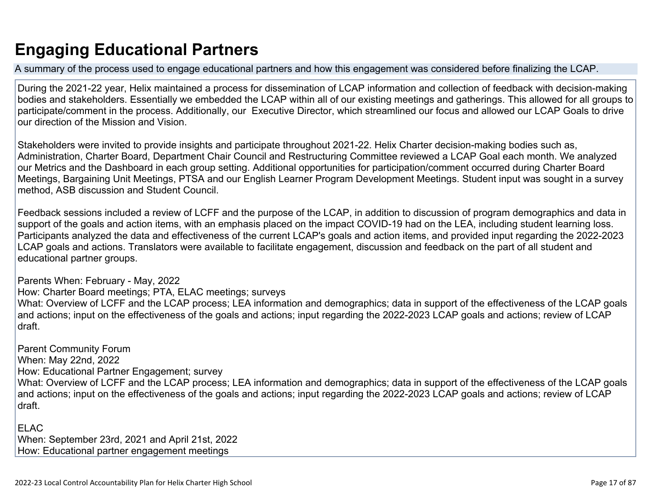## **Engaging Educational Partners**

A summary of the process used to engage educational partners and how this engagement was considered before finalizing the LCAP.

During the 2021-22 year, Helix maintained a process for dissemination of LCAP information and collection of feedback with decision-making bodies and stakeholders. Essentially we embedded the LCAP within all of our existing meetings and gatherings. This allowed for all groups to participate/comment in the process. Additionally, our Executive Director, which streamlined our focus and allowed our LCAP Goals to drive our direction of the Mission and Vision.

Stakeholders were invited to provide insights and participate throughout 2021-22. Helix Charter decision-making bodies such as, Administration, Charter Board, Department Chair Council and Restructuring Committee reviewed a LCAP Goal each month. We analyzed our Metrics and the Dashboard in each group setting. Additional opportunities for participation/comment occurred during Charter Board Meetings, Bargaining Unit Meetings, PTSA and our English Learner Program Development Meetings. Student input was sought in a survey method, ASB discussion and Student Council.

Feedback sessions included a review of LCFF and the purpose of the LCAP, in addition to discussion of program demographics and data in support of the goals and action items, with an emphasis placed on the impact COVID-19 had on the LEA, including student learning loss. Participants analyzed the data and effectiveness of the current LCAP's goals and action items, and provided input regarding the 2022-2023 LCAP goals and actions. Translators were available to facilitate engagement, discussion and feedback on the part of all student and educational partner groups.

Parents When: February - May, 2022 How: Charter Board meetings; PTA, ELAC meetings; surveys What: Overview of LCFF and the LCAP process; LEA information and demographics; data in support of the effectiveness of the LCAP goals and actions; input on the effectiveness of the goals and actions; input regarding the 2022-2023 LCAP goals and actions; review of LCAP draft.

Parent Community Forum When: May 22nd, 2022 How: Educational Partner Engagement; survey What: Overview of LCFF and the LCAP process; LEA information and demographics; data in support of the effectiveness of the LCAP goals and actions; input on the effectiveness of the goals and actions; input regarding the 2022-2023 LCAP goals and actions; review of LCAP draft.

ELAC When: September 23rd, 2021 and April 21st, 2022 How: Educational partner engagement meetings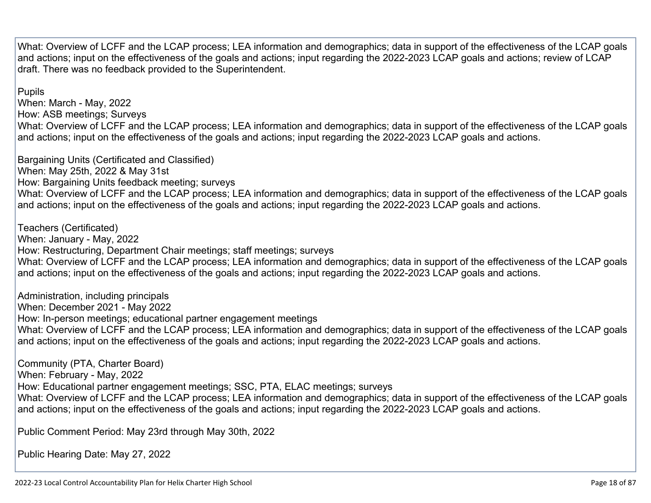What: Overview of LCFF and the LCAP process; LEA information and demographics; data in support of the effectiveness of the LCAP goals and actions; input on the effectiveness of the goals and actions; input regarding the 2022-2023 LCAP goals and actions; review of LCAP draft. There was no feedback provided to the Superintendent.

#### Pupils

When: March - May, 2022 How: ASB meetings; Surveys What: Overview of LCFF and the LCAP process; LEA information and demographics; data in support of the effectiveness of the LCAP goals and actions; input on the effectiveness of the goals and actions; input regarding the 2022-2023 LCAP goals and actions.

Bargaining Units (Certificated and Classified) When: May 25th, 2022 & May 31st How: Bargaining Units feedback meeting; surveys What: Overview of LCFF and the LCAP process; LEA information and demographics; data in support of the effectiveness of the LCAP goals and actions; input on the effectiveness of the goals and actions; input regarding the 2022-2023 LCAP goals and actions.

Teachers (Certificated) When: January - May, 2022 How: Restructuring, Department Chair meetings; staff meetings; surveys What: Overview of LCFF and the LCAP process; LEA information and demographics; data in support of the effectiveness of the LCAP goals and actions; input on the effectiveness of the goals and actions; input regarding the 2022-2023 LCAP goals and actions.

Administration, including principals When: December 2021 - May 2022 How: In-person meetings; educational partner engagement meetings What: Overview of LCFF and the LCAP process; LEA information and demographics; data in support of the effectiveness of the LCAP goals and actions; input on the effectiveness of the goals and actions; input regarding the 2022-2023 LCAP goals and actions.

Community (PTA, Charter Board)

When: February - May, 2022

How: Educational partner engagement meetings; SSC, PTA, ELAC meetings; surveys

What: Overview of LCFF and the LCAP process; LEA information and demographics; data in support of the effectiveness of the LCAP goals and actions; input on the effectiveness of the goals and actions; input regarding the 2022-2023 LCAP goals and actions.

Public Comment Period: May 23rd through May 30th, 2022

Public Hearing Date: May 27, 2022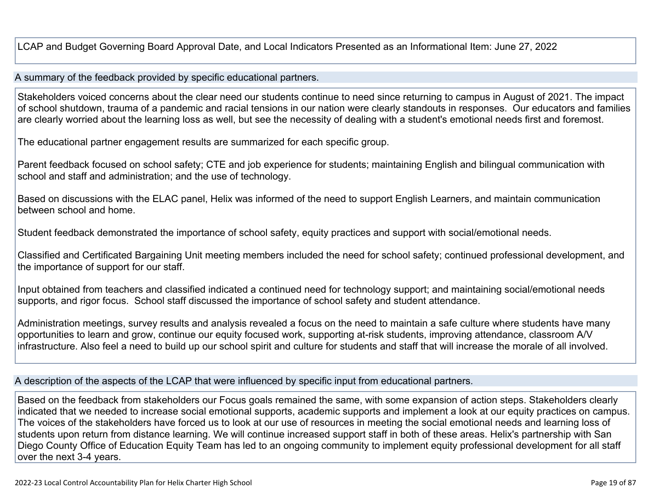LCAP and Budget Governing Board Approval Date, and Local Indicators Presented as an Informational Item: June 27, 2022

#### A summary of the feedback provided by specific educational partners.

Stakeholders voiced concerns about the clear need our students continue to need since returning to campus in August of 2021. The impact of school shutdown, trauma of a pandemic and racial tensions in our nation were clearly standouts in responses. Our educators and families are clearly worried about the learning loss as well, but see the necessity of dealing with a student's emotional needs first and foremost.

The educational partner engagement results are summarized for each specific group.

Parent feedback focused on school safety; CTE and job experience for students; maintaining English and bilingual communication with school and staff and administration; and the use of technology.

Based on discussions with the ELAC panel, Helix was informed of the need to support English Learners, and maintain communication between school and home.

Student feedback demonstrated the importance of school safety, equity practices and support with social/emotional needs.

Classified and Certificated Bargaining Unit meeting members included the need for school safety; continued professional development, and the importance of support for our staff.

Input obtained from teachers and classified indicated a continued need for technology support; and maintaining social/emotional needs supports, and rigor focus. School staff discussed the importance of school safety and student attendance.

Administration meetings, survey results and analysis revealed a focus on the need to maintain a safe culture where students have many opportunities to learn and grow, continue our equity focused work, supporting at-risk students, improving attendance, classroom A/V infrastructure. Also feel a need to build up our school spirit and culture for students and staff that will increase the morale of all involved.

A description of the aspects of the LCAP that were influenced by specific input from educational partners.

Based on the feedback from stakeholders our Focus goals remained the same, with some expansion of action steps. Stakeholders clearly indicated that we needed to increase social emotional supports, academic supports and implement a look at our equity practices on campus. The voices of the stakeholders have forced us to look at our use of resources in meeting the social emotional needs and learning loss of students upon return from distance learning. We will continue increased support staff in both of these areas. Helix's partnership with San Diego County Office of Education Equity Team has led to an ongoing community to implement equity professional development for all staff over the next 3-4 years.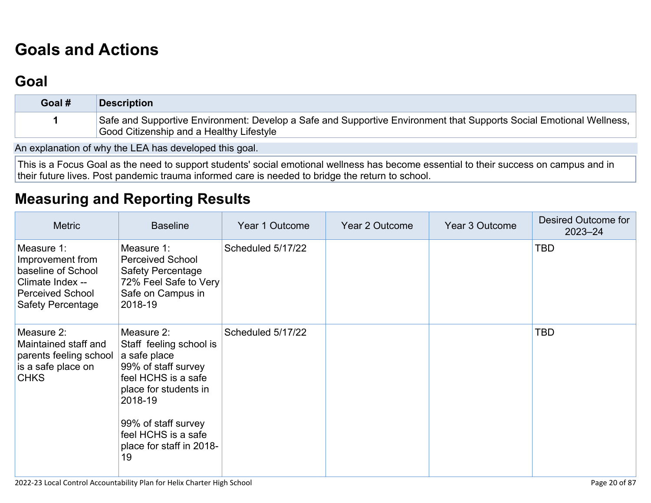# **[Goals and Actions](http://www.doc-tracking.com/screenshots/22LCAP/Instructions/22LCAPInstructions.htm#GoalsandActions)**

## **[Goal](http://www.doc-tracking.com/screenshots/22LCAP/Instructions/22LCAPInstructions.htm#goalDescription)**

| Goal # | <b>Description</b>                                                                                                  |
|--------|---------------------------------------------------------------------------------------------------------------------|
|        | Safe and Supportive Environment: Develop a Safe and Supportive Environment that Supports Social Emotional Wellness, |
|        | Good Citizenship and a Healthy Lifestyle                                                                            |

An explanation of why the LEA has developed this goal.

This is a Focus Goal as the need to support students' social emotional wellness has become essential to their success on campus and in their future lives. Post pandemic trauma informed care is needed to bridge the return to school.

### **[Measuring and Reporting Results](http://www.doc-tracking.com/screenshots/22LCAP/Instructions/22LCAPInstructions.htm#MeasuringandReportingResults)**

| <b>Metric</b>                                                                                                                   | <b>Baseline</b>                                                                                                                                                                                                         | Year 1 Outcome    | Year 2 Outcome | Year 3 Outcome | Desired Outcome for<br>$2023 - 24$ |
|---------------------------------------------------------------------------------------------------------------------------------|-------------------------------------------------------------------------------------------------------------------------------------------------------------------------------------------------------------------------|-------------------|----------------|----------------|------------------------------------|
| Measure 1:<br>Improvement from<br>baseline of School<br>Climate Index --<br><b>Perceived School</b><br><b>Safety Percentage</b> | Measure 1:<br><b>Perceived School</b><br><b>Safety Percentage</b><br>72% Feel Safe to Very<br>Safe on Campus in<br>2018-19                                                                                              | Scheduled 5/17/22 |                |                | <b>TBD</b>                         |
| Measure 2:<br>Maintained staff and<br>parents feeling school<br>is a safe place on<br><b>CHKS</b>                               | Measure 2:<br>Staff feeling school is<br>a safe place<br>99% of staff survey<br>feel HCHS is a safe<br>place for students in<br>2018-19<br>99% of staff survey<br>feel HCHS is a safe<br>place for staff in 2018-<br>19 | Scheduled 5/17/22 |                |                | <b>TBD</b>                         |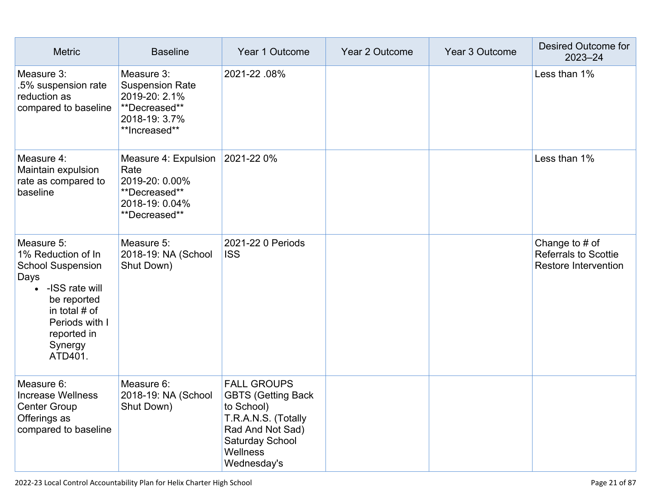| <b>Metric</b>                                                                                                                                                                   | <b>Baseline</b>                                                                                          | Year 1 Outcome                                                                                                                                                | Year 2 Outcome | Year 3 Outcome | Desired Outcome for<br>$2023 - 24$                                      |
|---------------------------------------------------------------------------------------------------------------------------------------------------------------------------------|----------------------------------------------------------------------------------------------------------|---------------------------------------------------------------------------------------------------------------------------------------------------------------|----------------|----------------|-------------------------------------------------------------------------|
| Measure 3:<br>.5% suspension rate<br>reduction as<br>compared to baseline                                                                                                       | Measure 3:<br><b>Suspension Rate</b><br>2019-20: 2.1%<br>**Decreased**<br>2018-19: 3.7%<br>**Increased** | 2021-22.08%                                                                                                                                                   |                |                | Less than 1%                                                            |
| Measure 4:<br>Maintain expulsion<br>rate as compared to<br>baseline                                                                                                             | Measure 4: Expulsion<br>Rate<br>2019-20: 0.00%<br>**Decreased**<br>2018-19: 0.04%<br>**Decreased**       | 2021-22 0%                                                                                                                                                    |                |                | Less than 1%                                                            |
| Measure 5:<br>1% Reduction of In<br><b>School Suspension</b><br>Days<br>-ISS rate will<br>be reported<br>in total $#$ of<br>Periods with I<br>reported in<br>Synergy<br>ATD401. | Measure 5:<br>2018-19: NA (School<br>Shut Down)                                                          | 2021-22 0 Periods<br><b>ISS</b>                                                                                                                               |                |                | Change to $#$ of<br><b>Referrals to Scottie</b><br>Restore Intervention |
| Measure 6:<br><b>Increase Wellness</b><br><b>Center Group</b><br>Offerings as<br>compared to baseline                                                                           | Measure 6:<br>2018-19: NA (School<br>Shut Down)                                                          | <b>FALL GROUPS</b><br><b>GBTS (Getting Back</b><br>to School)<br>T.R.A.N.S. (Totally<br>Rad And Not Sad)<br><b>Saturday School</b><br>Wellness<br>Wednesday's |                |                |                                                                         |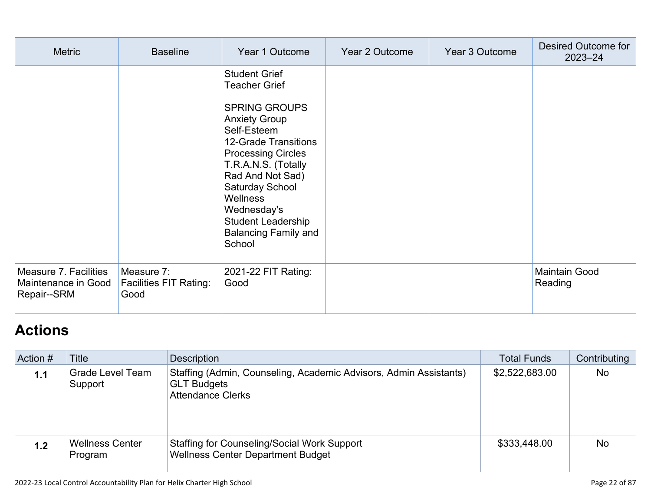| <b>Metric</b>                                               | <b>Baseline</b>                                     | Year 1 Outcome                                                                                                                                                                                                                                                                                                                         | Year 2 Outcome | Year 3 Outcome | Desired Outcome for<br>$2023 - 24$ |
|-------------------------------------------------------------|-----------------------------------------------------|----------------------------------------------------------------------------------------------------------------------------------------------------------------------------------------------------------------------------------------------------------------------------------------------------------------------------------------|----------------|----------------|------------------------------------|
|                                                             |                                                     | <b>Student Grief</b><br><b>Teacher Grief</b><br><b>SPRING GROUPS</b><br><b>Anxiety Group</b><br>Self-Esteem<br>12-Grade Transitions<br><b>Processing Circles</b><br>T.R.A.N.S. (Totally<br>Rad And Not Sad)<br>Saturday School<br><b>Wellness</b><br>Wednesday's<br><b>Student Leadership</b><br><b>Balancing Family and</b><br>School |                |                |                                    |
| Measure 7. Facilities<br>Maintenance in Good<br>Repair--SRM | Measure 7:<br><b>Facilities FIT Rating:</b><br>Good | 2021-22 FIT Rating:<br>Good                                                                                                                                                                                                                                                                                                            |                |                | <b>Maintain Good</b><br>Reading    |

# **[Actions](http://www.doc-tracking.com/screenshots/22LCAP/Instructions/22LCAPInstructions.htm#actions)**

| Action # | Title                              | Description                                                                                                         | <b>Total Funds</b> | Contributing |
|----------|------------------------------------|---------------------------------------------------------------------------------------------------------------------|--------------------|--------------|
| 1.1      | <b>Grade Level Team</b><br>Support | Staffing (Admin, Counseling, Academic Advisors, Admin Assistants)<br><b>GLT Budgets</b><br><b>Attendance Clerks</b> | \$2,522,683.00     | <b>No</b>    |
| 1.2      | <b>Wellness Center</b><br>Program  | <b>Staffing for Counseling/Social Work Support</b><br><b>Wellness Center Department Budget</b>                      | \$333,448.00       | <b>No</b>    |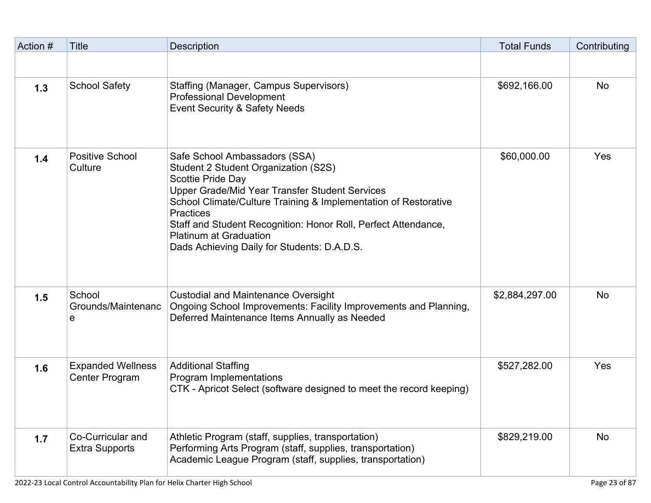| Action # | <b>Title</b>                               | <b>Description</b>                                                                                                                                                                                                                                                                                                                                                                           | <b>Total Funds</b> | Contributing |
|----------|--------------------------------------------|----------------------------------------------------------------------------------------------------------------------------------------------------------------------------------------------------------------------------------------------------------------------------------------------------------------------------------------------------------------------------------------------|--------------------|--------------|
|          |                                            |                                                                                                                                                                                                                                                                                                                                                                                              |                    |              |
| 1.3      | <b>School Safety</b>                       | Staffing (Manager, Campus Supervisors)<br><b>Professional Development</b><br>Event Security & Safety Needs                                                                                                                                                                                                                                                                                   | \$692,166.00       | <b>No</b>    |
| 1.4      | <b>Positive School</b><br>Culture          | Safe School Ambassadors (SSA)<br>Student 2 Student Organization (S2S)<br>Scottie Pride Day<br><b>Upper Grade/Mid Year Transfer Student Services</b><br>School Climate/Culture Training & Implementation of Restorative<br><b>Practices</b><br>Staff and Student Recognition: Honor Roll, Perfect Attendance,<br><b>Platinum at Graduation</b><br>Dads Achieving Daily for Students: D.A.D.S. | \$60,000.00        | Yes          |
| 1.5      | School<br>Grounds/Maintenanc<br>e          | <b>Custodial and Maintenance Oversight</b><br>Ongoing School Improvements: Facility Improvements and Planning,<br>Deferred Maintenance Items Annually as Needed                                                                                                                                                                                                                              | \$2,884,297.00     | <b>No</b>    |
| 1.6      | <b>Expanded Wellness</b><br>Center Program | <b>Additional Staffing</b><br>Program Implementations<br>CTK - Apricot Select (software designed to meet the record keeping)                                                                                                                                                                                                                                                                 | \$527,282.00       | Yes          |
| 1.7      | Co-Curricular and<br><b>Extra Supports</b> | Athletic Program (staff, supplies, transportation)<br>Performing Arts Program (staff, supplies, transportation)<br>Academic League Program (staff, supplies, transportation)                                                                                                                                                                                                                 | \$829,219.00       | <b>No</b>    |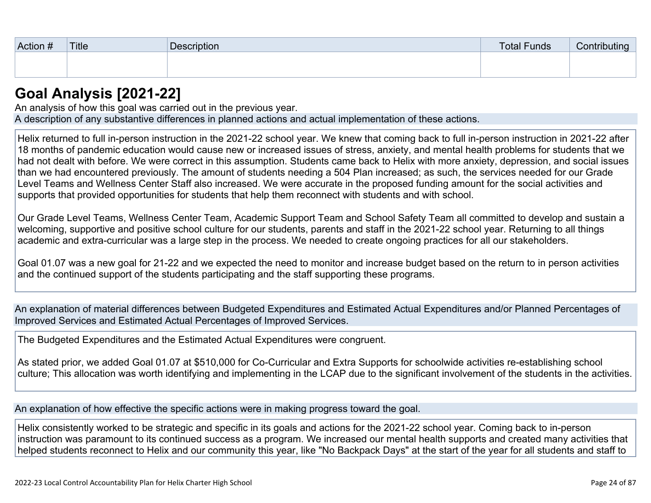| Action # | <b>Title</b> | Description | <b>Total Funds</b> | Contributing |
|----------|--------------|-------------|--------------------|--------------|
|          |              |             |                    |              |
|          |              |             |                    |              |

## **[Goal Analysis \[2021-22\]](http://www.doc-tracking.com/screenshots/22LCAP/Instructions/22LCAPInstructions.htm#GoalAnalysis)**

An analysis of how this goal was carried out in the previous year. A description of any substantive differences in planned actions and actual implementation of these actions.

Helix returned to full in-person instruction in the 2021-22 school year. We knew that coming back to full in-person instruction in 2021-22 after 18 months of pandemic education would cause new or increased issues of stress, anxiety, and mental health problems for students that we had not dealt with before. We were correct in this assumption. Students came back to Helix with more anxiety, depression, and social issues than we had encountered previously. The amount of students needing a 504 Plan increased; as such, the services needed for our Grade Level Teams and Wellness Center Staff also increased. We were accurate in the proposed funding amount for the social activities and supports that provided opportunities for students that help them reconnect with students and with school.

Our Grade Level Teams, Wellness Center Team, Academic Support Team and School Safety Team all committed to develop and sustain a welcoming, supportive and positive school culture for our students, parents and staff in the 2021-22 school year. Returning to all things academic and extra-curricular was a large step in the process. We needed to create ongoing practices for all our stakeholders.

Goal 01.07 was a new goal for 21-22 and we expected the need to monitor and increase budget based on the return to in person activities and the continued support of the students participating and the staff supporting these programs.

An explanation of material differences between Budgeted Expenditures and Estimated Actual Expenditures and/or Planned Percentages of Improved Services and Estimated Actual Percentages of Improved Services.

The Budgeted Expenditures and the Estimated Actual Expenditures were congruent.

As stated prior, we added Goal 01.07 at \$510,000 for Co-Curricular and Extra Supports for schoolwide activities re-establishing school culture; This allocation was worth identifying and implementing in the LCAP due to the significant involvement of the students in the activities.

An explanation of how effective the specific actions were in making progress toward the goal.

Helix consistently worked to be strategic and specific in its goals and actions for the 2021-22 school year. Coming back to in-person instruction was paramount to its continued success as a program. We increased our mental health supports and created many activities that helped students reconnect to Helix and our community this year, like "No Backpack Days" at the start of the year for all students and staff to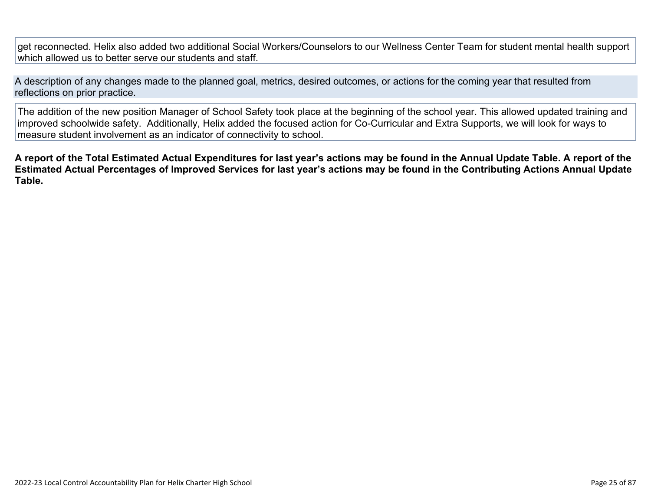get reconnected. Helix also added two additional Social Workers/Counselors to our Wellness Center Team for student mental health support which allowed us to better serve our students and staff.

A description of any changes made to the planned goal, metrics, desired outcomes, or actions for the coming year that resulted from reflections on prior practice.

The addition of the new position Manager of School Safety took place at the beginning of the school year. This allowed updated training and improved schoolwide safety. Additionally, Helix added the focused action for Co-Curricular and Extra Supports, we will look for ways to measure student involvement as an indicator of connectivity to school.

**A report of the Total Estimated Actual Expenditures for last year's actions may be found in the Annual Update Table. A report of the Estimated Actual Percentages of Improved Services for last year's actions may be found in the Contributing Actions Annual Update Table.**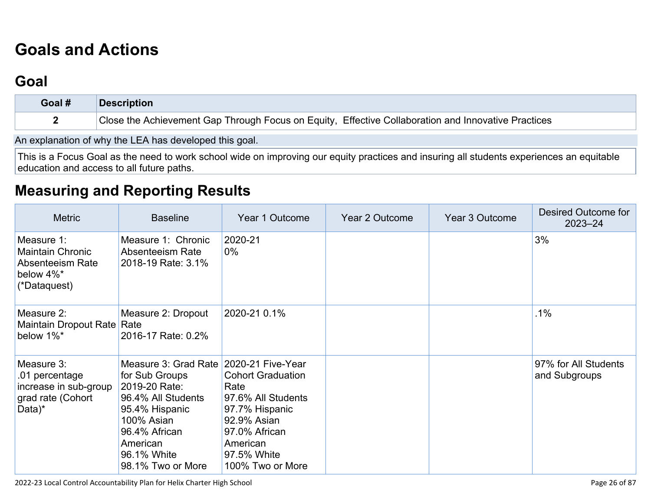# **[Goals and Actions](http://www.doc-tracking.com/screenshots/22LCAP/Instructions/22LCAPInstructions.htm#GoalsandActions)**

## **[Goal](http://www.doc-tracking.com/screenshots/22LCAP/Instructions/22LCAPInstructions.htm#goalDescription)**

| Goal # | Description                                                                                         |
|--------|-----------------------------------------------------------------------------------------------------|
|        | Close the Achievement Gap Through Focus on Equity, Effective Collaboration and Innovative Practices |
|        |                                                                                                     |

An explanation of why the LEA has developed this goal.

This is a Focus Goal as the need to work school wide on improving our equity practices and insuring all students experiences an equitable education and access to all future paths.

### **[Measuring and Reporting Results](http://www.doc-tracking.com/screenshots/22LCAP/Instructions/22LCAPInstructions.htm#MeasuringandReportingResults)**

| <b>Metric</b>                                                                           | <b>Baseline</b>                                                                                                                                                                                  | Year 1 Outcome                                                                                                                                          | Year 2 Outcome | Year 3 Outcome | Desired Outcome for<br>$2023 - 24$    |
|-----------------------------------------------------------------------------------------|--------------------------------------------------------------------------------------------------------------------------------------------------------------------------------------------------|---------------------------------------------------------------------------------------------------------------------------------------------------------|----------------|----------------|---------------------------------------|
| Measure 1:<br><b>Maintain Chronic</b><br>Absenteeism Rate<br>below 4%*<br>(*Dataquest)  | Measure 1: Chronic<br>Absenteeism Rate<br>2018-19 Rate: 3.1%                                                                                                                                     | 2020-21<br>$0\%$                                                                                                                                        |                |                | 3%                                    |
| Measure 2:<br>Maintain Dropout Rate   Rate<br>below 1%*                                 | Measure 2: Dropout<br>2016-17 Rate: 0.2%                                                                                                                                                         | 2020-21 0.1%                                                                                                                                            |                |                | $.1\%$                                |
| Measure 3:<br>.01 percentage<br>increase in sub-group<br>grad rate (Cohort<br>Data) $*$ | Measure 3: Grad Rate 2020-21 Five-Year<br>for Sub Groups<br>2019-20 Rate:<br>96.4% All Students<br>95.4% Hispanic<br>100% Asian<br>96.4% African<br>American<br>96.1% White<br>98.1% Two or More | <b>Cohort Graduation</b><br>Rate<br>97.6% All Students<br>97.7% Hispanic<br>92.9% Asian<br>97.0% African<br>American<br>97.5% White<br>100% Two or More |                |                | 97% for All Students<br>and Subgroups |

2022-23 Local Control Accountability Plan for Helix Charter High School Page 26 of 87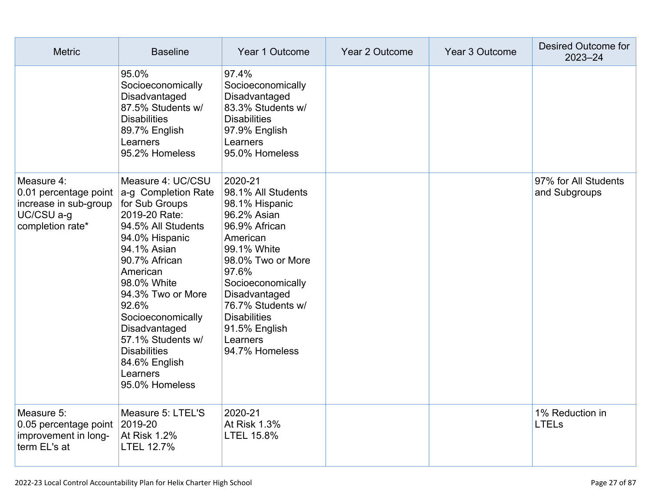| <b>Metric</b>                                                                                  | <b>Baseline</b>                                                                                                                                                                                                                                                                                                                               | Year 1 Outcome                                                                                                                                                                                                                                                            | Year 2 Outcome | Year 3 Outcome | <b>Desired Outcome for</b><br>$2023 - 24$ |
|------------------------------------------------------------------------------------------------|-----------------------------------------------------------------------------------------------------------------------------------------------------------------------------------------------------------------------------------------------------------------------------------------------------------------------------------------------|---------------------------------------------------------------------------------------------------------------------------------------------------------------------------------------------------------------------------------------------------------------------------|----------------|----------------|-------------------------------------------|
|                                                                                                | 95.0%<br>Socioeconomically<br>Disadvantaged<br>87.5% Students w/<br><b>Disabilities</b><br>89.7% English<br>Learners<br>95.2% Homeless                                                                                                                                                                                                        | 97.4%<br>Socioeconomically<br>Disadvantaged<br>83.3% Students w/<br><b>Disabilities</b><br>97.9% English<br>Learners<br>95.0% Homeless                                                                                                                                    |                |                |                                           |
| Measure 4:<br>0.01 percentage point<br>increase in sub-group<br>UC/CSU a-g<br>completion rate* | Measure 4: UC/CSU<br>a-g Completion Rate<br>for Sub Groups<br>2019-20 Rate:<br>94.5% All Students<br>94.0% Hispanic<br>94.1% Asian<br>90.7% African<br>American<br>98.0% White<br>94.3% Two or More<br>92.6%<br>Socioeconomically<br>Disadvantaged<br>57.1% Students w/<br><b>Disabilities</b><br>84.6% English<br>Learners<br>95.0% Homeless | 2020-21<br>98.1% All Students<br>98.1% Hispanic<br>96.2% Asian<br>96.9% African<br>American<br>99.1% White<br>98.0% Two or More<br>97.6%<br>Socioeconomically<br>Disadvantaged<br>76.7% Students w/<br><b>Disabilities</b><br>91.5% English<br>Learners<br>94.7% Homeless |                |                | 97% for All Students<br>and Subgroups     |
| Measure 5:<br>0.05 percentage point<br>improvement in long-<br>term EL's at                    | Measure 5: LTEL'S<br>2019-20<br>At Risk 1.2%<br><b>LTEL 12.7%</b>                                                                                                                                                                                                                                                                             | 2020-21<br>At Risk 1.3%<br>LTEL 15.8%                                                                                                                                                                                                                                     |                |                | 1% Reduction in<br><b>LTELs</b>           |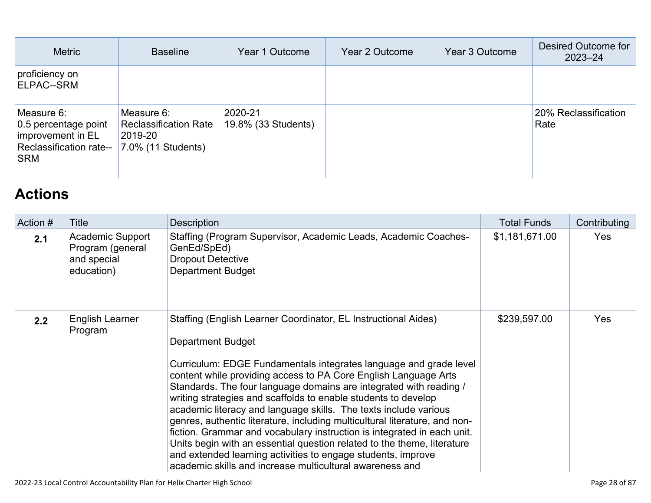| <b>Metric</b>                                                                                    | <b>Baseline</b>                                                             | Year 1 Outcome                 | Year 2 Outcome | Year 3 Outcome | Desired Outcome for<br>$2023 - 24$ |
|--------------------------------------------------------------------------------------------------|-----------------------------------------------------------------------------|--------------------------------|----------------|----------------|------------------------------------|
| proficiency on<br>ELPAC--SRM                                                                     |                                                                             |                                |                |                |                                    |
| Measure 6:<br>0.5 percentage point<br>improvement in EL<br>Reclassification rate--<br><b>SRM</b> | Measure 6:<br><b>Reclassification Rate</b><br>2019-20<br>7.0% (11 Students) | 2020-21<br>19.8% (33 Students) |                |                | 20% Reclassification<br>Rate       |

## **[Actions](http://www.doc-tracking.com/screenshots/22LCAP/Instructions/22LCAPInstructions.htm#actions)**

| Action # | <b>Title</b>                                                      | <b>Description</b>                                                                                                                                                                                                                                                                                                                                                                                                                                                                                                                                                                                                                                                                                                                                                                                      | <b>Total Funds</b> | Contributing |
|----------|-------------------------------------------------------------------|---------------------------------------------------------------------------------------------------------------------------------------------------------------------------------------------------------------------------------------------------------------------------------------------------------------------------------------------------------------------------------------------------------------------------------------------------------------------------------------------------------------------------------------------------------------------------------------------------------------------------------------------------------------------------------------------------------------------------------------------------------------------------------------------------------|--------------------|--------------|
| 2.1      | Academic Support<br>Program (general<br>and special<br>education) | Staffing (Program Supervisor, Academic Leads, Academic Coaches-<br>GenEd/SpEd)<br><b>Dropout Detective</b><br><b>Department Budget</b>                                                                                                                                                                                                                                                                                                                                                                                                                                                                                                                                                                                                                                                                  | \$1,181,671.00     | Yes          |
| 2.2      | English Learner<br>Program                                        | Staffing (English Learner Coordinator, EL Instructional Aides)<br>Department Budget<br>Curriculum: EDGE Fundamentals integrates language and grade level<br>content while providing access to PA Core English Language Arts<br>Standards. The four language domains are integrated with reading /<br>writing strategies and scaffolds to enable students to develop<br>academic literacy and language skills. The texts include various<br>genres, authentic literature, including multicultural literature, and non-<br>fiction. Grammar and vocabulary instruction is integrated in each unit.<br>Units begin with an essential question related to the theme, literature<br>and extended learning activities to engage students, improve<br>academic skills and increase multicultural awareness and | \$239,597.00       | <b>Yes</b>   |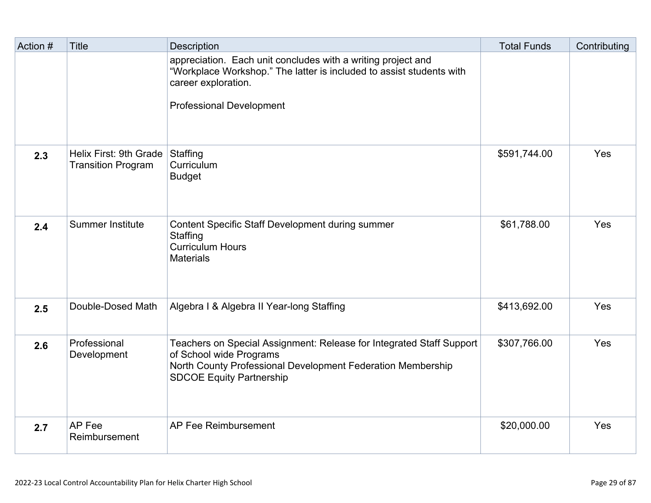| Action # | <b>Title</b>                                        | Description                                                                                                                                                                                       | <b>Total Funds</b> | Contributing |
|----------|-----------------------------------------------------|---------------------------------------------------------------------------------------------------------------------------------------------------------------------------------------------------|--------------------|--------------|
|          |                                                     | appreciation. Each unit concludes with a writing project and<br>"Workplace Workshop." The latter is included to assist students with<br>career exploration.                                       |                    |              |
|          |                                                     | <b>Professional Development</b>                                                                                                                                                                   |                    |              |
| 2.3      | Helix First: 9th Grade<br><b>Transition Program</b> | Staffing<br>Curriculum<br><b>Budget</b>                                                                                                                                                           | \$591,744.00       | Yes          |
| 2.4      | <b>Summer Institute</b>                             | Content Specific Staff Development during summer<br>Staffing<br><b>Curriculum Hours</b><br><b>Materials</b>                                                                                       | \$61,788.00        | <b>Yes</b>   |
| 2.5      | Double-Dosed Math                                   | Algebra I & Algebra II Year-long Staffing                                                                                                                                                         | \$413,692.00       | Yes          |
| 2.6      | Professional<br>Development                         | Teachers on Special Assignment: Release for Integrated Staff Support<br>of School wide Programs<br>North County Professional Development Federation Membership<br><b>SDCOE Equity Partnership</b> | \$307,766.00       | Yes          |
| 2.7      | AP Fee<br>Reimbursement                             | AP Fee Reimbursement                                                                                                                                                                              | \$20,000.00        | Yes          |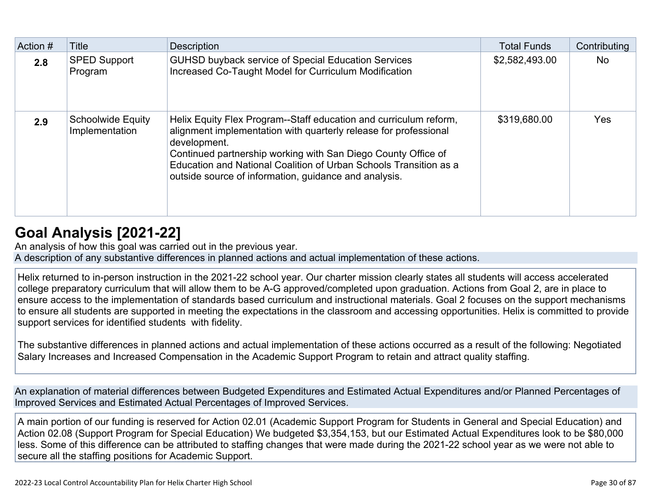| Action # | Title                                      | <b>Description</b>                                                                                                                                                                                                                                                                                                                                   | <b>Total Funds</b> | Contributing |
|----------|--------------------------------------------|------------------------------------------------------------------------------------------------------------------------------------------------------------------------------------------------------------------------------------------------------------------------------------------------------------------------------------------------------|--------------------|--------------|
| 2.8      | <b>SPED Support</b><br>Program             | <b>GUHSD buyback service of Special Education Services</b><br>Increased Co-Taught Model for Curriculum Modification                                                                                                                                                                                                                                  | \$2,582,493.00     | No.          |
| 2.9      | <b>Schoolwide Equity</b><br>Implementation | Helix Equity Flex Program--Staff education and curriculum reform,<br>alignment implementation with quarterly release for professional<br>development.<br>Continued partnership working with San Diego County Office of<br>Education and National Coalition of Urban Schools Transition as a<br>outside source of information, guidance and analysis. | \$319,680.00       | <b>Yes</b>   |

## **[Goal Analysis \[2021-22\]](http://www.doc-tracking.com/screenshots/22LCAP/Instructions/22LCAPInstructions.htm#GoalAnalysis)**

An analysis of how this goal was carried out in the previous year.

A description of any substantive differences in planned actions and actual implementation of these actions.

Helix returned to in-person instruction in the 2021-22 school year. Our charter mission clearly states all students will access accelerated college preparatory curriculum that will allow them to be A-G approved/completed upon graduation. Actions from Goal 2, are in place to ensure access to the implementation of standards based curriculum and instructional materials. Goal 2 focuses on the support mechanisms to ensure all students are supported in meeting the expectations in the classroom and accessing opportunities. Helix is committed to provide support services for identified students with fidelity.

The substantive differences in planned actions and actual implementation of these actions occurred as a result of the following: Negotiated Salary Increases and Increased Compensation in the Academic Support Program to retain and attract quality staffing.

An explanation of material differences between Budgeted Expenditures and Estimated Actual Expenditures and/or Planned Percentages of Improved Services and Estimated Actual Percentages of Improved Services.

A main portion of our funding is reserved for Action 02.01 (Academic Support Program for Students in General and Special Education) and Action 02.08 (Support Program for Special Education) We budgeted \$3,354,153, but our Estimated Actual Expenditures look to be \$80,000 less. Some of this difference can be attributed to staffing changes that were made during the 2021-22 school year as we were not able to secure all the staffing positions for Academic Support.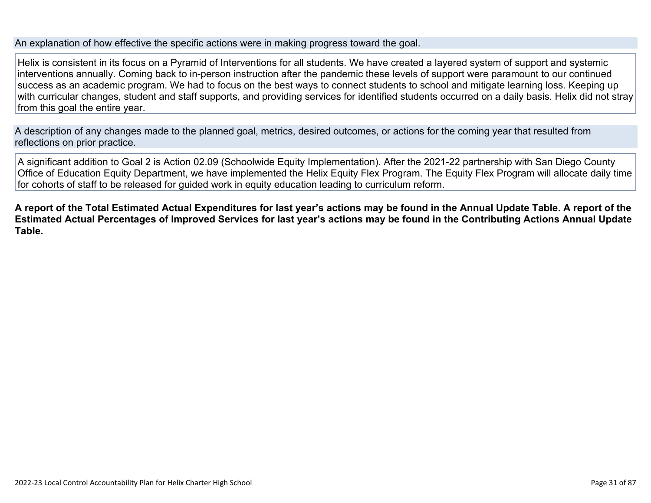#### An explanation of how effective the specific actions were in making progress toward the goal.

Helix is consistent in its focus on a Pyramid of Interventions for all students. We have created a layered system of support and systemic interventions annually. Coming back to in-person instruction after the pandemic these levels of support were paramount to our continued success as an academic program. We had to focus on the best ways to connect students to school and mitigate learning loss. Keeping up with curricular changes, student and staff supports, and providing services for identified students occurred on a daily basis. Helix did not stray from this goal the entire year.

A description of any changes made to the planned goal, metrics, desired outcomes, or actions for the coming year that resulted from reflections on prior practice.

A significant addition to Goal 2 is Action 02.09 (Schoolwide Equity Implementation). After the 2021-22 partnership with San Diego County Office of Education Equity Department, we have implemented the Helix Equity Flex Program. The Equity Flex Program will allocate daily time for cohorts of staff to be released for guided work in equity education leading to curriculum reform.

**A report of the Total Estimated Actual Expenditures for last year's actions may be found in the Annual Update Table. A report of the Estimated Actual Percentages of Improved Services for last year's actions may be found in the Contributing Actions Annual Update Table.**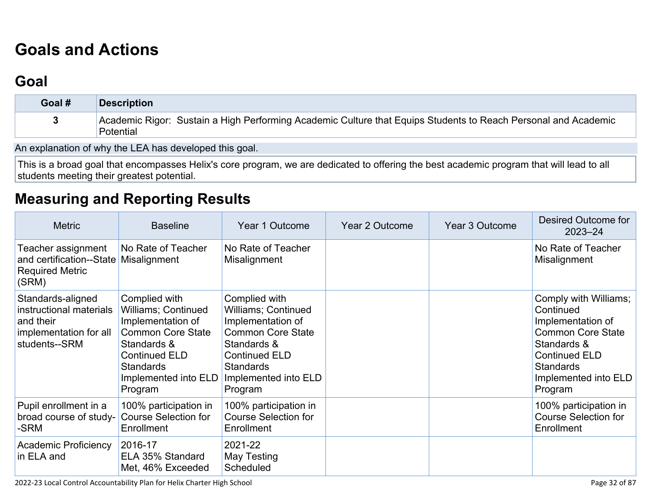# **[Goals and Actions](http://www.doc-tracking.com/screenshots/22LCAP/Instructions/22LCAPInstructions.htm#GoalsandActions)**

## **[Goal](http://www.doc-tracking.com/screenshots/22LCAP/Instructions/22LCAPInstructions.htm#goalDescription)**

| Goal # | <b>Description</b>                                                                                                                 |
|--------|------------------------------------------------------------------------------------------------------------------------------------|
|        | Academic Rigor: Sustain a High Performing Academic Culture that Equips Students to Reach Personal and Academic<br><b>Potential</b> |

An explanation of why the LEA has developed this goal.

This is a broad goal that encompasses Helix's core program, we are dedicated to offering the best academic program that will lead to all students meeting their greatest potential.

## **[Measuring and Reporting Results](http://www.doc-tracking.com/screenshots/22LCAP/Instructions/22LCAPInstructions.htm#MeasuringandReportingResults)**

| <b>Metric</b>                                                                                        | <b>Baseline</b>                                                                                                                                                                            | Year 1 Outcome                                                                                                                                                                             | Year 2 Outcome | Year 3 Outcome | Desired Outcome for<br>$2023 - 24$                                                                                                                                                |
|------------------------------------------------------------------------------------------------------|--------------------------------------------------------------------------------------------------------------------------------------------------------------------------------------------|--------------------------------------------------------------------------------------------------------------------------------------------------------------------------------------------|----------------|----------------|-----------------------------------------------------------------------------------------------------------------------------------------------------------------------------------|
| Teacher assignment<br>and certification--State Misalignment<br><b>Required Metric</b><br>(SRM)       | No Rate of Teacher                                                                                                                                                                         | No Rate of Teacher<br>Misalignment                                                                                                                                                         |                |                | No Rate of Teacher<br>Misalignment                                                                                                                                                |
| Standards-aligned<br>instructional materials<br>and their<br>implementation for all<br>students--SRM | Complied with<br><b>Williams; Continued</b><br>Implementation of<br><b>Common Core State</b><br>Standards &<br><b>Continued ELD</b><br><b>Standards</b><br>Implemented into ELD<br>Program | Complied with<br><b>Williams; Continued</b><br>Implementation of<br><b>Common Core State</b><br>Standards &<br><b>Continued ELD</b><br><b>Standards</b><br>Implemented into ELD<br>Program |                |                | Comply with Williams;<br>Continued<br>Implementation of<br><b>Common Core State</b><br>Standards &<br><b>Continued ELD</b><br><b>Standards</b><br>Implemented into ELD<br>Program |
| Pupil enrollment in a<br>broad course of study-<br>-SRM                                              | 100% participation in<br><b>Course Selection for</b><br>Enrollment                                                                                                                         | 100% participation in<br><b>Course Selection for</b><br>Enrollment                                                                                                                         |                |                | 100% participation in<br><b>Course Selection for</b><br>Enrollment                                                                                                                |
| <b>Academic Proficiency</b><br>in ELA and                                                            | 2016-17<br>ELA 35% Standard<br>Met, 46% Exceeded                                                                                                                                           | 2021-22<br>May Testing<br>Scheduled                                                                                                                                                        |                |                |                                                                                                                                                                                   |

2022-23 Local Control Accountability Plan for Helix Charter High School Page 32 of 87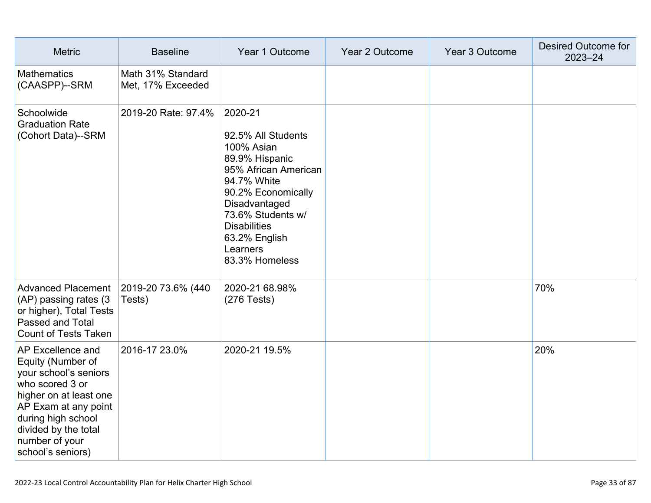| <b>Metric</b>                                                                                                                                                                                                             | <b>Baseline</b>                        | Year 1 Outcome                                                                                                                                                                                                                         | Year 2 Outcome | Year 3 Outcome | Desired Outcome for<br>$2023 - 24$ |
|---------------------------------------------------------------------------------------------------------------------------------------------------------------------------------------------------------------------------|----------------------------------------|----------------------------------------------------------------------------------------------------------------------------------------------------------------------------------------------------------------------------------------|----------------|----------------|------------------------------------|
| <b>Mathematics</b><br>(CAASPP)--SRM                                                                                                                                                                                       | Math 31% Standard<br>Met, 17% Exceeded |                                                                                                                                                                                                                                        |                |                |                                    |
| Schoolwide<br><b>Graduation Rate</b><br>(Cohort Data)--SRM                                                                                                                                                                | 2019-20 Rate: 97.4%                    | 2020-21<br>92.5% All Students<br>100% Asian<br>89.9% Hispanic<br>95% African American<br>94.7% White<br>90.2% Economically<br>Disadvantaged<br>73.6% Students w/<br><b>Disabilities</b><br>63.2% English<br>Learners<br>83.3% Homeless |                |                |                                    |
| <b>Advanced Placement</b><br>(AP) passing rates (3)<br>or higher), Total Tests<br>Passed and Total<br><b>Count of Tests Taken</b>                                                                                         | 2019-20 73.6% (440<br>Tests)           | 2020-21 68.98%<br>$(276$ Tests)                                                                                                                                                                                                        |                |                | 70%                                |
| AP Excellence and<br>Equity (Number of<br>your school's seniors<br>who scored 3 or<br>higher on at least one<br>AP Exam at any point<br>during high school<br>divided by the total<br>number of your<br>school's seniors) | 2016-17 23.0%                          | 2020-21 19.5%                                                                                                                                                                                                                          |                |                | 20%                                |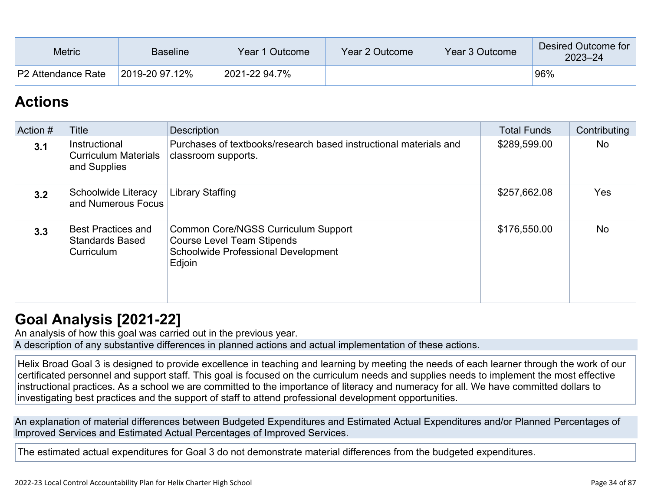| Metric                    | <b>Baseline</b> | Year 1 Outcome | Year 2 Outcome | Year 3 Outcome | Desired Outcome for<br>$2023 - 24$ |
|---------------------------|-----------------|----------------|----------------|----------------|------------------------------------|
| <b>P2</b> Attendance Rate | 2019-20 97.12%  | 2021-22 94.7%  |                |                | 96%                                |

## **[Actions](http://www.doc-tracking.com/screenshots/22LCAP/Instructions/22LCAPInstructions.htm#actions)**

| Action # | Title                                                             | <b>Description</b>                                                                                                               | <b>Total Funds</b> | Contributing |
|----------|-------------------------------------------------------------------|----------------------------------------------------------------------------------------------------------------------------------|--------------------|--------------|
| 3.1      | Instructional<br><b>Curriculum Materials</b><br>and Supplies      | Purchases of textbooks/research based instructional materials and<br>classroom supports.                                         | \$289,599.00       | <b>No</b>    |
| 3.2      | Schoolwide Literacy<br>and Numerous Focus                         | Library Staffing                                                                                                                 | \$257,662.08       | <b>Yes</b>   |
| 3.3      | <b>Best Practices and</b><br><b>Standards Based</b><br>Curriculum | Common Core/NGSS Curriculum Support<br><b>Course Level Team Stipends</b><br><b>Schoolwide Professional Development</b><br>Edjoin | \$176,550.00       | <b>No</b>    |

## **[Goal Analysis \[2021-22\]](http://www.doc-tracking.com/screenshots/22LCAP/Instructions/22LCAPInstructions.htm#GoalAnalysis)**

An analysis of how this goal was carried out in the previous year. A description of any substantive differences in planned actions and actual implementation of these actions.

Helix Broad Goal 3 is designed to provide excellence in teaching and learning by meeting the needs of each learner through the work of our certificated personnel and support staff. This goal is focused on the curriculum needs and supplies needs to implement the most effective instructional practices. As a school we are committed to the importance of literacy and numeracy for all. We have committed dollars to investigating best practices and the support of staff to attend professional development opportunities.

An explanation of material differences between Budgeted Expenditures and Estimated Actual Expenditures and/or Planned Percentages of Improved Services and Estimated Actual Percentages of Improved Services.

The estimated actual expenditures for Goal 3 do not demonstrate material differences from the budgeted expenditures.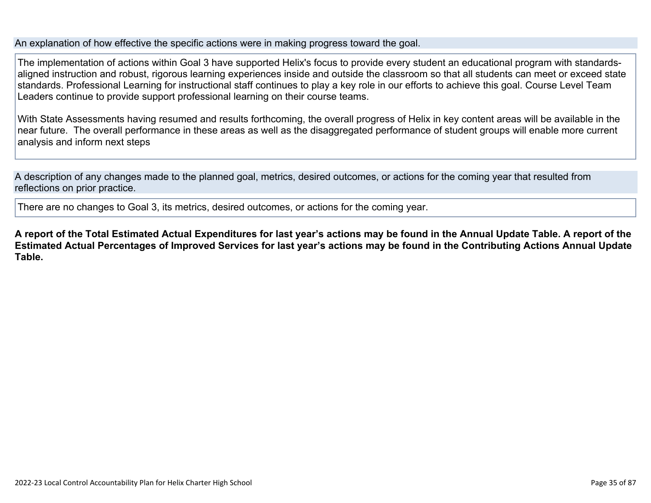#### An explanation of how effective the specific actions were in making progress toward the goal.

The implementation of actions within Goal 3 have supported Helix's focus to provide every student an educational program with standardsaligned instruction and robust, rigorous learning experiences inside and outside the classroom so that all students can meet or exceed state standards. Professional Learning for instructional staff continues to play a key role in our efforts to achieve this goal. Course Level Team Leaders continue to provide support professional learning on their course teams.

With State Assessments having resumed and results forthcoming, the overall progress of Helix in key content areas will be available in the near future. The overall performance in these areas as well as the disaggregated performance of student groups will enable more current analysis and inform next steps

A description of any changes made to the planned goal, metrics, desired outcomes, or actions for the coming year that resulted from reflections on prior practice.

There are no changes to Goal 3, its metrics, desired outcomes, or actions for the coming year.

**A report of the Total Estimated Actual Expenditures for last year's actions may be found in the Annual Update Table. A report of the Estimated Actual Percentages of Improved Services for last year's actions may be found in the Contributing Actions Annual Update Table.**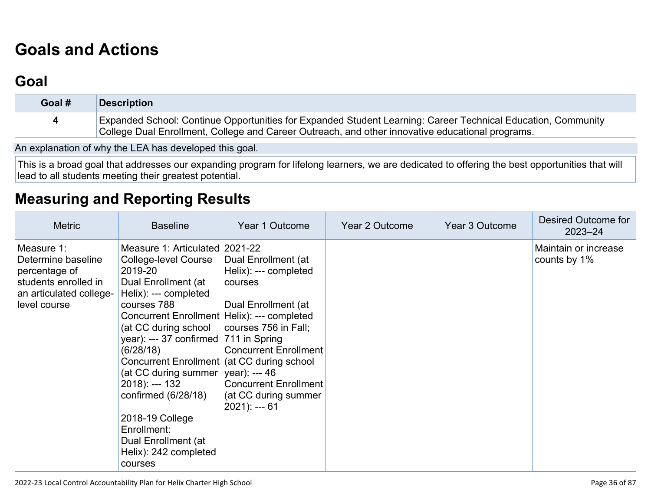# **[Goals and Actions](http://www.doc-tracking.com/screenshots/22LCAP/Instructions/22LCAPInstructions.htm#GoalsandActions)**

## **[Goal](http://www.doc-tracking.com/screenshots/22LCAP/Instructions/22LCAPInstructions.htm#goalDescription)**

| Goal # | <b>Description</b>                                                                                           |
|--------|--------------------------------------------------------------------------------------------------------------|
|        | Expanded School: Continue Opportunities for Expanded Student Learning: Career Technical Education, Community |
|        | College Dual Enrollment, College and Career Outreach, and other innovative educational programs.             |

An explanation of why the LEA has developed this goal.

This is a broad goal that addresses our expanding program for lifelong learners, we are dedicated to offering the best opportunities that will lead to all students meeting their greatest potential.

## **[Measuring and Reporting Results](http://www.doc-tracking.com/screenshots/22LCAP/Instructions/22LCAPInstructions.htm#MeasuringandReportingResults)**

| <b>Metric</b>                                                                                                        | <b>Baseline</b>                                                                                                                                                                                                                                                                                                                                                                                                                                                                             | Year 1 Outcome                                                                                                                                                                                                                     | Year 2 Outcome | Year 3 Outcome | Desired Outcome for<br>$2023 - 24$   |
|----------------------------------------------------------------------------------------------------------------------|---------------------------------------------------------------------------------------------------------------------------------------------------------------------------------------------------------------------------------------------------------------------------------------------------------------------------------------------------------------------------------------------------------------------------------------------------------------------------------------------|------------------------------------------------------------------------------------------------------------------------------------------------------------------------------------------------------------------------------------|----------------|----------------|--------------------------------------|
| Measure 1:<br>Determine baseline<br>percentage of<br>students enrolled in<br>an articulated college-<br>level course | Measure 1: Articulated 2021-22<br><b>College-level Course</b><br>2019-20<br>Dual Enrollment (at<br>Helix): --- completed<br>courses 788<br>Concurrent Enrollment Helix): --- completed<br>(at CC during school<br>year): --- 37 confirmed $ 711$ in Spring<br>(6/28/18)<br>Concurrent Enrollment (at CC during school<br>(at CC during summer $ $<br>$2018$ : --- 132<br>confirmed $(6/28/18)$<br>2018-19 College<br>Enrollment:<br>Dual Enrollment (at<br>Helix): 242 completed<br>courses | Dual Enrollment (at<br>Helix): --- completed<br>courses<br>Dual Enrollment (at<br>courses 756 in Fall;<br><b>Concurrent Enrollment</b><br>year): --- 46<br><b>Concurrent Enrollment</b><br>(at CC during summer<br>$2021$ : --- 61 |                |                | Maintain or increase<br>counts by 1% |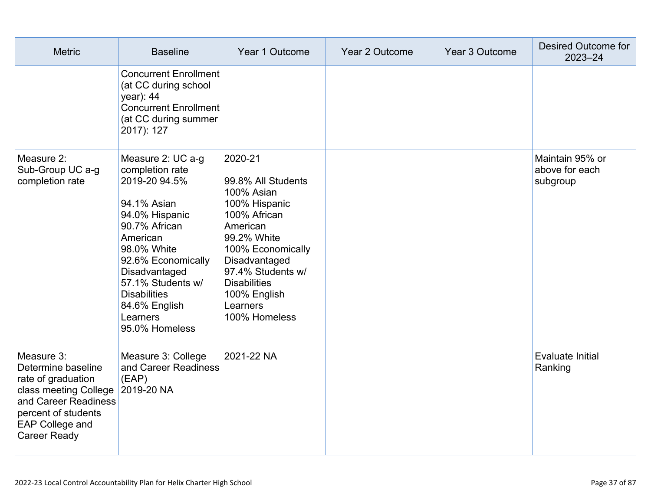| <b>Metric</b>                                                                                                                                                            | <b>Baseline</b>                                                                                                                                                                                                                                                      | Year 1 Outcome                                                                                                                                                                                                                         | Year 2 Outcome | Year 3 Outcome | Desired Outcome for<br>$2023 - 24$            |
|--------------------------------------------------------------------------------------------------------------------------------------------------------------------------|----------------------------------------------------------------------------------------------------------------------------------------------------------------------------------------------------------------------------------------------------------------------|----------------------------------------------------------------------------------------------------------------------------------------------------------------------------------------------------------------------------------------|----------------|----------------|-----------------------------------------------|
|                                                                                                                                                                          | <b>Concurrent Enrollment</b><br>(at CC during school<br>year): 44<br><b>Concurrent Enrollment</b><br>(at CC during summer<br>2017): 127                                                                                                                              |                                                                                                                                                                                                                                        |                |                |                                               |
| Measure 2:<br>Sub-Group UC a-g<br>completion rate                                                                                                                        | Measure 2: UC a-g<br>completion rate<br>2019-20 94.5%<br>94.1% Asian<br>94.0% Hispanic<br>90.7% African<br>American<br>98.0% White<br>92.6% Economically<br>Disadvantaged<br>57.1% Students w/<br><b>Disabilities</b><br>84.6% English<br>Learners<br>95.0% Homeless | 2020-21<br>99.8% All Students<br>100% Asian<br>100% Hispanic<br>100% African<br>American<br>99.2% White<br>100% Economically<br>Disadvantaged<br>97.4% Students w/<br><b>Disabilities</b><br>100% English<br>Learners<br>100% Homeless |                |                | Maintain 95% or<br>above for each<br>subgroup |
| Measure 3:<br>Determine baseline<br>rate of graduation<br>class meeting College<br>and Career Readiness<br>percent of students<br>EAP College and<br><b>Career Ready</b> | Measure 3: College<br>and Career Readiness<br>(EAP)<br>2019-20 NA                                                                                                                                                                                                    | 2021-22 NA                                                                                                                                                                                                                             |                |                | Evaluate Initial<br>Ranking                   |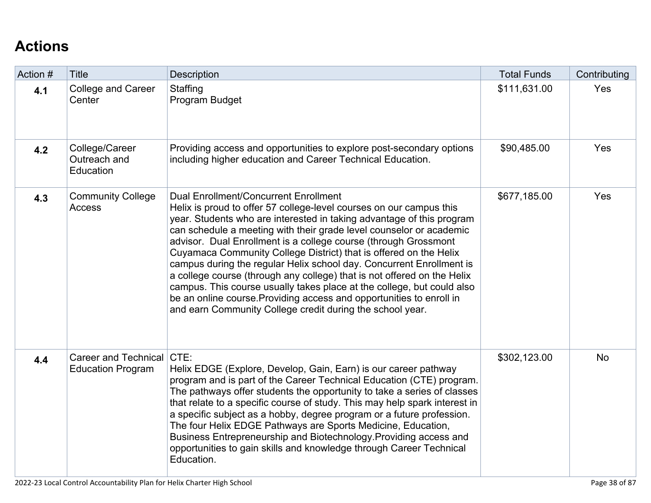# **[Actions](http://www.doc-tracking.com/screenshots/22LCAP/Instructions/22LCAPInstructions.htm#actions)**

| Action # | <b>Title</b>                                          | <b>Description</b>                                                                                                                                                                                                                                                                                                                                                                                                                                                                                                                                                                                                                                                                                                                                                            | <b>Total Funds</b> | Contributing |
|----------|-------------------------------------------------------|-------------------------------------------------------------------------------------------------------------------------------------------------------------------------------------------------------------------------------------------------------------------------------------------------------------------------------------------------------------------------------------------------------------------------------------------------------------------------------------------------------------------------------------------------------------------------------------------------------------------------------------------------------------------------------------------------------------------------------------------------------------------------------|--------------------|--------------|
| 4.1      | <b>College and Career</b><br>Center                   | Staffing<br>Program Budget                                                                                                                                                                                                                                                                                                                                                                                                                                                                                                                                                                                                                                                                                                                                                    | \$111,631.00       | Yes          |
| 4.2      | College/Career<br>Outreach and<br>Education           | Providing access and opportunities to explore post-secondary options<br>including higher education and Career Technical Education.                                                                                                                                                                                                                                                                                                                                                                                                                                                                                                                                                                                                                                            | \$90,485.00        | Yes          |
| 4.3      | <b>Community College</b><br>Access                    | <b>Dual Enrollment/Concurrent Enrollment</b><br>Helix is proud to offer 57 college-level courses on our campus this<br>year. Students who are interested in taking advantage of this program<br>can schedule a meeting with their grade level counselor or academic<br>advisor. Dual Enrollment is a college course (through Grossmont<br>Cuyamaca Community College District) that is offered on the Helix<br>campus during the regular Helix school day. Concurrent Enrollment is<br>a college course (through any college) that is not offered on the Helix<br>campus. This course usually takes place at the college, but could also<br>be an online course. Providing access and opportunities to enroll in<br>and earn Community College credit during the school year. | \$677,185.00       | Yes          |
| 4.4      | Career and Technical CTE:<br><b>Education Program</b> | Helix EDGE (Explore, Develop, Gain, Earn) is our career pathway<br>program and is part of the Career Technical Education (CTE) program.<br>The pathways offer students the opportunity to take a series of classes<br>that relate to a specific course of study. This may help spark interest in<br>a specific subject as a hobby, degree program or a future profession.<br>The four Helix EDGE Pathways are Sports Medicine, Education,<br>Business Entrepreneurship and Biotechnology. Providing access and<br>opportunities to gain skills and knowledge through Career Technical<br>Education.                                                                                                                                                                           | \$302,123.00       | <b>No</b>    |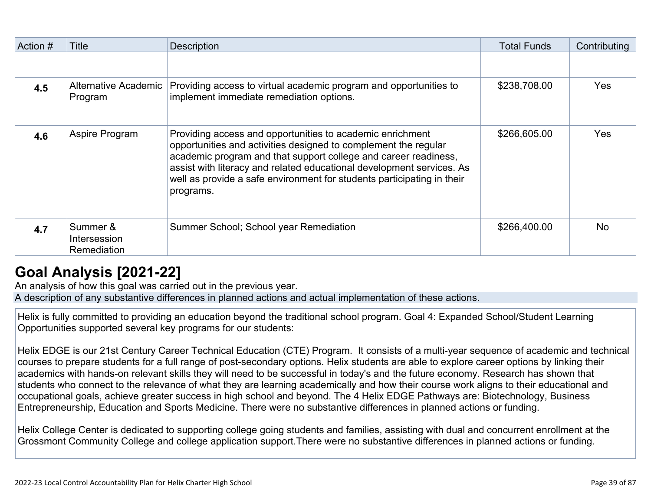| Action # | Title                                   | <b>Description</b>                                                                                                                                                                                                                                                                                                                                              | <b>Total Funds</b> | Contributing |
|----------|-----------------------------------------|-----------------------------------------------------------------------------------------------------------------------------------------------------------------------------------------------------------------------------------------------------------------------------------------------------------------------------------------------------------------|--------------------|--------------|
|          |                                         |                                                                                                                                                                                                                                                                                                                                                                 |                    |              |
| 4.5      | Alternative Academic<br>Program         | Providing access to virtual academic program and opportunities to<br>implement immediate remediation options.                                                                                                                                                                                                                                                   | \$238,708.00       | Yes          |
| 4.6      | Aspire Program                          | Providing access and opportunities to academic enrichment<br>opportunities and activities designed to complement the regular<br>academic program and that support college and career readiness,<br>assist with literacy and related educational development services. As<br>well as provide a safe environment for students participating in their<br>programs. | \$266,605.00       | <b>Yes</b>   |
| 4.7      | Summer &<br>Intersession<br>Remediation | Summer School; School year Remediation                                                                                                                                                                                                                                                                                                                          | \$266,400.00       | <b>No</b>    |

## **[Goal Analysis \[2021-22\]](http://www.doc-tracking.com/screenshots/22LCAP/Instructions/22LCAPInstructions.htm#GoalAnalysis)**

An analysis of how this goal was carried out in the previous year.

A description of any substantive differences in planned actions and actual implementation of these actions.

Helix is fully committed to providing an education beyond the traditional school program. Goal 4: Expanded School/Student Learning Opportunities supported several key programs for our students:

Helix EDGE is our 21st Century Career Technical Education (CTE) Program. It consists of a multi-year sequence of academic and technical courses to prepare students for a full range of post-secondary options. Helix students are able to explore career options by linking their academics with hands-on relevant skills they will need to be successful in today's and the future economy. Research has shown that students who connect to the relevance of what they are learning academically and how their course work aligns to their educational and occupational goals, achieve greater success in high school and beyond. The 4 Helix EDGE Pathways are: Biotechnology, Business Entrepreneurship, Education and Sports Medicine. There were no substantive differences in planned actions or funding.

Helix College Center is dedicated to supporting college going students and families, assisting with dual and concurrent enrollment at the Grossmont Community College and college application support.There were no substantive differences in planned actions or funding.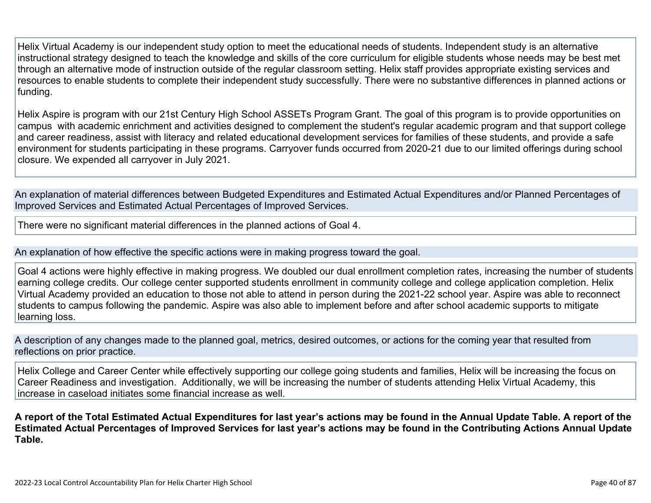Helix Virtual Academy is our independent study option to meet the educational needs of students. Independent study is an alternative instructional strategy designed to teach the knowledge and skills of the core curriculum for eligible students whose needs may be best met through an alternative mode of instruction outside of the regular classroom setting. Helix staff provides appropriate existing services and resources to enable students to complete their independent study successfully. There were no substantive differences in planned actions or funding.

Helix Aspire is program with our 21st Century High School ASSETs Program Grant. The goal of this program is to provide opportunities on campus with academic enrichment and activities designed to complement the student's regular academic program and that support college and career readiness, assist with literacy and related educational development services for families of these students, and provide a safe environment for students participating in these programs. Carryover funds occurred from 2020-21 due to our limited offerings during school closure. We expended all carryover in July 2021.

An explanation of material differences between Budgeted Expenditures and Estimated Actual Expenditures and/or Planned Percentages of Improved Services and Estimated Actual Percentages of Improved Services.

There were no significant material differences in the planned actions of Goal 4.

### An explanation of how effective the specific actions were in making progress toward the goal.

Goal 4 actions were highly effective in making progress. We doubled our dual enrollment completion rates, increasing the number of students earning college credits. Our college center supported students enrollment in community college and college application completion. Helix Virtual Academy provided an education to those not able to attend in person during the 2021-22 school year. Aspire was able to reconnect students to campus following the pandemic. Aspire was also able to implement before and after school academic supports to mitigate learning loss.

A description of any changes made to the planned goal, metrics, desired outcomes, or actions for the coming year that resulted from reflections on prior practice.

Helix College and Career Center while effectively supporting our college going students and families, Helix will be increasing the focus on Career Readiness and investigation. Additionally, we will be increasing the number of students attending Helix Virtual Academy, this increase in caseload initiates some financial increase as well.

**A report of the Total Estimated Actual Expenditures for last year's actions may be found in the Annual Update Table. A report of the Estimated Actual Percentages of Improved Services for last year's actions may be found in the Contributing Actions Annual Update Table.**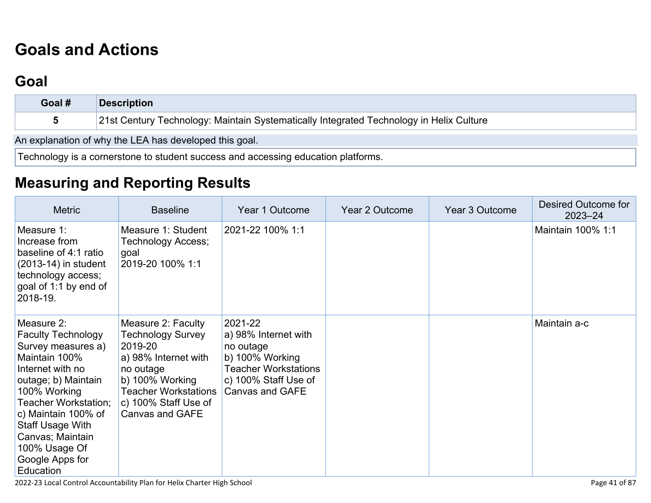# **[Goals and Actions](http://www.doc-tracking.com/screenshots/22LCAP/Instructions/22LCAPInstructions.htm#GoalsandActions)**

## **[Goal](http://www.doc-tracking.com/screenshots/22LCAP/Instructions/22LCAPInstructions.htm#goalDescription)**

| Goal #                                                                            | <b>Description</b>                                                                      |  |  |  |
|-----------------------------------------------------------------------------------|-----------------------------------------------------------------------------------------|--|--|--|
| Ð                                                                                 | 21st Century Technology: Maintain Systematically Integrated Technology in Helix Culture |  |  |  |
| An explanation of why the LEA has developed this goal.                            |                                                                                         |  |  |  |
| Technology is a cornerstone to student success and accessing education platforms. |                                                                                         |  |  |  |

## **[Measuring and Reporting Results](http://www.doc-tracking.com/screenshots/22LCAP/Instructions/22LCAPInstructions.htm#MeasuringandReportingResults)**

| <b>Metric</b>                                                                                                                                                                                                                                                                            | <b>Baseline</b>                                                                                                                                                                             | Year 1 Outcome                                                                                                                                   | Year 2 Outcome | Year 3 Outcome | Desired Outcome for<br>$2023 - 24$ |
|------------------------------------------------------------------------------------------------------------------------------------------------------------------------------------------------------------------------------------------------------------------------------------------|---------------------------------------------------------------------------------------------------------------------------------------------------------------------------------------------|--------------------------------------------------------------------------------------------------------------------------------------------------|----------------|----------------|------------------------------------|
| Measure 1:<br>Increase from<br>baseline of 4:1 ratio<br>$(2013-14)$ in student<br>technology access;<br>goal of 1:1 by end of<br>2018-19.                                                                                                                                                | Measure 1: Student<br>Technology Access;<br>goal<br>2019-20 100% 1:1                                                                                                                        | 2021-22 100% 1:1                                                                                                                                 |                |                | Maintain 100% 1:1                  |
| Measure 2:<br><b>Faculty Technology</b><br>Survey measures a)<br>Maintain 100%<br>Internet with no<br>outage; b) Maintain<br>100% Working<br>Teacher Workstation;<br>c) Maintain 100% of<br><b>Staff Usage With</b><br>Canvas; Maintain<br>100% Usage Of<br>Google Apps for<br>Education | Measure 2: Faculty<br><b>Technology Survey</b><br>2019-20<br>a) 98% Internet with<br>no outage<br>b) 100% Working<br><b>Teacher Workstations</b><br>c) 100% Staff Use of<br>Canvas and GAFE | 2021-22<br>a) 98% Internet with<br>no outage<br>b) 100% Working<br><b>Teacher Workstations</b><br>c) 100% Staff Use of<br><b>Canvas and GAFE</b> |                |                | Maintain a-c                       |

2022-23 Local Control Accountability Plan for Helix Charter High School Page 41 of 87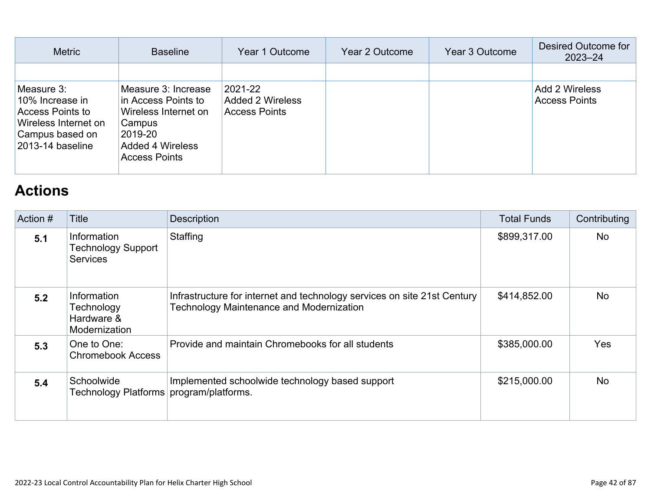| <b>Metric</b>                                                                                                      | <b>Baseline</b>                                                                                                                            | Year 1 Outcome                                             | Year 2 Outcome | Year 3 Outcome | Desired Outcome for<br>$2023 - 24$     |
|--------------------------------------------------------------------------------------------------------------------|--------------------------------------------------------------------------------------------------------------------------------------------|------------------------------------------------------------|----------------|----------------|----------------------------------------|
| Measure 3:<br>10% Increase in<br>Access Points to<br>Wireless Internet on<br>Campus based on<br>$2013-14$ baseline | Measure 3: Increase<br>in Access Points to<br>Wireless Internet on<br>Campus<br>2019-20<br><b>Added 4 Wireless</b><br><b>Access Points</b> | 2021-22<br><b>Added 2 Wireless</b><br><b>Access Points</b> |                |                | Add 2 Wireless<br><b>Access Points</b> |

## **[Actions](http://www.doc-tracking.com/screenshots/22LCAP/Instructions/22LCAPInstructions.htm#actions)**

| Action # | <b>Title</b>                                                    | <b>Description</b>                                                                                                          | <b>Total Funds</b> | Contributing |
|----------|-----------------------------------------------------------------|-----------------------------------------------------------------------------------------------------------------------------|--------------------|--------------|
| 5.1      | Information<br><b>Technology Support</b><br><b>Services</b>     | Staffing                                                                                                                    | \$899,317.00       | <b>No</b>    |
| 5.2      | Information<br>Technology<br>Hardware &<br><b>Modernization</b> | Infrastructure for internet and technology services on site 21st Century<br><b>Technology Maintenance and Modernization</b> | \$414,852.00       | <b>No</b>    |
| 5.3      | One to One:<br><b>Chromebook Access</b>                         | Provide and maintain Chromebooks for all students                                                                           | \$385,000.00       | Yes          |
| 5.4      | Schoolwide<br><b>Technology Platforms</b>                       | Implemented schoolwide technology based support<br>program/platforms.                                                       | \$215,000.00       | <b>No</b>    |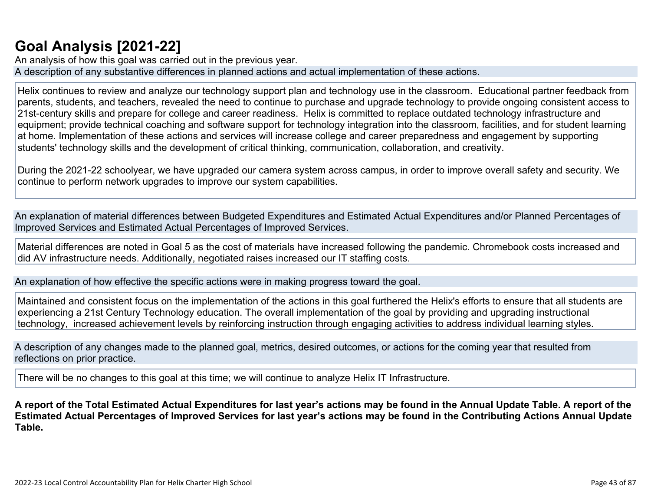## **[Goal Analysis \[2021-22\]](http://www.doc-tracking.com/screenshots/22LCAP/Instructions/22LCAPInstructions.htm#GoalAnalysis)**

An analysis of how this goal was carried out in the previous year. A description of any substantive differences in planned actions and actual implementation of these actions.

Helix continues to review and analyze our technology support plan and technology use in the classroom. Educational partner feedback from parents, students, and teachers, revealed the need to continue to purchase and upgrade technology to provide ongoing consistent access to 21st-century skills and prepare for college and career readiness. Helix is committed to replace outdated technology infrastructure and equipment; provide technical coaching and software support for technology integration into the classroom, facilities, and for student learning at home. Implementation of these actions and services will increase college and career preparedness and engagement by supporting students' technology skills and the development of critical thinking, communication, collaboration, and creativity.

During the 2021-22 schoolyear, we have upgraded our camera system across campus, in order to improve overall safety and security. We continue to perform network upgrades to improve our system capabilities.

An explanation of material differences between Budgeted Expenditures and Estimated Actual Expenditures and/or Planned Percentages of Improved Services and Estimated Actual Percentages of Improved Services.

Material differences are noted in Goal 5 as the cost of materials have increased following the pandemic. Chromebook costs increased and did AV infrastructure needs. Additionally, negotiated raises increased our IT staffing costs.

An explanation of how effective the specific actions were in making progress toward the goal.

Maintained and consistent focus on the implementation of the actions in this goal furthered the Helix's efforts to ensure that all students are experiencing a 21st Century Technology education. The overall implementation of the goal by providing and upgrading instructional technology, increased achievement levels by reinforcing instruction through engaging activities to address individual learning styles.

A description of any changes made to the planned goal, metrics, desired outcomes, or actions for the coming year that resulted from reflections on prior practice.

There will be no changes to this goal at this time; we will continue to analyze Helix IT Infrastructure.

**A report of the Total Estimated Actual Expenditures for last year's actions may be found in the Annual Update Table. A report of the Estimated Actual Percentages of Improved Services for last year's actions may be found in the Contributing Actions Annual Update Table.**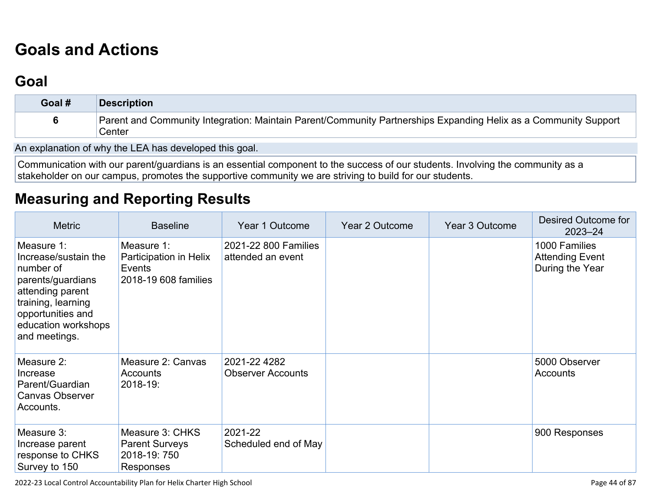# **[Goals and Actions](http://www.doc-tracking.com/screenshots/22LCAP/Instructions/22LCAPInstructions.htm#GoalsandActions)**

## **[Goal](http://www.doc-tracking.com/screenshots/22LCAP/Instructions/22LCAPInstructions.htm#goalDescription)**

| Goal # | <b>Description</b>                                                                                                        |
|--------|---------------------------------------------------------------------------------------------------------------------------|
|        | Parent and Community Integration: Maintain Parent/Community Partnerships Expanding Helix as a Community Support<br>Center |

An explanation of why the LEA has developed this goal.

Communication with our parent/guardians is an essential component to the success of our students. Involving the community as a stakeholder on our campus, promotes the supportive community we are striving to build for our students.

## **[Measuring and Reporting Results](http://www.doc-tracking.com/screenshots/22LCAP/Instructions/22LCAPInstructions.htm#MeasuringandReportingResults)**

| <b>Metric</b>                                                                                                                                                               | <b>Baseline</b>                                                        | Year 1 Outcome                            | Year 2 Outcome | Year 3 Outcome | Desired Outcome for<br>$2023 - 24$                         |
|-----------------------------------------------------------------------------------------------------------------------------------------------------------------------------|------------------------------------------------------------------------|-------------------------------------------|----------------|----------------|------------------------------------------------------------|
| Measure 1:<br>Increase/sustain the<br>number of<br>parents/guardians<br>attending parent<br>training, learning<br>opportunities and<br>education workshops<br>and meetings. | Measure 1:<br>Participation in Helix<br>Events<br>2018-19 608 families | 2021-22 800 Families<br>attended an event |                |                | 1000 Families<br><b>Attending Event</b><br>During the Year |
| Measure 2:<br>Increase<br>Parent/Guardian<br><b>Canvas Observer</b><br>Accounts.                                                                                            | Measure 2: Canvas<br><b>Accounts</b><br>2018-19:                       | 2021-22 4282<br><b>Observer Accounts</b>  |                |                | 5000 Observer<br><b>Accounts</b>                           |
| Measure 3:<br>Increase parent<br>response to CHKS<br>Survey to 150                                                                                                          | Measure 3: CHKS<br><b>Parent Surveys</b><br>2018-19: 750<br>Responses  | 2021-22<br>Scheduled end of May           |                |                | 900 Responses                                              |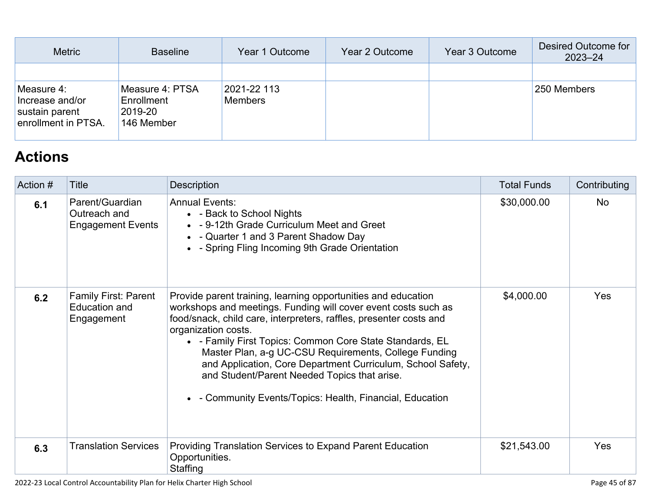| <b>Metric</b>                                                          | <b>Baseline</b>                                        | Year 1 Outcome                | Year 2 Outcome | Year 3 Outcome | Desired Outcome for<br>$2023 - 24$ |
|------------------------------------------------------------------------|--------------------------------------------------------|-------------------------------|----------------|----------------|------------------------------------|
| Measure 4:<br>Increase and/or<br>sustain parent<br>enrollment in PTSA. | Measure 4: PTSA<br>Enrollment<br>2019-20<br>146 Member | 2021-22 113<br><b>Members</b> |                |                | 250 Members                        |

# **[Actions](http://www.doc-tracking.com/screenshots/22LCAP/Instructions/22LCAPInstructions.htm#actions)**

| Action # | Title                                                       | Description                                                                                                                                                                                                                                                                                                                                                                                                                                                                                                                   | <b>Total Funds</b> | Contributing |
|----------|-------------------------------------------------------------|-------------------------------------------------------------------------------------------------------------------------------------------------------------------------------------------------------------------------------------------------------------------------------------------------------------------------------------------------------------------------------------------------------------------------------------------------------------------------------------------------------------------------------|--------------------|--------------|
| 6.1      | Parent/Guardian<br>Outreach and<br><b>Engagement Events</b> | <b>Annual Events:</b><br>• - Back to School Nights<br>• - 9-12th Grade Curriculum Meet and Greet<br>• - Quarter 1 and 3 Parent Shadow Day<br>• - Spring Fling Incoming 9th Grade Orientation                                                                                                                                                                                                                                                                                                                                  | \$30,000.00        | <b>No</b>    |
| 6.2      | <b>Family First: Parent</b><br>Education and<br>Engagement  | Provide parent training, learning opportunities and education<br>workshops and meetings. Funding will cover event costs such as<br>food/snack, child care, interpreters, raffles, presenter costs and<br>organization costs.<br>• - Family First Topics: Common Core State Standards, EL<br>Master Plan, a-g UC-CSU Requirements, College Funding<br>and Application, Core Department Curriculum, School Safety,<br>and Student/Parent Needed Topics that arise.<br>• - Community Events/Topics: Health, Financial, Education | \$4,000.00         | Yes          |
| 6.3      | <b>Translation Services</b>                                 | Providing Translation Services to Expand Parent Education<br>Opportunities.<br>Staffing                                                                                                                                                                                                                                                                                                                                                                                                                                       | \$21,543.00        | <b>Yes</b>   |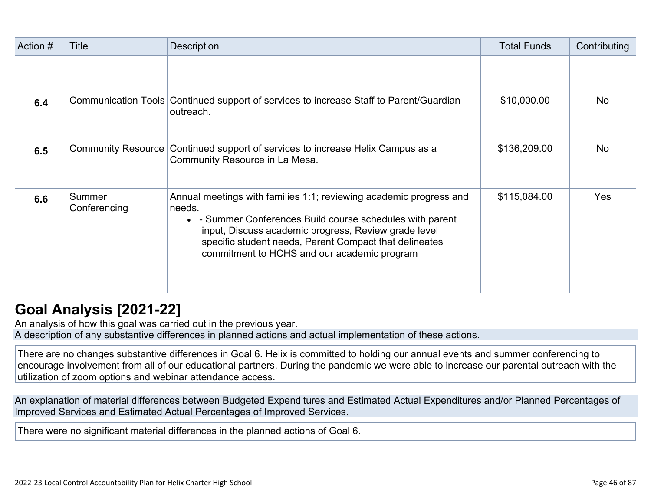| Action # | Title                  | <b>Description</b>                                                                                                                                                                                                                                                                                         | <b>Total Funds</b> | Contributing |
|----------|------------------------|------------------------------------------------------------------------------------------------------------------------------------------------------------------------------------------------------------------------------------------------------------------------------------------------------------|--------------------|--------------|
|          |                        |                                                                                                                                                                                                                                                                                                            |                    |              |
| 6.4      |                        | Communication Tools Continued support of services to increase Staff to Parent/Guardian<br>outreach.                                                                                                                                                                                                        | \$10,000.00        | <b>No</b>    |
| 6.5      |                        | Community Resource Continued support of services to increase Helix Campus as a<br>Community Resource in La Mesa.                                                                                                                                                                                           | \$136,209.00       | <b>No</b>    |
| 6.6      | Summer<br>Conferencing | Annual meetings with families 1:1; reviewing academic progress and<br>needs.<br>• - Summer Conferences Build course schedules with parent<br>input, Discuss academic progress, Review grade level<br>specific student needs, Parent Compact that delineates<br>commitment to HCHS and our academic program | \$115,084.00       | Yes          |

## **[Goal Analysis \[2021-22\]](http://www.doc-tracking.com/screenshots/22LCAP/Instructions/22LCAPInstructions.htm#GoalAnalysis)**

An analysis of how this goal was carried out in the previous year.

A description of any substantive differences in planned actions and actual implementation of these actions.

There are no changes substantive differences in Goal 6. Helix is committed to holding our annual events and summer conferencing to encourage involvement from all of our educational partners. During the pandemic we were able to increase our parental outreach with the utilization of zoom options and webinar attendance access.

An explanation of material differences between Budgeted Expenditures and Estimated Actual Expenditures and/or Planned Percentages of Improved Services and Estimated Actual Percentages of Improved Services.

There were no significant material differences in the planned actions of Goal 6.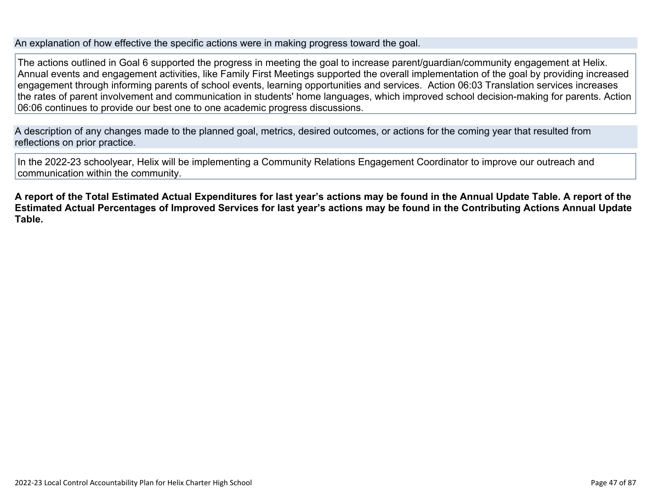#### An explanation of how effective the specific actions were in making progress toward the goal.

The actions outlined in Goal 6 supported the progress in meeting the goal to increase parent/guardian/community engagement at Helix. Annual events and engagement activities, like Family First Meetings supported the overall implementation of the goal by providing increased engagement through informing parents of school events, learning opportunities and services. Action 06:03 Translation services increases the rates of parent involvement and communication in students' home languages, which improved school decision-making for parents. Action 06:06 continues to provide our best one to one academic progress discussions.

A description of any changes made to the planned goal, metrics, desired outcomes, or actions for the coming year that resulted from reflections on prior practice.

In the 2022-23 schoolyear, Helix will be implementing a Community Relations Engagement Coordinator to improve our outreach and communication within the community.

**A report of the Total Estimated Actual Expenditures for last year's actions may be found in the Annual Update Table. A report of the Estimated Actual Percentages of Improved Services for last year's actions may be found in the Contributing Actions Annual Update Table.**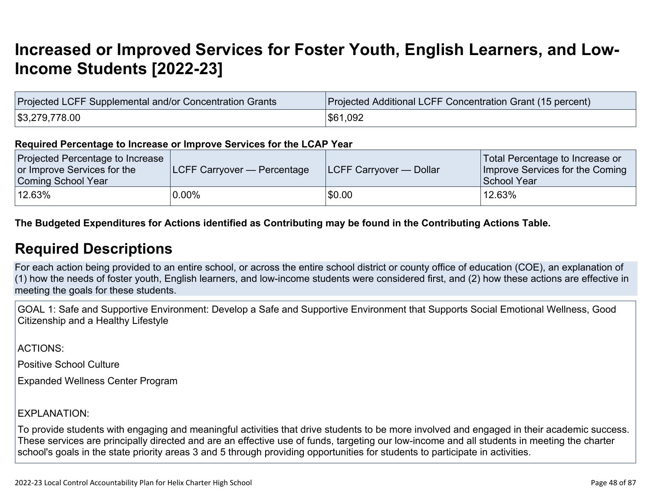# **[Increased or Improved Services for Foster Youth, English Learners, and Low-](http://www.doc-tracking.com/screenshots/22LCAP/Instructions/22LCAPInstructions.htm#IncreasedImprovedServices)[Income Students \[2022-23\]](http://www.doc-tracking.com/screenshots/22LCAP/Instructions/22LCAPInstructions.htm#IncreasedImprovedServices)**

| Projected LCFF Supplemental and/or Concentration Grants | <b>Projected Additional LCFF Concentration Grant (15 percent)</b> |
|---------------------------------------------------------|-------------------------------------------------------------------|
| \$3,279,778.00                                          | \$61,092                                                          |

#### **Required Percentage to Increase or Improve Services for the LCAP Year**

| Projected Percentage to Increase<br>or Improve Services for the<br>Coming School Year | <b>LCFF Carryover — Percentage</b> | <b>ILCFF Carryover — Dollar</b> | Total Percentage to Increase or<br>Improve Services for the Coming<br>School Year |
|---------------------------------------------------------------------------------------|------------------------------------|---------------------------------|-----------------------------------------------------------------------------------|
| $^{\shortmid}$ 12.63%                                                                 | $0.00\%$                           | $\degree$ \$0.00                | 12.63%                                                                            |

**The Budgeted Expenditures for Actions identified as Contributing may be found in the Contributing Actions Table.**

## **[Required Descriptions](http://www.doc-tracking.com/screenshots/22LCAP/Instructions/22LCAPInstructions.htm#RequiredDescriptions)**

For each action being provided to an entire school, or across the entire school district or county office of education (COE), an explanation of (1) how the needs of foster youth, English learners, and low-income students were considered first, and (2) how these actions are effective in meeting the goals for these students.

GOAL 1: Safe and Supportive Environment: Develop a Safe and Supportive Environment that Supports Social Emotional Wellness, Good Citizenship and a Healthy Lifestyle

ACTIONS:

Positive School Culture

Expanded Wellness Center Program

EXPLANATION:

To provide students with engaging and meaningful activities that drive students to be more involved and engaged in their academic success. These services are principally directed and are an effective use of funds, targeting our low-income and all students in meeting the charter school's goals in the state priority areas 3 and 5 through providing opportunities for students to participate in activities.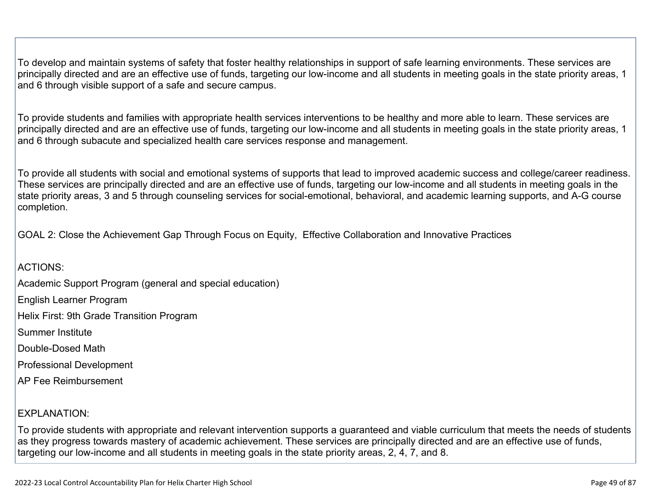To develop and maintain systems of safety that foster healthy relationships in support of safe learning environments. These services are principally directed and are an effective use of funds, targeting our low-income and all students in meeting goals in the state priority areas, 1 and 6 through visible support of a safe and secure campus.

To provide students and families with appropriate health services interventions to be healthy and more able to learn. These services are principally directed and are an effective use of funds, targeting our low-income and all students in meeting goals in the state priority areas, 1 and 6 through subacute and specialized health care services response and management.

To provide all students with social and emotional systems of supports that lead to improved academic success and college/career readiness. These services are principally directed and are an effective use of funds, targeting our low-income and all students in meeting goals in the state priority areas, 3 and 5 through counseling services for social-emotional, behavioral, and academic learning supports, and A-G course completion.

GOAL 2: Close the Achievement Gap Through Focus on Equity, Effective Collaboration and Innovative Practices

### ACTIONS:

Academic Support Program (general and special education)

English Learner Program

Helix First: 9th Grade Transition Program

Summer Institute

Double-Dosed Math

Professional Development

AP Fee Reimbursement

### EXPLANATION:

To provide students with appropriate and relevant intervention supports a guaranteed and viable curriculum that meets the needs of students as they progress towards mastery of academic achievement. These services are principally directed and are an effective use of funds, targeting our low-income and all students in meeting goals in the state priority areas, 2, 4, 7, and 8.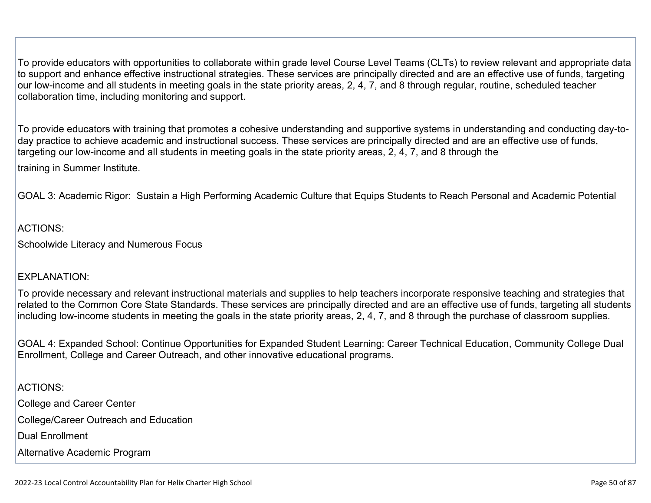To provide educators with opportunities to collaborate within grade level Course Level Teams (CLTs) to review relevant and appropriate data to support and enhance effective instructional strategies. These services are principally directed and are an effective use of funds, targeting our low-income and all students in meeting goals in the state priority areas, 2, 4, 7, and 8 through regular, routine, scheduled teacher collaboration time, including monitoring and support.

To provide educators with training that promotes a cohesive understanding and supportive systems in understanding and conducting day-today practice to achieve academic and instructional success. These services are principally directed and are an effective use of funds, targeting our low-income and all students in meeting goals in the state priority areas, 2, 4, 7, and 8 through the

training in Summer Institute.

GOAL 3: Academic Rigor: Sustain a High Performing Academic Culture that Equips Students to Reach Personal and Academic Potential

ACTIONS:

Schoolwide Literacy and Numerous Focus

### **EXPLANATION:**

To provide necessary and relevant instructional materials and supplies to help teachers incorporate responsive teaching and strategies that related to the Common Core State Standards. These services are principally directed and are an effective use of funds, targeting all students including low-income students in meeting the goals in the state priority areas, 2, 4, 7, and 8 through the purchase of classroom supplies.

GOAL 4: Expanded School: Continue Opportunities for Expanded Student Learning: Career Technical Education, Community College Dual Enrollment, College and Career Outreach, and other innovative educational programs.

ACTIONS: College and Career Center College/Career Outreach and Education Dual Enrollment Alternative Academic Program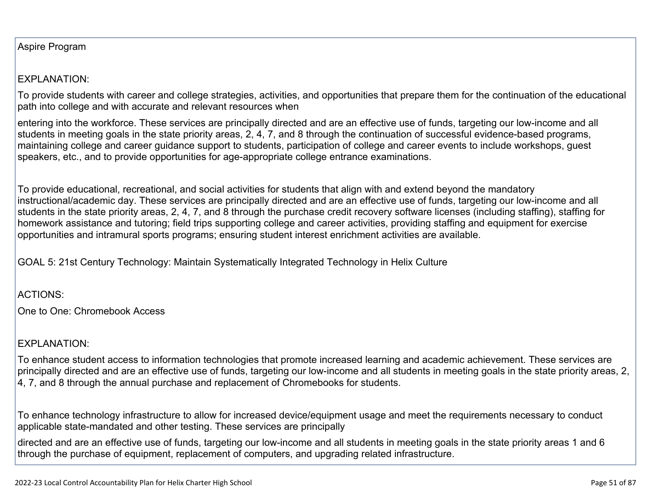### Aspire Program

### EXPLANATION:

To provide students with career and college strategies, activities, and opportunities that prepare them for the continuation of the educational path into college and with accurate and relevant resources when

entering into the workforce. These services are principally directed and are an effective use of funds, targeting our low-income and all students in meeting goals in the state priority areas, 2, 4, 7, and 8 through the continuation of successful evidence-based programs, maintaining college and career guidance support to students, participation of college and career events to include workshops, guest speakers, etc., and to provide opportunities for age-appropriate college entrance examinations.

To provide educational, recreational, and social activities for students that align with and extend beyond the mandatory instructional/academic day. These services are principally directed and are an effective use of funds, targeting our low-income and all students in the state priority areas, 2, 4, 7, and 8 through the purchase credit recovery software licenses (including staffing), staffing for homework assistance and tutoring; field trips supporting college and career activities, providing staffing and equipment for exercise opportunities and intramural sports programs; ensuring student interest enrichment activities are available.

GOAL 5: 21st Century Technology: Maintain Systematically Integrated Technology in Helix Culture

ACTIONS:

One to One: Chromebook Access

### **EXPLANATION:**

To enhance student access to information technologies that promote increased learning and academic achievement. These services are principally directed and are an effective use of funds, targeting our low-income and all students in meeting goals in the state priority areas, 2, 4, 7, and 8 through the annual purchase and replacement of Chromebooks for students.

To enhance technology infrastructure to allow for increased device/equipment usage and meet the requirements necessary to conduct applicable state-mandated and other testing. These services are principally

directed and are an effective use of funds, targeting our low-income and all students in meeting goals in the state priority areas 1 and 6 through the purchase of equipment, replacement of computers, and upgrading related infrastructure.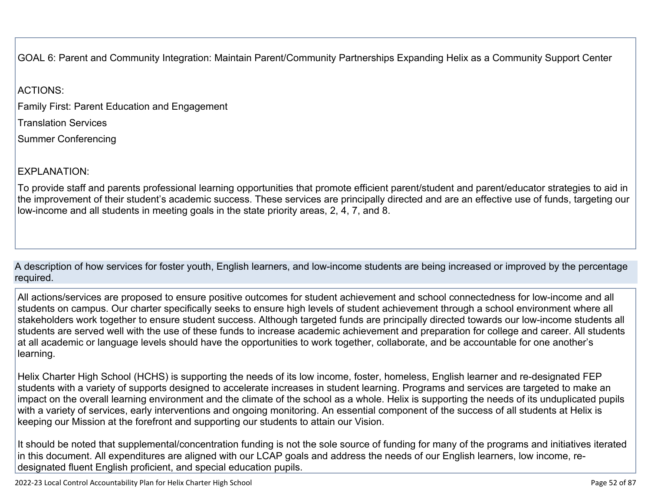GOAL 6: Parent and Community Integration: Maintain Parent/Community Partnerships Expanding Helix as a Community Support Center

ACTIONS:

Family First: Parent Education and Engagement

Translation Services

Summer Conferencing

EXPLANATION:

To provide staff and parents professional learning opportunities that promote efficient parent/student and parent/educator strategies to aid in the improvement of their student's academic success. These services are principally directed and are an effective use of funds, targeting our low-income and all students in meeting goals in the state priority areas, 2, 4, 7, and 8.

A description of how services for foster youth, English learners, and low-income students are being increased or improved by the percentage required.

All actions/services are proposed to ensure positive outcomes for student achievement and school connectedness for low-income and all students on campus. Our charter specifically seeks to ensure high levels of student achievement through a school environment where all stakeholders work together to ensure student success. Although targeted funds are principally directed towards our low-income students all students are served well with the use of these funds to increase academic achievement and preparation for college and career. All students at all academic or language levels should have the opportunities to work together, collaborate, and be accountable for one another's learning.

Helix Charter High School (HCHS) is supporting the needs of its low income, foster, homeless, English learner and re-designated FEP students with a variety of supports designed to accelerate increases in student learning. Programs and services are targeted to make an impact on the overall learning environment and the climate of the school as a whole. Helix is supporting the needs of its unduplicated pupils with a variety of services, early interventions and ongoing monitoring. An essential component of the success of all students at Helix is keeping our Mission at the forefront and supporting our students to attain our Vision.

It should be noted that supplemental/concentration funding is not the sole source of funding for many of the programs and initiatives iterated in this document. All expenditures are aligned with our LCAP goals and address the needs of our English learners, low income, redesignated fluent English proficient, and special education pupils.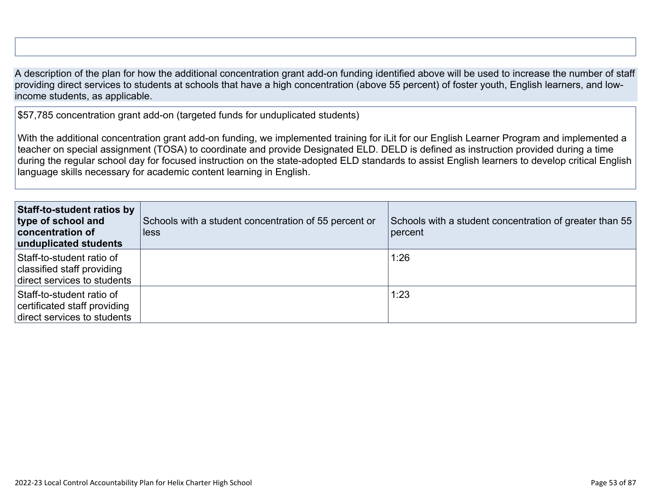A description of the plan for how the additional concentration grant add-on funding identified above will be used to increase the number of staff providing direct services to students at schools that have a high concentration (above 55 percent) of foster youth, English learners, and lowincome students, as applicable.

\$57,785 concentration grant add-on (targeted funds for unduplicated students)

With the additional concentration grant add-on funding, we implemented training for iLit for our English Learner Program and implemented a teacher on special assignment (TOSA) to coordinate and provide Designated ELD. DELD is defined as instruction provided during a time during the regular school day for focused instruction on the state-adopted ELD standards to assist English learners to develop critical English language skills necessary for academic content learning in English.

| Staff-to-student ratios by<br>type of school and<br>concentration of<br>unduplicated students | Schools with a student concentration of 55 percent or<br><b>less</b> | Schools with a student concentration of greater than 55<br>percent |
|-----------------------------------------------------------------------------------------------|----------------------------------------------------------------------|--------------------------------------------------------------------|
| Staff-to-student ratio of<br>classified staff providing<br>direct services to students        |                                                                      | 1:26                                                               |
| Staff-to-student ratio of<br>certificated staff providing<br>direct services to students      |                                                                      | 1:23                                                               |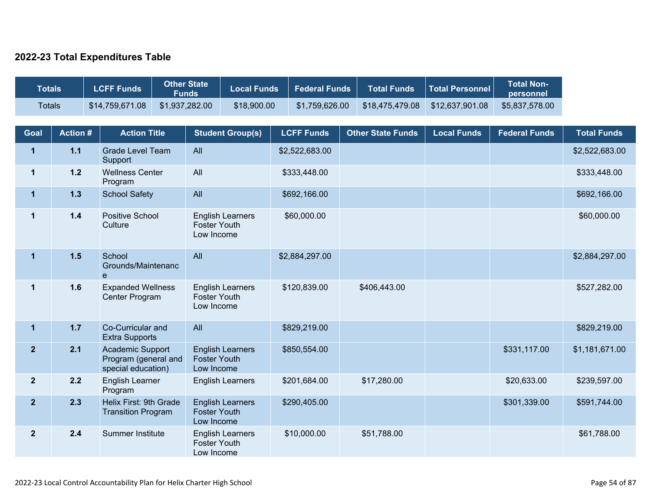### **2022-23 Total Expenditures Table**

| <b>Totals</b>  |                | <b>LCFF Funds</b>                                                     | <b>Funds</b> | <b>Other State</b>                | <b>Local Funds</b>      | <b>Federal Funds</b> | <b>Total Funds</b>       | <b>Total Personnel</b> | <b>Total Non-</b><br>personnel |                    |
|----------------|----------------|-----------------------------------------------------------------------|--------------|-----------------------------------|-------------------------|----------------------|--------------------------|------------------------|--------------------------------|--------------------|
| <b>Totals</b>  |                | \$14,759,671.08                                                       |              | \$1,937,282.00                    | \$18,900.00             | \$1,759,626.00       | \$18,475,479.08          | \$12,637,901.08        | \$5,837,578.00                 |                    |
| Goal           | <b>Action#</b> | <b>Action Title</b>                                                   |              |                                   | <b>Student Group(s)</b> | <b>LCFF Funds</b>    | <b>Other State Funds</b> | <b>Local Funds</b>     | <b>Federal Funds</b>           | <b>Total Funds</b> |
| $\mathbf{1}$   | $1.1$          | <b>Grade Level Team</b><br>Support                                    |              | All                               |                         | \$2,522,683.00       |                          |                        |                                | \$2,522,683.00     |
| $\mathbf{1}$   | $1.2$          | <b>Wellness Center</b><br>Program                                     |              | All                               |                         | \$333,448.00         |                          |                        |                                | \$333,448.00       |
| $\mathbf 1$    | $1.3$          | <b>School Safety</b>                                                  |              | All                               |                         | \$692,166.00         |                          |                        |                                | \$692,166.00       |
| $\mathbf{1}$   | $1.4$          | Positive School<br>Culture                                            |              | Foster Youth<br>Low Income        | <b>English Learners</b> | \$60,000.00          |                          |                        |                                | \$60,000.00        |
| $\mathbf 1$    | 1.5            | School<br>Grounds/Maintenanc<br>$\mathbf{e}$                          |              | All                               |                         | \$2,884,297.00       |                          |                        |                                | \$2,884,297.00     |
| $\mathbf 1$    | 1.6            | <b>Expanded Wellness</b><br>Center Program                            |              | <b>Foster Youth</b><br>Low Income | <b>English Learners</b> | \$120,839.00         | \$406,443.00             |                        |                                | \$527,282.00       |
| $\mathbf{1}$   | 1.7            | Co-Curricular and<br><b>Extra Supports</b>                            |              | All                               |                         | \$829,219.00         |                          |                        |                                | \$829,219.00       |
| $\overline{2}$ | 2.1            | <b>Academic Support</b><br>Program (general and<br>special education) |              | <b>Foster Youth</b><br>Low Income | <b>English Learners</b> | \$850,554.00         |                          |                        | \$331,117.00                   | \$1,181,671.00     |
| $\overline{2}$ | 2.2            | English Learner<br>Program                                            |              |                                   | <b>English Learners</b> | \$201,684.00         | \$17,280.00              |                        | \$20,633.00                    | \$239,597.00       |
| $\overline{2}$ | 2.3            | Helix First: 9th Grade<br><b>Transition Program</b>                   |              | <b>Foster Youth</b><br>Low Income | <b>English Learners</b> | \$290,405.00         |                          |                        | \$301,339.00                   | \$591,744.00       |
| $\overline{2}$ | 2.4            | Summer Institute                                                      |              | <b>Foster Youth</b><br>Low Income | <b>English Learners</b> | \$10,000.00          | \$51,788.00              |                        |                                | \$61,788.00        |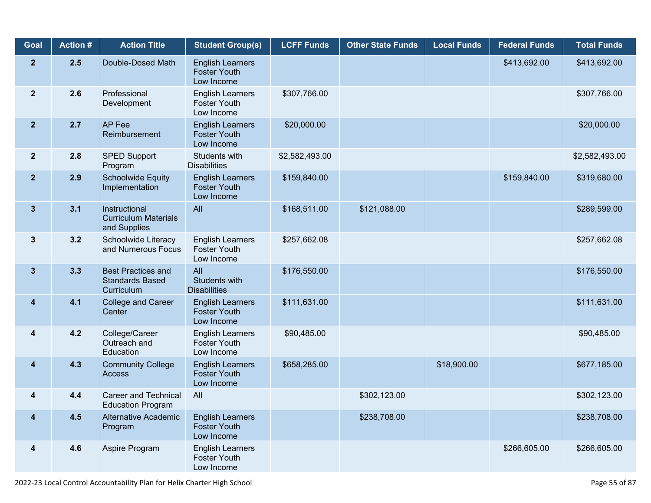| Goal                    | <b>Action#</b> | <b>Action Title</b>                                               | <b>Student Group(s)</b>                                      | <b>LCFF Funds</b> | <b>Other State Funds</b> | <b>Local Funds</b> | <b>Federal Funds</b> | <b>Total Funds</b> |
|-------------------------|----------------|-------------------------------------------------------------------|--------------------------------------------------------------|-------------------|--------------------------|--------------------|----------------------|--------------------|
| $\mathbf{2}$            | 2.5            | Double-Dosed Math                                                 | <b>English Learners</b><br><b>Foster Youth</b><br>Low Income |                   |                          |                    | \$413,692.00         | \$413,692.00       |
| $\overline{2}$          | 2.6            | Professional<br>Development                                       | <b>English Learners</b><br><b>Foster Youth</b><br>Low Income | \$307,766.00      |                          |                    |                      | \$307,766.00       |
| 2 <sup>1</sup>          | 2.7            | AP Fee<br>Reimbursement                                           | <b>English Learners</b><br><b>Foster Youth</b><br>Low Income | \$20,000.00       |                          |                    |                      | \$20,000.00        |
| $\mathbf{2}$            | 2.8            | <b>SPED Support</b><br>Program                                    | Students with<br><b>Disabilities</b>                         | \$2,582,493.00    |                          |                    |                      | \$2,582,493.00     |
| $\overline{2}$          | 2.9            | <b>Schoolwide Equity</b><br>Implementation                        | <b>English Learners</b><br><b>Foster Youth</b><br>Low Income | \$159,840.00      |                          |                    | \$159,840.00         | \$319,680.00       |
| 3 <sup>5</sup>          | 3.1            | Instructional<br><b>Curriculum Materials</b><br>and Supplies      | All                                                          | \$168,511.00      | \$121,088.00             |                    |                      | \$289,599.00       |
| $3\phantom{a}$          | 3.2            | Schoolwide Literacy<br>and Numerous Focus                         | <b>English Learners</b><br><b>Foster Youth</b><br>Low Income | \$257,662.08      |                          |                    |                      | \$257,662.08       |
| $\mathbf{3}$            | 3.3            | <b>Best Practices and</b><br><b>Standards Based</b><br>Curriculum | All<br>Students with<br><b>Disabilities</b>                  | \$176,550.00      |                          |                    |                      | \$176,550.00       |
| 4                       | 4.1            | College and Career<br>Center                                      | <b>English Learners</b><br><b>Foster Youth</b><br>Low Income | \$111,631.00      |                          |                    |                      | \$111,631.00       |
| 4                       | 4.2            | College/Career<br>Outreach and<br>Education                       | <b>English Learners</b><br><b>Foster Youth</b><br>Low Income | \$90,485.00       |                          |                    |                      | \$90,485.00        |
| $\overline{\mathbf{4}}$ | 4.3            | <b>Community College</b><br>Access                                | <b>English Learners</b><br><b>Foster Youth</b><br>Low Income | \$658,285.00      |                          | \$18,900.00        |                      | \$677,185.00       |
| 4                       | 4.4            | <b>Career and Technical</b><br><b>Education Program</b>           | All                                                          |                   | \$302,123.00             |                    |                      | \$302,123.00       |
| 4                       | 4.5            | <b>Alternative Academic</b><br>Program                            | <b>English Learners</b><br><b>Foster Youth</b><br>Low Income |                   | \$238,708.00             |                    |                      | \$238,708.00       |
| 4                       | 4.6            | Aspire Program                                                    | <b>English Learners</b><br><b>Foster Youth</b><br>Low Income |                   |                          |                    | \$266,605.00         | \$266,605.00       |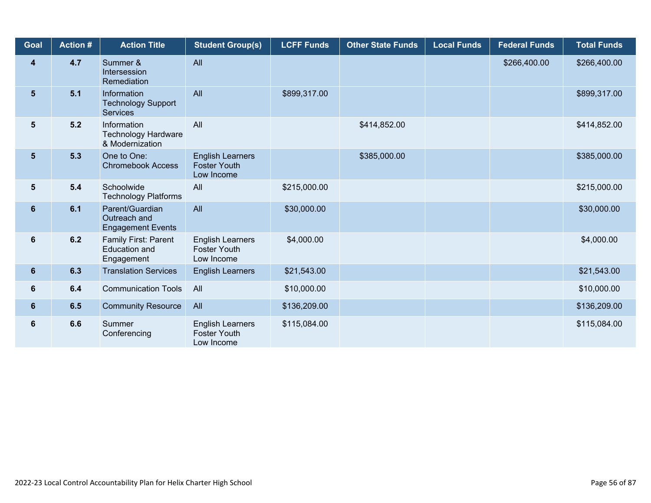| Goal           | <b>Action#</b> | <b>Action Title</b>                                          | <b>Student Group(s)</b>                                      | <b>LCFF Funds</b> | <b>Other State Funds</b> | <b>Local Funds</b> | <b>Federal Funds</b> | <b>Total Funds</b> |
|----------------|----------------|--------------------------------------------------------------|--------------------------------------------------------------|-------------------|--------------------------|--------------------|----------------------|--------------------|
| 4              | 4.7            | Summer &<br>Intersession<br>Remediation                      | All                                                          |                   |                          |                    | \$266,400.00         | \$266,400.00       |
| 5              | 5.1            | Information<br><b>Technology Support</b><br><b>Services</b>  | All                                                          | \$899,317.00      |                          |                    |                      | \$899,317.00       |
| 5              | $5.2$          | Information<br><b>Technology Hardware</b><br>& Modernization | All                                                          |                   | \$414,852.00             |                    |                      | \$414,852.00       |
| 5 <sup>5</sup> | 5.3            | One to One:<br><b>Chromebook Access</b>                      | <b>English Learners</b><br><b>Foster Youth</b><br>Low Income |                   | \$385,000.00             |                    |                      | \$385,000.00       |
| 5              | 5.4            | Schoolwide<br><b>Technology Platforms</b>                    | All                                                          | \$215,000.00      |                          |                    |                      | \$215,000.00       |
| $6\phantom{a}$ | 6.1            | Parent/Guardian<br>Outreach and<br><b>Engagement Events</b>  | All                                                          | \$30,000.00       |                          |                    |                      | \$30,000.00        |
| 6              | 6.2            | Family First: Parent<br><b>Education and</b><br>Engagement   | <b>English Learners</b><br><b>Foster Youth</b><br>Low Income | \$4,000.00        |                          |                    |                      | \$4,000.00         |
| $6\phantom{a}$ | 6.3            | <b>Translation Services</b>                                  | <b>English Learners</b>                                      | \$21,543.00       |                          |                    |                      | \$21,543.00        |
| 6              | 6.4            | <b>Communication Tools</b>                                   | All                                                          | \$10,000.00       |                          |                    |                      | \$10,000.00        |
| 6              | 6.5            | <b>Community Resource</b>                                    | All                                                          | \$136,209.00      |                          |                    |                      | \$136,209.00       |
| 6              | 6.6            | Summer<br>Conferencing                                       | <b>English Learners</b><br><b>Foster Youth</b><br>Low Income | \$115,084.00      |                          |                    |                      | \$115,084.00       |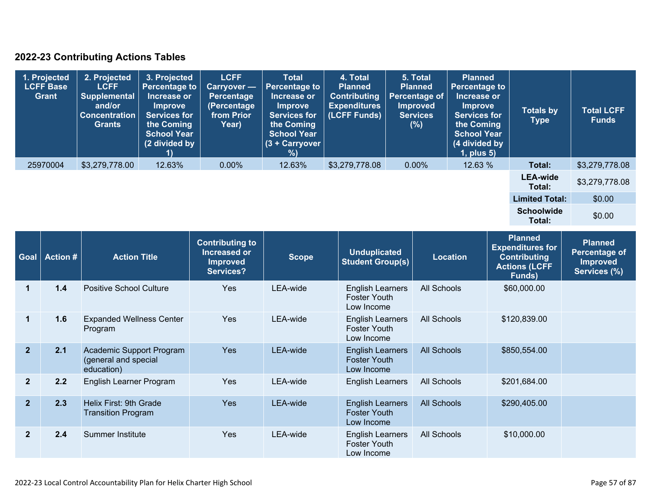## **2022-23 Contributing Actions Tables**

| 1. Projected<br><b>LCFF Base</b><br><b>Grant</b> | 2. Projected<br><b>LCFF</b><br><b>Supplemental</b><br>and/or<br><b>Concentration</b><br><b>Grants</b> | 3. Projected<br><b>Percentage to</b><br>Increase or<br><b>Improve</b><br><b>Services for</b><br>the Coming<br><b>School Year</b><br>(2 divided by | <b>LCFF</b><br>Carryover -<br><b>Percentage</b><br>(Percentage<br>from Prior<br>Year) | <b>Total</b><br><b>Percentage to</b><br>Increase or<br><b>Improve</b><br><b>Services for</b><br>the Coming<br><b>School Year</b><br>(3 + Carryover<br>%) | 4. Total<br><b>Planned</b><br><b>Contributing</b><br><b>Expenditures</b><br>(LCFF Funds) | 5. Total<br><b>Planned</b><br>Percentage of<br>Improved<br><b>Services</b><br>(%) | <b>Planned</b><br><b>Percentage to</b><br>Increase or<br><b>Improve</b><br><b>Services for</b><br>the Coming<br><b>School Year</b><br>(4 divided by<br>$1$ , plus $5$ ) | <b>Totals by</b><br><b>Type</b> | <b>Total LCFF</b><br><b>Funds</b> |
|--------------------------------------------------|-------------------------------------------------------------------------------------------------------|---------------------------------------------------------------------------------------------------------------------------------------------------|---------------------------------------------------------------------------------------|----------------------------------------------------------------------------------------------------------------------------------------------------------|------------------------------------------------------------------------------------------|-----------------------------------------------------------------------------------|-------------------------------------------------------------------------------------------------------------------------------------------------------------------------|---------------------------------|-----------------------------------|
| 25970004                                         | \$3,279,778.00                                                                                        | 12.63%                                                                                                                                            | $0.00\%$                                                                              | 12.63%                                                                                                                                                   | \$3,279,778.08                                                                           | $0.00\%$                                                                          | 12.63 %                                                                                                                                                                 | Total:                          | \$3,279,778.08                    |
|                                                  |                                                                                                       |                                                                                                                                                   |                                                                                       |                                                                                                                                                          |                                                                                          |                                                                                   |                                                                                                                                                                         | <b>LEA-wide</b><br>Total:       | \$3,279,778.08                    |
|                                                  |                                                                                                       |                                                                                                                                                   |                                                                                       |                                                                                                                                                          |                                                                                          |                                                                                   |                                                                                                                                                                         | <b>Limited Total:</b>           | \$0.00                            |
|                                                  |                                                                                                       |                                                                                                                                                   |                                                                                       |                                                                                                                                                          |                                                                                          |                                                                                   |                                                                                                                                                                         | <b>Schoolwide</b><br>Total:     | \$0.00                            |

| <b>Goal</b>    | <b>Action #</b> | <b>Action Title</b>                                            | <b>Contributing to</b><br>Increased or<br><b>Improved</b><br><b>Services?</b> | <b>Scope</b> | <b>Unduplicated</b><br><b>Student Group(s)</b>               | <b>Location</b>    | <b>Planned</b><br><b>Expenditures for</b><br><b>Contributing</b><br><b>Actions (LCFF</b><br>Funds) | <b>Planned</b><br><b>Percentage of</b><br><b>Improved</b><br>Services (%) |
|----------------|-----------------|----------------------------------------------------------------|-------------------------------------------------------------------------------|--------------|--------------------------------------------------------------|--------------------|----------------------------------------------------------------------------------------------------|---------------------------------------------------------------------------|
|                | 1.4             | <b>Positive School Culture</b>                                 | <b>Yes</b>                                                                    | LEA-wide     | <b>English Learners</b><br><b>Foster Youth</b><br>Low Income | All Schools        | \$60,000.00                                                                                        |                                                                           |
| 1              | 1.6             | <b>Expanded Wellness Center</b><br>Program                     | <b>Yes</b>                                                                    | LEA-wide     | <b>English Learners</b><br><b>Foster Youth</b><br>Low Income | All Schools        | \$120,839.00                                                                                       |                                                                           |
| $\overline{2}$ | 2.1             | Academic Support Program<br>(general and special<br>education) | <b>Yes</b>                                                                    | LEA-wide     | <b>English Learners</b><br><b>Foster Youth</b><br>Low Income | <b>All Schools</b> | \$850,554.00                                                                                       |                                                                           |
| $\overline{2}$ | 2.2             | English Learner Program                                        | Yes                                                                           | LEA-wide     | <b>English Learners</b>                                      | All Schools        | \$201,684.00                                                                                       |                                                                           |
| $\overline{2}$ | 2.3             | Helix First: 9th Grade<br><b>Transition Program</b>            | <b>Yes</b>                                                                    | LEA-wide     | <b>English Learners</b><br><b>Foster Youth</b><br>Low Income | <b>All Schools</b> | \$290,405.00                                                                                       |                                                                           |
| $\mathbf{2}$   | 2.4             | Summer Institute                                               | Yes                                                                           | LEA-wide     | <b>English Learners</b><br><b>Foster Youth</b><br>Low Income | All Schools        | \$10,000.00                                                                                        |                                                                           |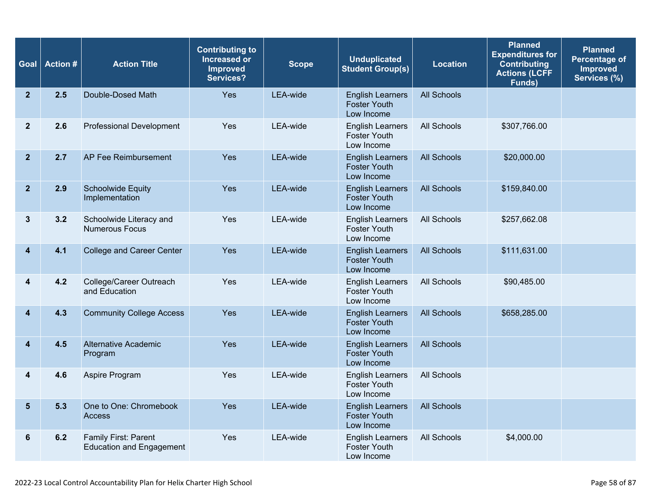| Goal                    | <b>Action#</b> | <b>Action Title</b>                                     | <b>Contributing to</b><br>Increased or<br><b>Improved</b><br><b>Services?</b> | <b>Scope</b>    | <b>Unduplicated</b><br><b>Student Group(s)</b>               | <b>Location</b>    | <b>Planned</b><br><b>Expenditures for</b><br><b>Contributing</b><br><b>Actions (LCFF</b><br>Funds) | <b>Planned</b><br>Percentage of<br>Improved<br>Services (%) |
|-------------------------|----------------|---------------------------------------------------------|-------------------------------------------------------------------------------|-----------------|--------------------------------------------------------------|--------------------|----------------------------------------------------------------------------------------------------|-------------------------------------------------------------|
| $\mathbf{2}$            | 2.5            | Double-Dosed Math                                       | Yes                                                                           | LEA-wide        | <b>English Learners</b><br><b>Foster Youth</b><br>Low Income | <b>All Schools</b> |                                                                                                    |                                                             |
| $\mathbf{2}$            | 2.6            | <b>Professional Development</b>                         | Yes                                                                           | LEA-wide        | <b>English Learners</b><br><b>Foster Youth</b><br>Low Income | All Schools        | \$307,766.00                                                                                       |                                                             |
| $\overline{2}$          | 2.7            | AP Fee Reimbursement                                    | Yes                                                                           | LEA-wide        | <b>English Learners</b><br><b>Foster Youth</b><br>Low Income | <b>All Schools</b> | \$20,000.00                                                                                        |                                                             |
| $\overline{2}$          | 2.9            | <b>Schoolwide Equity</b><br>Implementation              | Yes                                                                           | LEA-wide        | <b>English Learners</b><br><b>Foster Youth</b><br>Low Income | <b>All Schools</b> | \$159,840.00                                                                                       |                                                             |
| 3                       | 3.2            | Schoolwide Literacy and<br><b>Numerous Focus</b>        | Yes                                                                           | LEA-wide        | <b>English Learners</b><br>Foster Youth<br>Low Income        | All Schools        | \$257,662.08                                                                                       |                                                             |
| $\boldsymbol{4}$        | 4.1            | <b>College and Career Center</b>                        | Yes                                                                           | LEA-wide        | <b>English Learners</b><br><b>Foster Youth</b><br>Low Income | <b>All Schools</b> | \$111,631.00                                                                                       |                                                             |
| $\overline{\mathbf{4}}$ | 4.2            | College/Career Outreach<br>and Education                | Yes                                                                           | LEA-wide        | <b>English Learners</b><br><b>Foster Youth</b><br>Low Income | All Schools        | \$90,485.00                                                                                        |                                                             |
| $\overline{\mathbf{4}}$ | 4.3            | <b>Community College Access</b>                         | Yes                                                                           | <b>LEA-wide</b> | <b>English Learners</b><br><b>Foster Youth</b><br>Low Income | <b>All Schools</b> | \$658,285.00                                                                                       |                                                             |
| 4                       | 4.5            | <b>Alternative Academic</b><br>Program                  | Yes                                                                           | LEA-wide        | <b>English Learners</b><br><b>Foster Youth</b><br>Low Income | <b>All Schools</b> |                                                                                                    |                                                             |
| 4                       | 4.6            | Aspire Program                                          | Yes                                                                           | LEA-wide        | <b>English Learners</b><br><b>Foster Youth</b><br>Low Income | All Schools        |                                                                                                    |                                                             |
| $5\phantom{1}$          | 5.3            | One to One: Chromebook<br><b>Access</b>                 | Yes                                                                           | <b>LEA-wide</b> | <b>English Learners</b><br><b>Foster Youth</b><br>Low Income | <b>All Schools</b> |                                                                                                    |                                                             |
| $6\phantom{1}6$         | 6.2            | Family First: Parent<br><b>Education and Engagement</b> | Yes                                                                           | LEA-wide        | <b>English Learners</b><br><b>Foster Youth</b><br>Low Income | All Schools        | \$4,000.00                                                                                         |                                                             |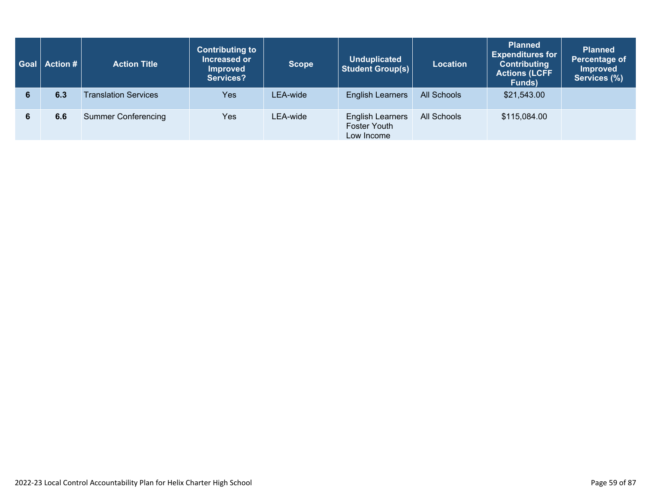|   | Goal   Action # | <b>Action Title</b>         | <b>Contributing to</b><br><b>Increased or</b><br><b>Improved</b><br><b>Services?</b> | <b>Scope</b> | <b>Unduplicated</b><br><b>Student Group(s)</b>               | <b>Location</b> | <b>Planned</b><br>Expenditures for<br><b>Contributing</b><br><b>Actions (LCFF</b><br>Funds) | <b>Planned</b><br>Percentage of<br><b>Improved</b><br>Services (%) |
|---|-----------------|-----------------------------|--------------------------------------------------------------------------------------|--------------|--------------------------------------------------------------|-----------------|---------------------------------------------------------------------------------------------|--------------------------------------------------------------------|
|   | 6.3             | <b>Translation Services</b> | <b>Yes</b>                                                                           | LEA-wide     | <b>English Learners</b>                                      | All Schools     | \$21,543.00                                                                                 |                                                                    |
| 6 | 6.6             | <b>Summer Conferencing</b>  | Yes                                                                                  | LEA-wide     | <b>English Learners</b><br><b>Foster Youth</b><br>Low Income | All Schools     | \$115,084.00                                                                                |                                                                    |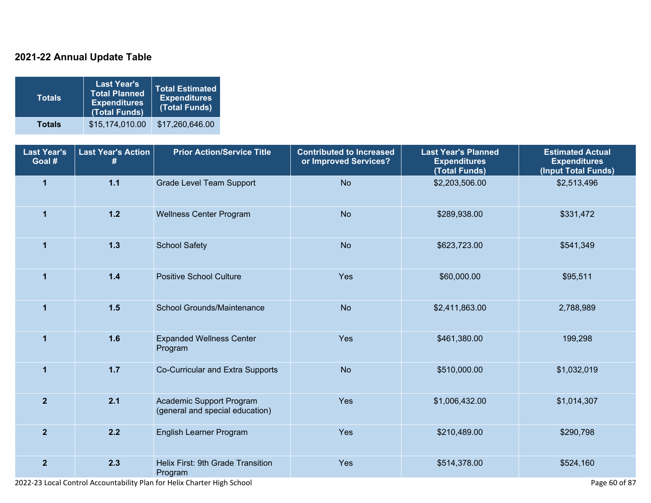## **2021-22 Annual Update Table**

| <b>Totals</b> | <b>Last Year's</b><br><b>Total Planned</b><br><b>Expenditures</b><br>(Total Funds) | Total Estimated<br><b>Expenditures</b><br>(Total Funds) |
|---------------|------------------------------------------------------------------------------------|---------------------------------------------------------|
| <b>Totals</b> | \$15,174,010.00                                                                    | \$17,260,646.00                                         |

| <b>Last Year's</b><br>Goal # | <b>Last Year's Action</b><br># | <b>Prior Action/Service Title</b>                           | <b>Contributed to Increased</b><br>or Improved Services? | <b>Last Year's Planned</b><br><b>Expenditures</b><br>(Total Funds) | <b>Estimated Actual</b><br><b>Expenditures</b><br>(Input Total Funds) |
|------------------------------|--------------------------------|-------------------------------------------------------------|----------------------------------------------------------|--------------------------------------------------------------------|-----------------------------------------------------------------------|
| $\mathbf{1}$                 | $1.1$                          | <b>Grade Level Team Support</b>                             | <b>No</b>                                                | \$2,203,506.00                                                     | \$2,513,496                                                           |
| $\blacktriangleleft$         | $1.2$                          | <b>Wellness Center Program</b>                              | <b>No</b>                                                | \$289,938.00                                                       | \$331,472                                                             |
| $\blacktriangleleft$         | $1.3$                          | <b>School Safety</b>                                        | <b>No</b>                                                | \$623,723.00                                                       | \$541,349                                                             |
| $\blacktriangleleft$         | 1.4                            | <b>Positive School Culture</b>                              | Yes                                                      | \$60,000.00                                                        | \$95,511                                                              |
| $\blacktriangleleft$         | 1.5                            | School Grounds/Maintenance                                  | <b>No</b>                                                | \$2,411,863.00                                                     | 2,788,989                                                             |
| $\blacktriangleleft$         | 1.6                            | <b>Expanded Wellness Center</b><br>Program                  | Yes                                                      | \$461,380.00                                                       | 199,298                                                               |
| $\blacktriangleleft$         | $1.7$                          | Co-Curricular and Extra Supports                            | <b>No</b>                                                | \$510,000.00                                                       | \$1,032,019                                                           |
| $\overline{2}$               | 2.1                            | Academic Support Program<br>(general and special education) | <b>Yes</b>                                               | \$1,006,432.00                                                     | \$1,014,307                                                           |
| $\overline{2}$               | 2.2                            | English Learner Program                                     | Yes                                                      | \$210,489.00                                                       | \$290,798                                                             |
| $\overline{2}$               | 2.3                            | Helix First: 9th Grade Transition<br>Program                | Yes                                                      | \$514,378.00                                                       | \$524,160                                                             |

2022-23 Local Control Accountability Plan for Helix Charter High School Page 60 of 87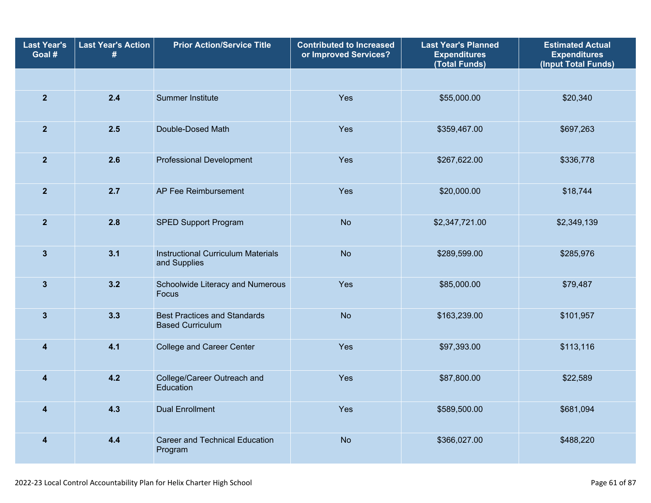| <b>Last Year's</b><br>Goal # | <b>Last Year's Action</b><br># | <b>Prior Action/Service Title</b>                              | <b>Contributed to Increased</b><br>or Improved Services? | <b>Last Year's Planned</b><br><b>Expenditures</b><br>(Total Funds) | <b>Estimated Actual</b><br><b>Expenditures</b><br>(Input Total Funds) |  |
|------------------------------|--------------------------------|----------------------------------------------------------------|----------------------------------------------------------|--------------------------------------------------------------------|-----------------------------------------------------------------------|--|
|                              |                                |                                                                |                                                          |                                                                    |                                                                       |  |
| $\overline{2}$               | 2.4                            | Summer Institute                                               |                                                          | \$55,000.00                                                        | \$20,340                                                              |  |
| $\overline{2}$               | 2.5                            | Double-Dosed Math                                              | Yes                                                      | \$359,467.00                                                       | \$697,263                                                             |  |
| $\mathbf{2}$                 | 2.6                            | <b>Professional Development</b>                                | Yes                                                      | \$267,622.00                                                       | \$336,778                                                             |  |
| $\overline{2}$               | 2.7                            | AP Fee Reimbursement                                           | Yes                                                      | \$20,000.00                                                        | \$18,744                                                              |  |
| $\overline{2}$               | 2.8                            | <b>SPED Support Program</b>                                    | <b>No</b>                                                | \$2,347,721.00                                                     | \$2,349,139                                                           |  |
| $\mathbf{3}$                 | 3.1                            | <b>Instructional Curriculum Materials</b><br>and Supplies      | <b>No</b>                                                | \$289,599.00                                                       | \$285,976                                                             |  |
| $\mathbf{3}$                 | 3.2                            | Schoolwide Literacy and Numerous<br>Focus                      | Yes                                                      | \$85,000.00                                                        | \$79,487                                                              |  |
| $\overline{\mathbf{3}}$      | 3.3                            | <b>Best Practices and Standards</b><br><b>Based Curriculum</b> | <b>No</b>                                                | \$163,239.00                                                       | \$101,957                                                             |  |
| $\overline{\mathbf{4}}$      | 4.1                            | <b>College and Career Center</b>                               | Yes                                                      | \$97,393.00                                                        | \$113,116                                                             |  |
| $\overline{\mathbf{4}}$      | 4.2                            | College/Career Outreach and<br>Education                       | Yes                                                      | \$87,800.00                                                        | \$22,589                                                              |  |
| $\overline{\mathbf{4}}$      | 4.3                            | <b>Dual Enrollment</b>                                         | Yes                                                      | \$589,500.00                                                       | \$681,094                                                             |  |
| $\overline{\mathbf{4}}$      | 4.4                            | <b>Career and Technical Education</b><br>Program               | <b>No</b>                                                | \$366,027.00                                                       | \$488,220                                                             |  |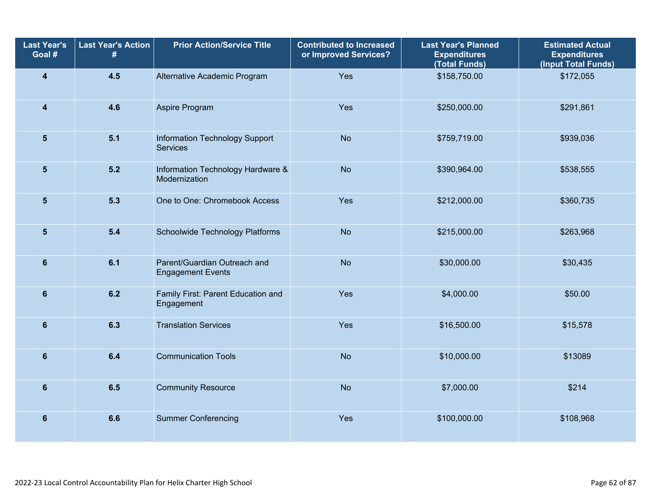| <b>Last Year's</b><br>Goal # | <b>Last Year's Action</b><br># | <b>Prior Action/Service Title</b>                        | <b>Contributed to Increased</b><br>or Improved Services? | <b>Last Year's Planned</b><br><b>Expenditures</b><br>(Total Funds) | <b>Estimated Actual</b><br><b>Expenditures</b><br>(Input Total Funds) |  |
|------------------------------|--------------------------------|----------------------------------------------------------|----------------------------------------------------------|--------------------------------------------------------------------|-----------------------------------------------------------------------|--|
| 4                            | 4.5                            | Alternative Academic Program                             | Yes                                                      | \$158,750.00                                                       | \$172,055                                                             |  |
| $\overline{\mathbf{4}}$      | 4.6                            | Aspire Program                                           | Yes                                                      | \$250,000.00                                                       | \$291,861                                                             |  |
| $5\phantom{1}$               | $5.1$                          | Information Technology Support<br>Services               | <b>No</b>                                                | \$759,719.00                                                       | \$939,036                                                             |  |
| $5\phantom{1}$               | 5.2                            | Information Technology Hardware &<br>Modernization       | <b>No</b>                                                | \$390,964.00                                                       | \$538,555                                                             |  |
| $\overline{\mathbf{5}}$      | 5.3                            | One to One: Chromebook Access                            | Yes                                                      | \$212,000.00                                                       | \$360,735                                                             |  |
| $5\phantom{1}$               | 5.4                            | Schoolwide Technology Platforms                          | <b>No</b>                                                | \$215,000.00                                                       | \$263,968                                                             |  |
| $6\phantom{1}$               | 6.1                            | Parent/Guardian Outreach and<br><b>Engagement Events</b> | <b>No</b>                                                | \$30,000.00                                                        | \$30,435                                                              |  |
| $6\phantom{1}$               | 6.2                            | Family First: Parent Education and<br>Engagement         | Yes                                                      | \$4,000.00                                                         | \$50.00                                                               |  |
| $6\phantom{1}$               | 6.3                            | <b>Translation Services</b>                              | Yes<br>\$16,500.00                                       |                                                                    | \$15,578                                                              |  |
| $6\phantom{1}$               | 6.4                            | <b>Communication Tools</b>                               | <b>No</b>                                                | \$10,000.00                                                        |                                                                       |  |
| $6\phantom{1}$               | 6.5                            | <b>Community Resource</b>                                | <b>No</b>                                                | \$7,000.00                                                         | \$214                                                                 |  |
| $6\phantom{1}$               | 6.6                            | <b>Summer Conferencing</b>                               | Yes                                                      | \$100,000.00                                                       | \$108,968                                                             |  |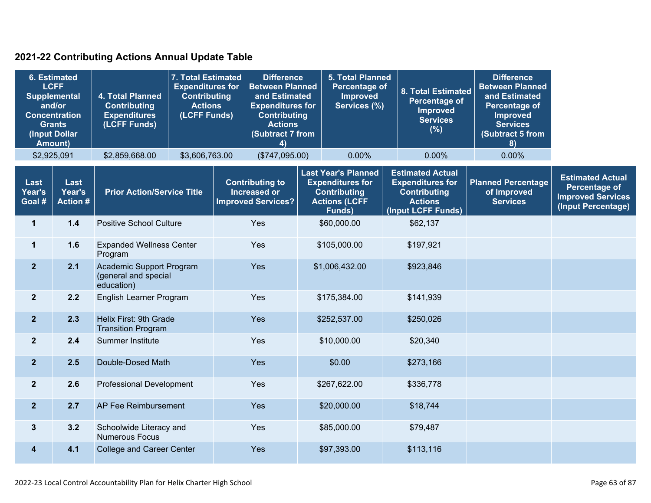## **2021-22 Contributing Actions Annual Update Table**

| <b>6. Estimated</b><br><b>LCFF</b><br><b>Supplemental</b><br>and/or<br><b>Concentration</b><br><b>Grants</b><br>(Input Dollar<br><b>Amount)</b> |                                  | 4. Total Planned<br><b>Contributing</b><br><b>Expenditures</b><br>(LCFF Funds) | 7. Total Estimated<br><b>Expenditures for</b><br><b>Contributing</b><br><b>Actions</b><br>(LCFF Funds) | <b>Difference</b><br><b>Between Planned</b><br>and Estimated<br><b>Expenditures for</b><br><b>Contributing</b><br><b>Actions</b><br>(Subtract 7 from<br>4) |  | <b>5. Total Planned</b><br><b>Percentage of</b><br><b>Improved</b><br>Services (%)                             |  | 8. Total Estimated<br><b>Percentage of</b><br><b>Improved</b><br><b>Services</b><br>(%)                           | <b>Difference</b><br><b>Between Planned</b><br>and Estimated<br><b>Percentage of</b><br><b>Improved</b><br><b>Services</b><br>(Subtract 5 from<br>8) |                                                                                            |
|-------------------------------------------------------------------------------------------------------------------------------------------------|----------------------------------|--------------------------------------------------------------------------------|--------------------------------------------------------------------------------------------------------|------------------------------------------------------------------------------------------------------------------------------------------------------------|--|----------------------------------------------------------------------------------------------------------------|--|-------------------------------------------------------------------------------------------------------------------|------------------------------------------------------------------------------------------------------------------------------------------------------|--------------------------------------------------------------------------------------------|
|                                                                                                                                                 | \$2,925,091                      | \$2,859,668.00                                                                 | \$3,606,763.00                                                                                         | (\$747,095.00)                                                                                                                                             |  | 0.00%                                                                                                          |  | 0.00%                                                                                                             | $0.00\%$                                                                                                                                             |                                                                                            |
| <b>Last</b><br>Year's<br>Goal #                                                                                                                 | Last<br>Year's<br><b>Action#</b> | <b>Prior Action/Service Title</b>                                              |                                                                                                        | <b>Contributing to</b><br><b>Increased or</b><br><b>Improved Services?</b>                                                                                 |  | <b>Last Year's Planned</b><br><b>Expenditures for</b><br><b>Contributing</b><br><b>Actions (LCFF</b><br>Funds) |  | <b>Estimated Actual</b><br><b>Expenditures for</b><br><b>Contributing</b><br><b>Actions</b><br>(Input LCFF Funds) | <b>Planned Percentage</b><br>of Improved<br><b>Services</b>                                                                                          | <b>Estimated Actual</b><br>Percentage of<br><b>Improved Services</b><br>(Input Percentage) |
| $\mathbf 1$                                                                                                                                     | 1.4                              | <b>Positive School Culture</b>                                                 |                                                                                                        | Yes                                                                                                                                                        |  | \$60,000.00                                                                                                    |  | \$62,137                                                                                                          |                                                                                                                                                      |                                                                                            |
| $\mathbf 1$                                                                                                                                     | 1.6                              | <b>Expanded Wellness Center</b><br>Program                                     |                                                                                                        | Yes                                                                                                                                                        |  | \$105,000.00                                                                                                   |  | \$197,921                                                                                                         |                                                                                                                                                      |                                                                                            |
| $\overline{2}$                                                                                                                                  | 2.1                              | Academic Support Program<br>(general and special<br>education)                 |                                                                                                        | Yes                                                                                                                                                        |  | \$1,006,432.00                                                                                                 |  | \$923,846                                                                                                         |                                                                                                                                                      |                                                                                            |
| $\mathbf{2}$                                                                                                                                    | 2.2                              | English Learner Program                                                        |                                                                                                        | Yes                                                                                                                                                        |  | \$175,384.00                                                                                                   |  | \$141,939                                                                                                         |                                                                                                                                                      |                                                                                            |
| $\overline{2}$                                                                                                                                  | 2.3                              | Helix First: 9th Grade<br><b>Transition Program</b>                            |                                                                                                        | Yes                                                                                                                                                        |  | \$252,537.00                                                                                                   |  | \$250,026                                                                                                         |                                                                                                                                                      |                                                                                            |
| $\overline{2}$                                                                                                                                  | 2.4                              | Summer Institute                                                               |                                                                                                        | Yes                                                                                                                                                        |  | \$10,000.00                                                                                                    |  | \$20,340                                                                                                          |                                                                                                                                                      |                                                                                            |
| $\overline{2}$                                                                                                                                  | 2.5                              | Double-Dosed Math                                                              |                                                                                                        | Yes                                                                                                                                                        |  | \$0.00                                                                                                         |  | \$273,166                                                                                                         |                                                                                                                                                      |                                                                                            |
| $\mathbf{2}$                                                                                                                                    | 2.6                              | <b>Professional Development</b>                                                |                                                                                                        | Yes                                                                                                                                                        |  | \$267,622.00                                                                                                   |  | \$336,778                                                                                                         |                                                                                                                                                      |                                                                                            |
| $\overline{2}$                                                                                                                                  | 2.7                              | AP Fee Reimbursement                                                           |                                                                                                        | Yes                                                                                                                                                        |  | \$20,000.00                                                                                                    |  | \$18,744                                                                                                          |                                                                                                                                                      |                                                                                            |
| 3                                                                                                                                               | 3.2                              | Schoolwide Literacy and<br><b>Numerous Focus</b>                               |                                                                                                        | Yes                                                                                                                                                        |  | \$85,000.00                                                                                                    |  | \$79,487                                                                                                          |                                                                                                                                                      |                                                                                            |
| 4                                                                                                                                               | 4.1                              | <b>College and Career Center</b>                                               |                                                                                                        | Yes                                                                                                                                                        |  | \$97,393.00                                                                                                    |  | \$113,116                                                                                                         |                                                                                                                                                      |                                                                                            |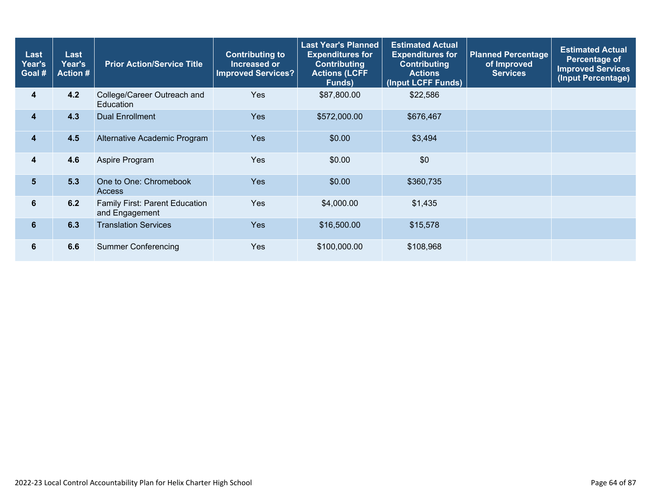| Last<br>Year's<br>Goal # | Last<br>Year's<br><b>Action #</b> | <b>Prior Action/Service Title</b>                | <b>Contributing to</b><br>Increased or<br><b>Improved Services?</b> | <b>Last Year's Planned</b><br><b>Expenditures for</b><br><b>Contributing</b><br><b>Actions (LCFF</b><br>Funds) | <b>Estimated Actual</b><br><b>Expenditures for</b><br><b>Contributing</b><br><b>Actions</b><br>(Input LCFF Funds) | <b>Planned Percentage</b><br>of Improved<br><b>Services</b> | <b>Estimated Actual</b><br>Percentage of<br><b>Improved Services</b><br>(Input Percentage) |
|--------------------------|-----------------------------------|--------------------------------------------------|---------------------------------------------------------------------|----------------------------------------------------------------------------------------------------------------|-------------------------------------------------------------------------------------------------------------------|-------------------------------------------------------------|--------------------------------------------------------------------------------------------|
| 4                        | 4.2                               | College/Career Outreach and<br>Education         | <b>Yes</b>                                                          | \$87,800.00                                                                                                    | \$22,586                                                                                                          |                                                             |                                                                                            |
| 4                        | 4.3                               | <b>Dual Enrollment</b>                           | <b>Yes</b>                                                          | \$572,000.00                                                                                                   | \$676,467                                                                                                         |                                                             |                                                                                            |
| 4                        | 4.5                               | Alternative Academic Program                     | <b>Yes</b>                                                          | \$0.00                                                                                                         | \$3,494                                                                                                           |                                                             |                                                                                            |
| 4                        | 4.6                               | Aspire Program                                   | <b>Yes</b>                                                          | \$0.00                                                                                                         | \$0                                                                                                               |                                                             |                                                                                            |
| 5 <sup>5</sup>           | 5.3                               | One to One: Chromebook<br><b>Access</b>          | <b>Yes</b>                                                          | \$0.00                                                                                                         | \$360,735                                                                                                         |                                                             |                                                                                            |
| 6                        | 6.2                               | Family First: Parent Education<br>and Engagement | <b>Yes</b>                                                          | \$4,000.00                                                                                                     | \$1,435                                                                                                           |                                                             |                                                                                            |
| 6                        | 6.3                               | <b>Translation Services</b>                      | Yes                                                                 | \$16,500.00                                                                                                    | \$15,578                                                                                                          |                                                             |                                                                                            |
| 6                        | 6.6                               | <b>Summer Conferencing</b>                       | <b>Yes</b>                                                          | \$100,000.00                                                                                                   | \$108,968                                                                                                         |                                                             |                                                                                            |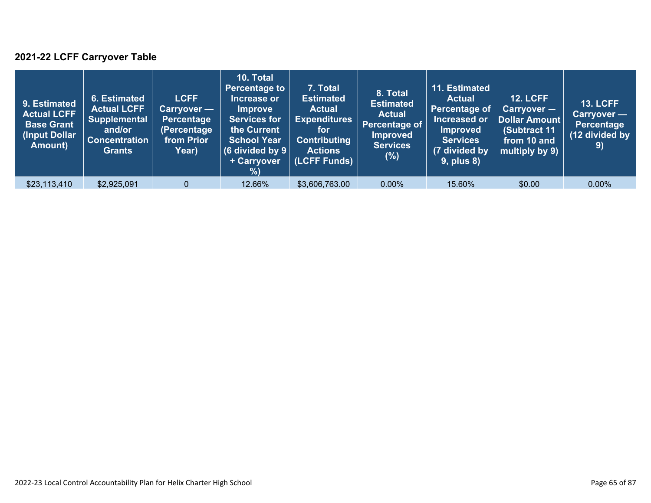## **2021-22 LCFF Carryover Table**

| 9. Estimated<br><b>Actual LCFF</b><br><b>Base Grant</b><br>(Input Dollar)<br>Amount) | 6. Estimated<br><b>Actual LCFF</b><br><b>Supplemental</b><br>and/or<br><b>Concentration</b><br><b>Grants</b> | <b>LCFF</b><br>Carryover —<br>Percentage<br>(Percentage<br>from Prior<br>Year) | 10. Total<br><b>Percentage to</b><br>Increase or<br><b>Improve</b><br><b>Services for</b><br>the Current<br><b>School Year</b><br>(6 divided by $9$ $ $<br>+ Carryover<br>% | 7. Total<br><b>Estimated</b><br><b>Actual</b><br><b>Expenditures</b><br>for<br><b>Contributing</b><br><b>Actions</b><br>(LCFF Funds) | 8. Total<br><b>Estimated</b><br><b>Actual</b><br>Percentage of<br><b>Improved</b><br><b>Services</b><br>$(\%)$ | 11. Estimated<br><b>Actual</b><br><b>Percentage of</b><br>Increased or<br><b>Improved</b><br><b>Services</b><br>(7 divided by<br><b>9, plus 8)</b> | <b>12. LCFF</b><br>$Carryover -$<br><b>Dollar Amount</b><br>(Subtract 11<br>from 10 and<br>multiply by 9) | <b>13. LCFF</b><br>Carryover —<br><b>Percentage</b><br>(12 divided by<br>$\left( 9\right)$ |
|--------------------------------------------------------------------------------------|--------------------------------------------------------------------------------------------------------------|--------------------------------------------------------------------------------|-----------------------------------------------------------------------------------------------------------------------------------------------------------------------------|--------------------------------------------------------------------------------------------------------------------------------------|----------------------------------------------------------------------------------------------------------------|----------------------------------------------------------------------------------------------------------------------------------------------------|-----------------------------------------------------------------------------------------------------------|--------------------------------------------------------------------------------------------|
| \$23,113,410                                                                         | \$2,925,091                                                                                                  | $\Omega$                                                                       | 12.66%                                                                                                                                                                      | \$3,606,763.00                                                                                                                       | $0.00\%$                                                                                                       | 15.60%                                                                                                                                             | \$0.00                                                                                                    | $0.00\%$                                                                                   |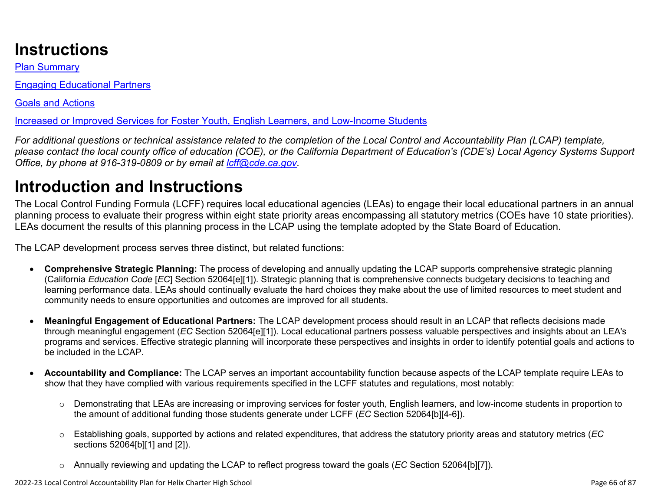# **Instructions**

Plan Summary

Engaging Educational Partners

Goals and Actions

Increased or Improved Services for Foster Youth, English Learners, and Low-Income Students

*For additional questions or technical assistance related to the completion of the Local Control and Accountability Plan (LCAP) template, please contact the local county office of education (COE), or the California Department of Education's (CDE's) Local Agency Systems Support Office, by phone at 916-319-0809 or by email at [lcff@cde.ca.gov](mailto:lcff@cde.ca.gov).*

# **Introduction and Instructions**

The Local Control Funding Formula (LCFF) requires local educational agencies (LEAs) to engage their local educational partners in an annual planning process to evaluate their progress within eight state priority areas encompassing all statutory metrics (COEs have 10 state priorities). LEAs document the results of this planning process in the LCAP using the template adopted by the State Board of Education.

The LCAP development process serves three distinct, but related functions:

- **Comprehensive Strategic Planning:** The process of developing and annually updating the LCAP supports comprehensive strategic planning (California *Education Code* [*EC*] Section 52064[e][1]). Strategic planning that is comprehensive connects budgetary decisions to teaching and learning performance data. LEAs should continually evaluate the hard choices they make about the use of limited resources to meet student and community needs to ensure opportunities and outcomes are improved for all students.
- **Meaningful Engagement of Educational Partners:** The LCAP development process should result in an LCAP that reflects decisions made through meaningful engagement (*EC* Section 52064[e][1]). Local educational partners possess valuable perspectives and insights about an LEA's programs and services. Effective strategic planning will incorporate these perspectives and insights in order to identify potential goals and actions to be included in the LCAP.
- **Accountability and Compliance:** The LCAP serves an important accountability function because aspects of the LCAP template require LEAs to show that they have complied with various requirements specified in the LCFF statutes and regulations, most notably:
	- o Demonstrating that LEAs are increasing or improving services for foster youth, English learners, and low-income students in proportion to the amount of additional funding those students generate under LCFF (*EC* Section 52064[b][4-6]).
	- o Establishing goals, supported by actions and related expenditures, that address the statutory priority areas and statutory metrics (*EC* sections 52064[b][1] and [2]).
	- o Annually reviewing and updating the LCAP to reflect progress toward the goals (*EC* Section 52064[b][7]).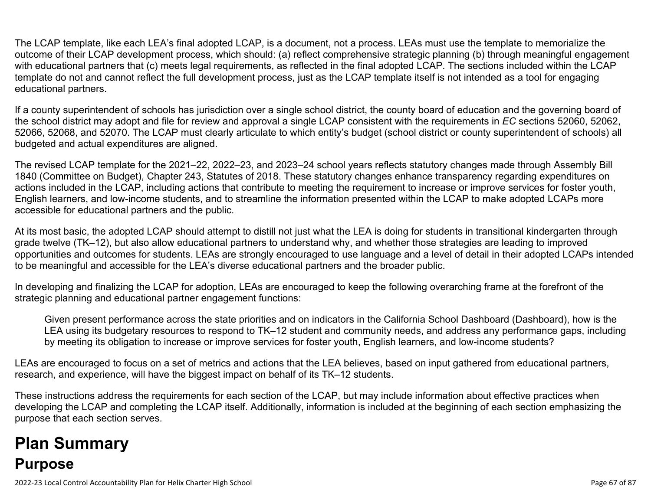The LCAP template, like each LEA's final adopted LCAP, is a document, not a process. LEAs must use the template to memorialize the outcome of their LCAP development process, which should: (a) reflect comprehensive strategic planning (b) through meaningful engagement with educational partners that (c) meets legal requirements, as reflected in the final adopted LCAP. The sections included within the LCAP template do not and cannot reflect the full development process, just as the LCAP template itself is not intended as a tool for engaging educational partners.

If a county superintendent of schools has jurisdiction over a single school district, the county board of education and the governing board of the school district may adopt and file for review and approval a single LCAP consistent with the requirements in *EC* sections 52060, 52062, 52066, 52068, and 52070. The LCAP must clearly articulate to which entity's budget (school district or county superintendent of schools) all budgeted and actual expenditures are aligned.

The revised LCAP template for the 2021–22, 2022–23, and 2023–24 school years reflects statutory changes made through Assembly Bill 1840 (Committee on Budget), Chapter 243, Statutes of 2018. These statutory changes enhance transparency regarding expenditures on actions included in the LCAP, including actions that contribute to meeting the requirement to increase or improve services for foster youth, English learners, and low-income students, and to streamline the information presented within the LCAP to make adopted LCAPs more accessible for educational partners and the public.

At its most basic, the adopted LCAP should attempt to distill not just what the LEA is doing for students in transitional kindergarten through grade twelve (TK–12), but also allow educational partners to understand why, and whether those strategies are leading to improved opportunities and outcomes for students. LEAs are strongly encouraged to use language and a level of detail in their adopted LCAPs intended to be meaningful and accessible for the LEA's diverse educational partners and the broader public.

In developing and finalizing the LCAP for adoption, LEAs are encouraged to keep the following overarching frame at the forefront of the strategic planning and educational partner engagement functions:

Given present performance across the state priorities and on indicators in the California School Dashboard (Dashboard), how is the LEA using its budgetary resources to respond to TK–12 student and community needs, and address any performance gaps, including by meeting its obligation to increase or improve services for foster youth, English learners, and low-income students?

LEAs are encouraged to focus on a set of metrics and actions that the LEA believes, based on input gathered from educational partners, research, and experience, will have the biggest impact on behalf of its TK–12 students.

These instructions address the requirements for each section of the LCAP, but may include information about effective practices when developing the LCAP and completing the LCAP itself. Additionally, information is included at the beginning of each section emphasizing the purpose that each section serves.

# **Plan Summary Purpose**

2022-23 Local Control Accountability Plan for Helix Charter High School Page 67 of 87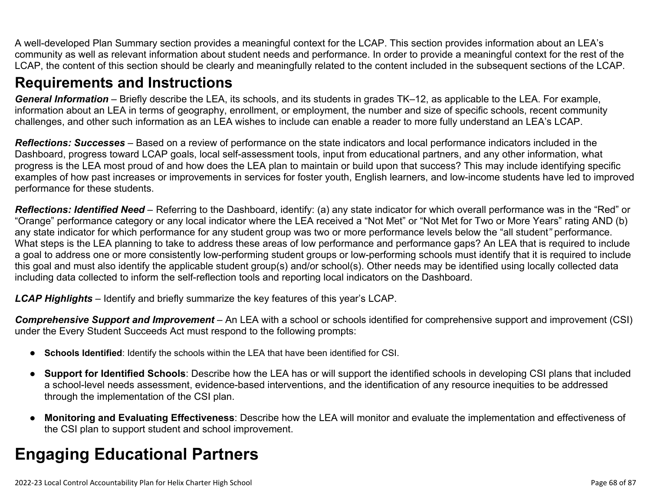A well-developed Plan Summary section provides a meaningful context for the LCAP. This section provides information about an LEA's community as well as relevant information about student needs and performance. In order to provide a meaningful context for the rest of the LCAP, the content of this section should be clearly and meaningfully related to the content included in the subsequent sections of the LCAP.

## **Requirements and Instructions**

*General Information* – Briefly describe the LEA, its schools, and its students in grades TK–12, as applicable to the LEA. For example, information about an LEA in terms of geography, enrollment, or employment, the number and size of specific schools, recent community challenges, and other such information as an LEA wishes to include can enable a reader to more fully understand an LEA's LCAP.

*Reflections: Successes* – Based on a review of performance on the state indicators and local performance indicators included in the Dashboard, progress toward LCAP goals, local self-assessment tools, input from educational partners, and any other information, what progress is the LEA most proud of and how does the LEA plan to maintain or build upon that success? This may include identifying specific examples of how past increases or improvements in services for foster youth, English learners, and low-income students have led to improved performance for these students.

*Reflections: Identified Need* – Referring to the Dashboard, identify: (a) any state indicator for which overall performance was in the "Red" or "Orange" performance category or any local indicator where the LEA received a "Not Met" or "Not Met for Two or More Years" rating AND (b) any state indicator for which performance for any student group was two or more performance levels below the "all student*"* performance. What steps is the LEA planning to take to address these areas of low performance and performance gaps? An LEA that is required to include a goal to address one or more consistently low-performing student groups or low-performing schools must identify that it is required to include this goal and must also identify the applicable student group(s) and/or school(s). Other needs may be identified using locally collected data including data collected to inform the self-reflection tools and reporting local indicators on the Dashboard.

*LCAP Highlights* – Identify and briefly summarize the key features of this year's LCAP.

*Comprehensive Support and Improvement* – An LEA with a school or schools identified for comprehensive support and improvement (CSI) under the Every Student Succeeds Act must respond to the following prompts:

- **Schools Identified**: Identify the schools within the LEA that have been identified for CSI.
- **Support for Identified Schools**: Describe how the LEA has or will support the identified schools in developing CSI plans that included a school-level needs assessment, evidence-based interventions, and the identification of any resource inequities to be addressed through the implementation of the CSI plan.
- **Monitoring and Evaluating Effectiveness**: Describe how the LEA will monitor and evaluate the implementation and effectiveness of the CSI plan to support student and school improvement.

# **Engaging Educational Partners**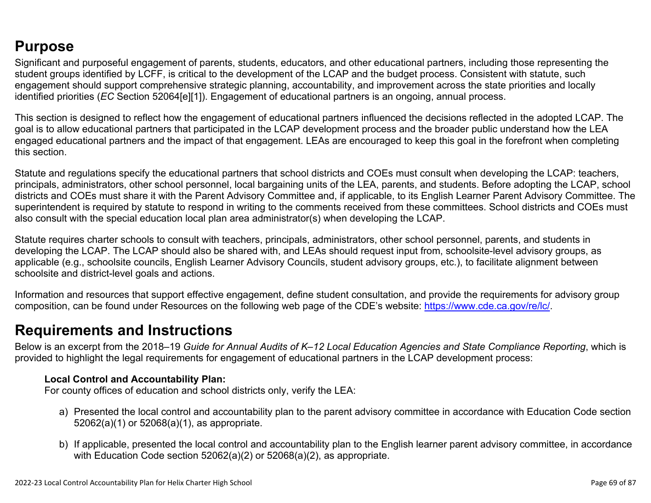## **Purpose**

Significant and purposeful engagement of parents, students, educators, and other educational partners, including those representing the student groups identified by LCFF, is critical to the development of the LCAP and the budget process. Consistent with statute, such engagement should support comprehensive strategic planning, accountability, and improvement across the state priorities and locally identified priorities (*EC* Section 52064[e][1]). Engagement of educational partners is an ongoing, annual process.

This section is designed to reflect how the engagement of educational partners influenced the decisions reflected in the adopted LCAP. The goal is to allow educational partners that participated in the LCAP development process and the broader public understand how the LEA engaged educational partners and the impact of that engagement. LEAs are encouraged to keep this goal in the forefront when completing this section.

Statute and regulations specify the educational partners that school districts and COEs must consult when developing the LCAP: teachers, principals, administrators, other school personnel, local bargaining units of the LEA, parents, and students. Before adopting the LCAP, school districts and COEs must share it with the Parent Advisory Committee and, if applicable, to its English Learner Parent Advisory Committee. The superintendent is required by statute to respond in writing to the comments received from these committees. School districts and COEs must also consult with the special education local plan area administrator(s) when developing the LCAP.

Statute requires charter schools to consult with teachers, principals, administrators, other school personnel, parents, and students in developing the LCAP. The LCAP should also be shared with, and LEAs should request input from, schoolsite-level advisory groups, as applicable (e.g., schoolsite councils, English Learner Advisory Councils, student advisory groups, etc.), to facilitate alignment between schoolsite and district-level goals and actions.

Information and resources that support effective engagement, define student consultation, and provide the requirements for advisory group composition, can be found under Resources on the following web page of the CDE's website: <https://www.cde.ca.gov/re/lc/>.

## **Requirements and Instructions**

Below is an excerpt from the 2018–19 *Guide for Annual Audits of K–12 Local Education Agencies and State Compliance Reporting*, which is provided to highlight the legal requirements for engagement of educational partners in the LCAP development process:

### **Local Control and Accountability Plan:**

For county offices of education and school districts only, verify the LEA:

- a) Presented the local control and accountability plan to the parent advisory committee in accordance with Education Code section 52062(a)(1) or 52068(a)(1), as appropriate.
- b) If applicable, presented the local control and accountability plan to the English learner parent advisory committee, in accordance with Education Code section 52062(a)(2) or 52068(a)(2), as appropriate.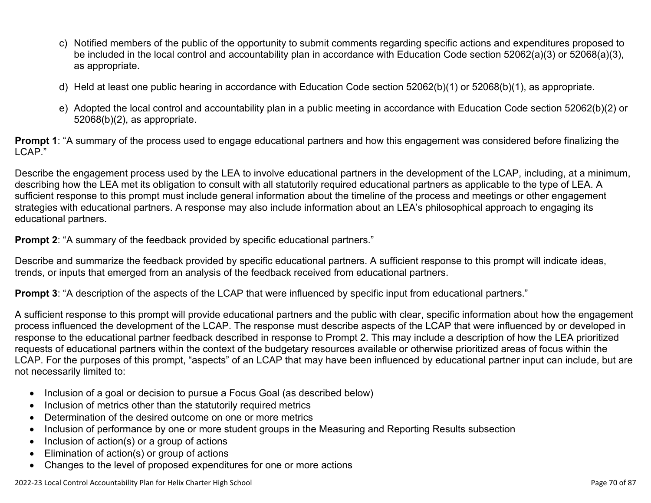- c) Notified members of the public of the opportunity to submit comments regarding specific actions and expenditures proposed to be included in the local control and accountability plan in accordance with Education Code section 52062(a)(3) or 52068(a)(3), as appropriate.
- d) Held at least one public hearing in accordance with Education Code section 52062(b)(1) or 52068(b)(1), as appropriate.
- e) Adopted the local control and accountability plan in a public meeting in accordance with Education Code section 52062(b)(2) or 52068(b)(2), as appropriate.

**Prompt 1**: "A summary of the process used to engage educational partners and how this engagement was considered before finalizing the LCAP."

Describe the engagement process used by the LEA to involve educational partners in the development of the LCAP, including, at a minimum, describing how the LEA met its obligation to consult with all statutorily required educational partners as applicable to the type of LEA. A sufficient response to this prompt must include general information about the timeline of the process and meetings or other engagement strategies with educational partners. A response may also include information about an LEA's philosophical approach to engaging its educational partners.

**Prompt 2:** "A summary of the feedback provided by specific educational partners."

Describe and summarize the feedback provided by specific educational partners. A sufficient response to this prompt will indicate ideas, trends, or inputs that emerged from an analysis of the feedback received from educational partners.

**Prompt 3**: "A description of the aspects of the LCAP that were influenced by specific input from educational partners."

A sufficient response to this prompt will provide educational partners and the public with clear, specific information about how the engagement process influenced the development of the LCAP. The response must describe aspects of the LCAP that were influenced by or developed in response to the educational partner feedback described in response to Prompt 2. This may include a description of how the LEA prioritized requests of educational partners within the context of the budgetary resources available or otherwise prioritized areas of focus within the LCAP. For the purposes of this prompt, "aspects" of an LCAP that may have been influenced by educational partner input can include, but are not necessarily limited to:

- Inclusion of a goal or decision to pursue a Focus Goal (as described below)
- Inclusion of metrics other than the statutorily required metrics
- Determination of the desired outcome on one or more metrics
- Inclusion of performance by one or more student groups in the Measuring and Reporting Results subsection
- Inclusion of action(s) or a group of actions
- Elimination of action(s) or group of actions
- Changes to the level of proposed expenditures for one or more actions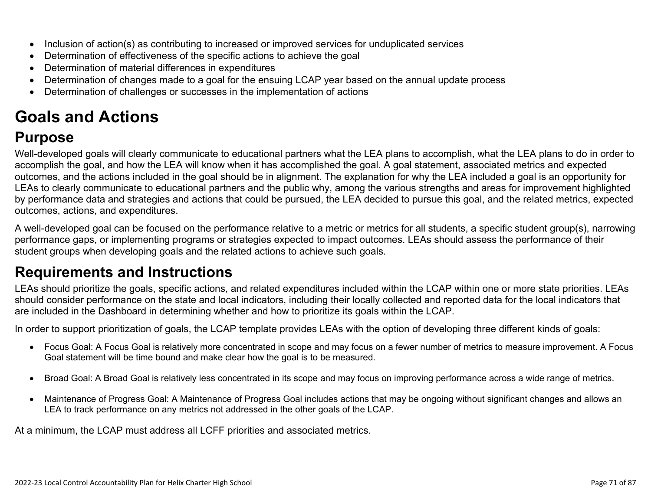- Inclusion of action(s) as contributing to increased or improved services for unduplicated services
- Determination of effectiveness of the specific actions to achieve the goal
- Determination of material differences in expenditures
- Determination of changes made to a goal for the ensuing LCAP year based on the annual update process
- Determination of challenges or successes in the implementation of actions

# **Goals and Actions**

## **Purpose**

Well-developed goals will clearly communicate to educational partners what the LEA plans to accomplish, what the LEA plans to do in order to accomplish the goal, and how the LEA will know when it has accomplished the goal. A goal statement, associated metrics and expected outcomes, and the actions included in the goal should be in alignment. The explanation for why the LEA included a goal is an opportunity for LEAs to clearly communicate to educational partners and the public why, among the various strengths and areas for improvement highlighted by performance data and strategies and actions that could be pursued, the LEA decided to pursue this goal, and the related metrics, expected outcomes, actions, and expenditures.

A well-developed goal can be focused on the performance relative to a metric or metrics for all students, a specific student group(s), narrowing performance gaps, or implementing programs or strategies expected to impact outcomes. LEAs should assess the performance of their student groups when developing goals and the related actions to achieve such goals.

## **Requirements and Instructions**

LEAs should prioritize the goals, specific actions, and related expenditures included within the LCAP within one or more state priorities. LEAs should consider performance on the state and local indicators, including their locally collected and reported data for the local indicators that are included in the Dashboard in determining whether and how to prioritize its goals within the LCAP.

In order to support prioritization of goals, the LCAP template provides LEAs with the option of developing three different kinds of goals:

- Focus Goal: A Focus Goal is relatively more concentrated in scope and may focus on a fewer number of metrics to measure improvement. A Focus Goal statement will be time bound and make clear how the goal is to be measured.
- Broad Goal: A Broad Goal is relatively less concentrated in its scope and may focus on improving performance across a wide range of metrics.
- Maintenance of Progress Goal: A Maintenance of Progress Goal includes actions that may be ongoing without significant changes and allows an LEA to track performance on any metrics not addressed in the other goals of the LCAP.

At a minimum, the LCAP must address all LCFF priorities and associated metrics.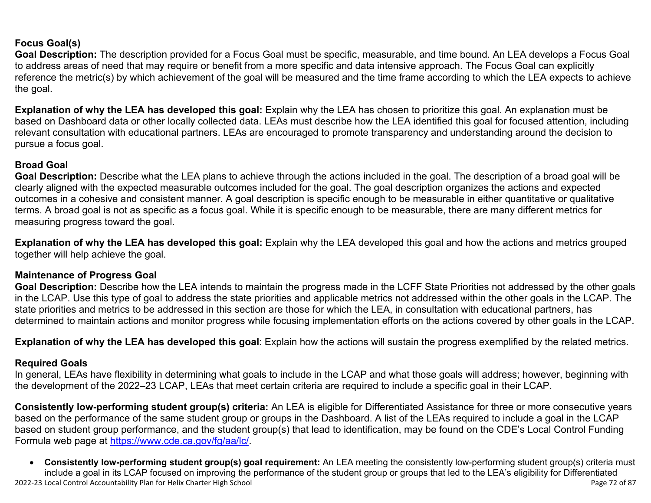### **Focus Goal(s)**

**Goal Description:** The description provided for a Focus Goal must be specific, measurable, and time bound. An LEA develops a Focus Goal to address areas of need that may require or benefit from a more specific and data intensive approach. The Focus Goal can explicitly reference the metric(s) by which achievement of the goal will be measured and the time frame according to which the LEA expects to achieve the goal.

**Explanation of why the LEA has developed this goal:** Explain why the LEA has chosen to prioritize this goal. An explanation must be based on Dashboard data or other locally collected data. LEAs must describe how the LEA identified this goal for focused attention, including relevant consultation with educational partners. LEAs are encouraged to promote transparency and understanding around the decision to pursue a focus goal.

### **Broad Goal**

Goal Description: Describe what the LEA plans to achieve through the actions included in the goal. The description of a broad goal will be clearly aligned with the expected measurable outcomes included for the goal. The goal description organizes the actions and expected outcomes in a cohesive and consistent manner. A goal description is specific enough to be measurable in either quantitative or qualitative terms. A broad goal is not as specific as a focus goal. While it is specific enough to be measurable, there are many different metrics for measuring progress toward the goal.

**Explanation of why the LEA has developed this goal:** Explain why the LEA developed this goal and how the actions and metrics grouped together will help achieve the goal.

#### **Maintenance of Progress Goal**

**Goal Description:** Describe how the LEA intends to maintain the progress made in the LCFF State Priorities not addressed by the other goals in the LCAP. Use this type of goal to address the state priorities and applicable metrics not addressed within the other goals in the LCAP. The state priorities and metrics to be addressed in this section are those for which the LEA, in consultation with educational partners, has determined to maintain actions and monitor progress while focusing implementation efforts on the actions covered by other goals in the LCAP.

**Explanation of why the LEA has developed this goal**: Explain how the actions will sustain the progress exemplified by the related metrics.

#### **Required Goals**

In general, LEAs have flexibility in determining what goals to include in the LCAP and what those goals will address; however, beginning with the development of the 2022–23 LCAP, LEAs that meet certain criteria are required to include a specific goal in their LCAP.

**Consistently low-performing student group(s) criteria:** An LEA is eligible for Differentiated Assistance for three or more consecutive years based on the performance of the same student group or groups in the Dashboard. A list of the LEAs required to include a goal in the LCAP based on student group performance, and the student group(s) that lead to identification, may be found on the CDE's Local Control Funding Formula web page at [https://www.cde.ca.gov/fg/aa/lc/.](https://www.cde.ca.gov/fg/aa/lc/)

2022-23 Local Control Accountability Plan for Helix Charter High School Page 72 of 87 • **Consistently low-performing student group(s) goal requirement:** An LEA meeting the consistently low-performing student group(s) criteria must include a goal in its LCAP focused on improving the performance of the student group or groups that led to the LEA's eligibility for Differentiated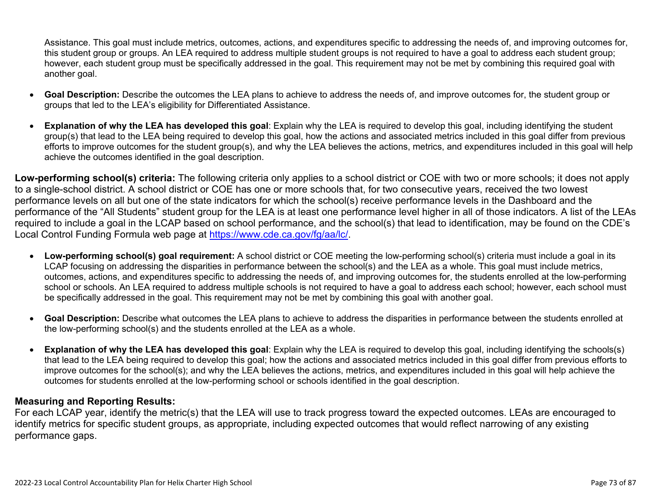Assistance. This goal must include metrics, outcomes, actions, and expenditures specific to addressing the needs of, and improving outcomes for, this student group or groups. An LEA required to address multiple student groups is not required to have a goal to address each student group; however, each student group must be specifically addressed in the goal. This requirement may not be met by combining this required goal with another goal.

- **Goal Description:** Describe the outcomes the LEA plans to achieve to address the needs of, and improve outcomes for, the student group or groups that led to the LEA's eligibility for Differentiated Assistance.
- **Explanation of why the LEA has developed this goal**: Explain why the LEA is required to develop this goal, including identifying the student group(s) that lead to the LEA being required to develop this goal, how the actions and associated metrics included in this goal differ from previous efforts to improve outcomes for the student group(s), and why the LEA believes the actions, metrics, and expenditures included in this goal will help achieve the outcomes identified in the goal description.

**Low-performing school(s) criteria:** The following criteria only applies to a school district or COE with two or more schools; it does not apply to a single-school district. A school district or COE has one or more schools that, for two consecutive years, received the two lowest performance levels on all but one of the state indicators for which the school(s) receive performance levels in the Dashboard and the performance of the "All Students" student group for the LEA is at least one performance level higher in all of those indicators. A list of the LEAs required to include a goal in the LCAP based on school performance, and the school(s) that lead to identification, may be found on the CDE's Local Control Funding Formula web page at [https://www.cde.ca.gov/fg/aa/lc/.](https://www.cde.ca.gov/fg/aa/lc/)

- **Low-performing school(s) goal requirement:** A school district or COE meeting the low-performing school(s) criteria must include a goal in its LCAP focusing on addressing the disparities in performance between the school(s) and the LEA as a whole. This goal must include metrics, outcomes, actions, and expenditures specific to addressing the needs of, and improving outcomes for, the students enrolled at the low-performing school or schools. An LEA required to address multiple schools is not required to have a goal to address each school; however, each school must be specifically addressed in the goal. This requirement may not be met by combining this goal with another goal.
- **Goal Description:** Describe what outcomes the LEA plans to achieve to address the disparities in performance between the students enrolled at the low-performing school(s) and the students enrolled at the LEA as a whole.
- **Explanation of why the LEA has developed this goal**: Explain why the LEA is required to develop this goal, including identifying the schools(s) that lead to the LEA being required to develop this goal; how the actions and associated metrics included in this goal differ from previous efforts to improve outcomes for the school(s); and why the LEA believes the actions, metrics, and expenditures included in this goal will help achieve the outcomes for students enrolled at the low-performing school or schools identified in the goal description.

## **Measuring and Reporting Results:**

For each LCAP year, identify the metric(s) that the LEA will use to track progress toward the expected outcomes. LEAs are encouraged to identify metrics for specific student groups, as appropriate, including expected outcomes that would reflect narrowing of any existing performance gaps.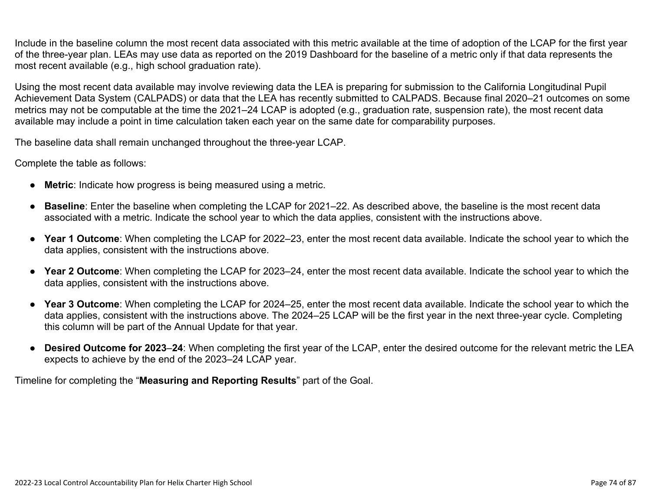Include in the baseline column the most recent data associated with this metric available at the time of adoption of the LCAP for the first year of the three-year plan. LEAs may use data as reported on the 2019 Dashboard for the baseline of a metric only if that data represents the most recent available (e.g., high school graduation rate).

Using the most recent data available may involve reviewing data the LEA is preparing for submission to the California Longitudinal Pupil Achievement Data System (CALPADS) or data that the LEA has recently submitted to CALPADS. Because final 2020–21 outcomes on some metrics may not be computable at the time the 2021–24 LCAP is adopted (e.g., graduation rate, suspension rate), the most recent data available may include a point in time calculation taken each year on the same date for comparability purposes.

The baseline data shall remain unchanged throughout the three-year LCAP.

Complete the table as follows:

- **Metric**: Indicate how progress is being measured using a metric.
- **Baseline**: Enter the baseline when completing the LCAP for 2021–22. As described above, the baseline is the most recent data associated with a metric. Indicate the school year to which the data applies, consistent with the instructions above.
- **Year 1 Outcome**: When completing the LCAP for 2022–23, enter the most recent data available. Indicate the school year to which the data applies, consistent with the instructions above.
- **Year 2 Outcome**: When completing the LCAP for 2023–24, enter the most recent data available. Indicate the school year to which the data applies, consistent with the instructions above.
- **Year 3 Outcome**: When completing the LCAP for 2024–25, enter the most recent data available. Indicate the school year to which the data applies, consistent with the instructions above. The 2024–25 LCAP will be the first year in the next three-year cycle. Completing this column will be part of the Annual Update for that year.
- **Desired Outcome for 2023**–**24**: When completing the first year of the LCAP, enter the desired outcome for the relevant metric the LEA expects to achieve by the end of the 2023–24 LCAP year.

Timeline for completing the "**Measuring and Reporting Results**" part of the Goal.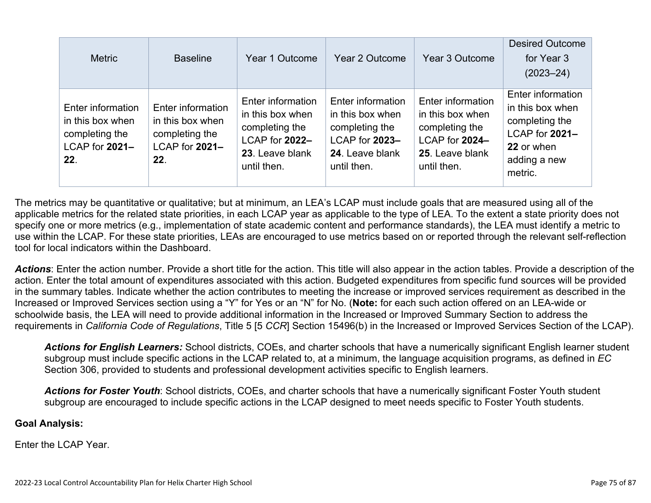| <b>Metric</b>                                                                    | <b>Baseline</b>                                                                  | Year 1 Outcome                                                                                              | Year 2 Outcome                                                                                              | Year 3 Outcome                                                                                              | <b>Desired Outcome</b><br>for Year 3<br>$(2023 - 24)$                                                              |
|----------------------------------------------------------------------------------|----------------------------------------------------------------------------------|-------------------------------------------------------------------------------------------------------------|-------------------------------------------------------------------------------------------------------------|-------------------------------------------------------------------------------------------------------------|--------------------------------------------------------------------------------------------------------------------|
| Enter information<br>in this box when<br>completing the<br>LCAP for 2021-<br>22. | Enter information<br>in this box when<br>completing the<br>LCAP for 2021-<br>22. | Enter information<br>in this box when<br>completing the<br>LCAP for 2022-<br>23. Leave blank<br>until then. | Enter information<br>in this box when<br>completing the<br>LCAP for 2023-<br>24. Leave blank<br>until then. | Enter information<br>in this box when<br>completing the<br>LCAP for 2024-<br>25. Leave blank<br>until then. | Enter information<br>in this box when<br>completing the<br>LCAP for 2021-<br>22 or when<br>adding a new<br>metric. |

The metrics may be quantitative or qualitative; but at minimum, an LEA's LCAP must include goals that are measured using all of the applicable metrics for the related state priorities, in each LCAP year as applicable to the type of LEA. To the extent a state priority does not specify one or more metrics (e.g., implementation of state academic content and performance standards), the LEA must identify a metric to use within the LCAP. For these state priorities, LEAs are encouraged to use metrics based on or reported through the relevant self-reflection tool for local indicators within the Dashboard.

*Actions*: Enter the action number. Provide a short title for the action. This title will also appear in the action tables. Provide a description of the action. Enter the total amount of expenditures associated with this action. Budgeted expenditures from specific fund sources will be provided in the summary tables. Indicate whether the action contributes to meeting the increase or improved services requirement as described in the Increased or Improved Services section using a "Y" for Yes or an "N" for No. (**Note:** for each such action offered on an LEA-wide or schoolwide basis, the LEA will need to provide additional information in the Increased or Improved Summary Section to address the requirements in *California Code of Regulations*, Title 5 [5 *CCR*] Section 15496(b) in the Increased or Improved Services Section of the LCAP).

*Actions for English Learners:* School districts, COEs, and charter schools that have a numerically significant English learner student subgroup must include specific actions in the LCAP related to, at a minimum, the language acquisition programs, as defined in *EC* Section 306, provided to students and professional development activities specific to English learners.

*Actions for Foster Youth*: School districts, COEs, and charter schools that have a numerically significant Foster Youth student subgroup are encouraged to include specific actions in the LCAP designed to meet needs specific to Foster Youth students.

### **Goal Analysis:**

Enter the LCAP Year.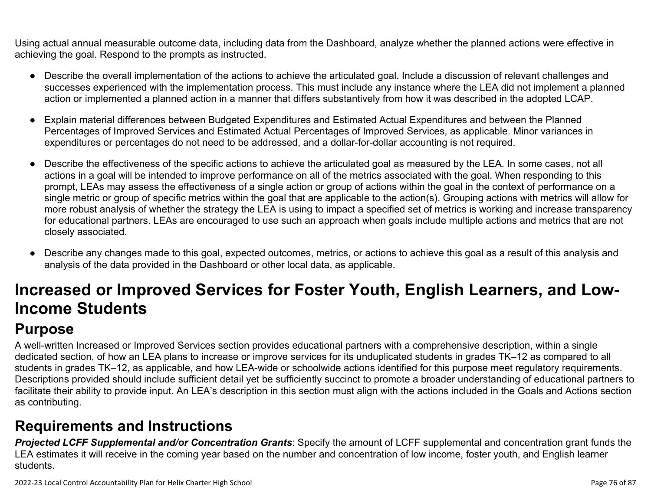Using actual annual measurable outcome data, including data from the Dashboard, analyze whether the planned actions were effective in achieving the goal. Respond to the prompts as instructed.

- Describe the overall implementation of the actions to achieve the articulated goal. Include a discussion of relevant challenges and successes experienced with the implementation process. This must include any instance where the LEA did not implement a planned action or implemented a planned action in a manner that differs substantively from how it was described in the adopted LCAP.
- Explain material differences between Budgeted Expenditures and Estimated Actual Expenditures and between the Planned Percentages of Improved Services and Estimated Actual Percentages of Improved Services, as applicable. Minor variances in expenditures or percentages do not need to be addressed, and a dollar-for-dollar accounting is not required.
- Describe the effectiveness of the specific actions to achieve the articulated goal as measured by the LEA. In some cases, not all actions in a goal will be intended to improve performance on all of the metrics associated with the goal. When responding to this prompt, LEAs may assess the effectiveness of a single action or group of actions within the goal in the context of performance on a single metric or group of specific metrics within the goal that are applicable to the action(s). Grouping actions with metrics will allow for more robust analysis of whether the strategy the LEA is using to impact a specified set of metrics is working and increase transparency for educational partners. LEAs are encouraged to use such an approach when goals include multiple actions and metrics that are not closely associated.
- Describe any changes made to this goal, expected outcomes, metrics, or actions to achieve this goal as a result of this analysis and analysis of the data provided in the Dashboard or other local data, as applicable.

# **Increased or Improved Services for Foster Youth, English Learners, and Low-Income Students**

# **Purpose**

A well-written Increased or Improved Services section provides educational partners with a comprehensive description, within a single dedicated section, of how an LEA plans to increase or improve services for its unduplicated students in grades TK–12 as compared to all students in grades TK–12, as applicable, and how LEA-wide or schoolwide actions identified for this purpose meet regulatory requirements. Descriptions provided should include sufficient detail yet be sufficiently succinct to promote a broader understanding of educational partners to facilitate their ability to provide input. An LEA's description in this section must align with the actions included in the Goals and Actions section as contributing.

## **Requirements and Instructions**

*Projected LCFF Supplemental and/or Concentration Grants*: Specify the amount of LCFF supplemental and concentration grant funds the LEA estimates it will receive in the coming year based on the number and concentration of low income, foster youth, and English learner students.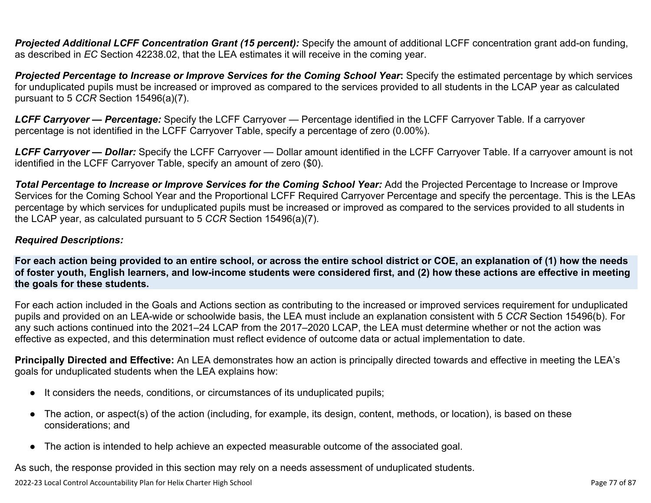**Projected Additional LCFF Concentration Grant (15 percent):** Specify the amount of additional LCFF concentration grant add-on funding, as described in *EC* Section 42238.02, that the LEA estimates it will receive in the coming year.

*Projected Percentage to Increase or Improve Services for the Coming School Year***:** Specify the estimated percentage by which services for unduplicated pupils must be increased or improved as compared to the services provided to all students in the LCAP year as calculated pursuant to 5 *CCR* Section 15496(a)(7).

*LCFF Carryover — Percentage:* Specify the LCFF Carryover — Percentage identified in the LCFF Carryover Table. If a carryover percentage is not identified in the LCFF Carryover Table, specify a percentage of zero (0.00%).

*LCFF Carryover — Dollar:* Specify the LCFF Carryover — Dollar amount identified in the LCFF Carryover Table. If a carryover amount is not identified in the LCFF Carryover Table, specify an amount of zero (\$0).

**Total Percentage to Increase or Improve Services for the Coming School Year:** Add the Projected Percentage to Increase or Improve Services for the Coming School Year and the Proportional LCFF Required Carryover Percentage and specify the percentage. This is the LEAs percentage by which services for unduplicated pupils must be increased or improved as compared to the services provided to all students in the LCAP year, as calculated pursuant to 5 *CCR* Section 15496(a)(7).

### *Required Descriptions:*

**For each action being provided to an entire school, or across the entire school district or COE, an explanation of (1) how the needs of foster youth, English learners, and low-income students were considered first, and (2) how these actions are effective in meeting the goals for these students.**

For each action included in the Goals and Actions section as contributing to the increased or improved services requirement for unduplicated pupils and provided on an LEA-wide or schoolwide basis, the LEA must include an explanation consistent with 5 *CCR* Section 15496(b). For any such actions continued into the 2021–24 LCAP from the 2017–2020 LCAP, the LEA must determine whether or not the action was effective as expected, and this determination must reflect evidence of outcome data or actual implementation to date.

**Principally Directed and Effective:** An LEA demonstrates how an action is principally directed towards and effective in meeting the LEA's goals for unduplicated students when the LEA explains how:

- It considers the needs, conditions, or circumstances of its unduplicated pupils;
- The action, or aspect(s) of the action (including, for example, its design, content, methods, or location), is based on these considerations; and
- The action is intended to help achieve an expected measurable outcome of the associated goal.

As such, the response provided in this section may rely on a needs assessment of unduplicated students.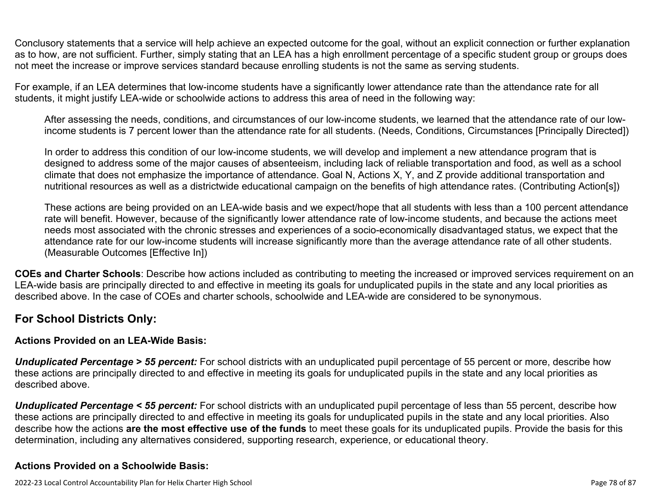Conclusory statements that a service will help achieve an expected outcome for the goal, without an explicit connection or further explanation as to how, are not sufficient. Further, simply stating that an LEA has a high enrollment percentage of a specific student group or groups does not meet the increase or improve services standard because enrolling students is not the same as serving students.

For example, if an LEA determines that low-income students have a significantly lower attendance rate than the attendance rate for all students, it might justify LEA-wide or schoolwide actions to address this area of need in the following way:

After assessing the needs, conditions, and circumstances of our low-income students, we learned that the attendance rate of our lowincome students is 7 percent lower than the attendance rate for all students. (Needs, Conditions, Circumstances [Principally Directed])

In order to address this condition of our low-income students, we will develop and implement a new attendance program that is designed to address some of the major causes of absenteeism, including lack of reliable transportation and food, as well as a school climate that does not emphasize the importance of attendance. Goal N, Actions X, Y, and Z provide additional transportation and nutritional resources as well as a districtwide educational campaign on the benefits of high attendance rates. (Contributing Action[s])

These actions are being provided on an LEA-wide basis and we expect/hope that all students with less than a 100 percent attendance rate will benefit. However, because of the significantly lower attendance rate of low-income students, and because the actions meet needs most associated with the chronic stresses and experiences of a socio-economically disadvantaged status, we expect that the attendance rate for our low-income students will increase significantly more than the average attendance rate of all other students. (Measurable Outcomes [Effective In])

**COEs and Charter Schools**: Describe how actions included as contributing to meeting the increased or improved services requirement on an LEA-wide basis are principally directed to and effective in meeting its goals for unduplicated pupils in the state and any local priorities as described above. In the case of COEs and charter schools, schoolwide and LEA-wide are considered to be synonymous.

## **For School Districts Only:**

## **Actions Provided on an LEA-Wide Basis:**

*Unduplicated Percentage > 55 percent:* For school districts with an unduplicated pupil percentage of 55 percent or more, describe how these actions are principally directed to and effective in meeting its goals for unduplicated pupils in the state and any local priorities as described above.

*Unduplicated Percentage < 55 percent:* For school districts with an unduplicated pupil percentage of less than 55 percent, describe how these actions are principally directed to and effective in meeting its goals for unduplicated pupils in the state and any local priorities. Also describe how the actions **are the most effective use of the funds** to meet these goals for its unduplicated pupils. Provide the basis for this determination, including any alternatives considered, supporting research, experience, or educational theory.

## **Actions Provided on a Schoolwide Basis:**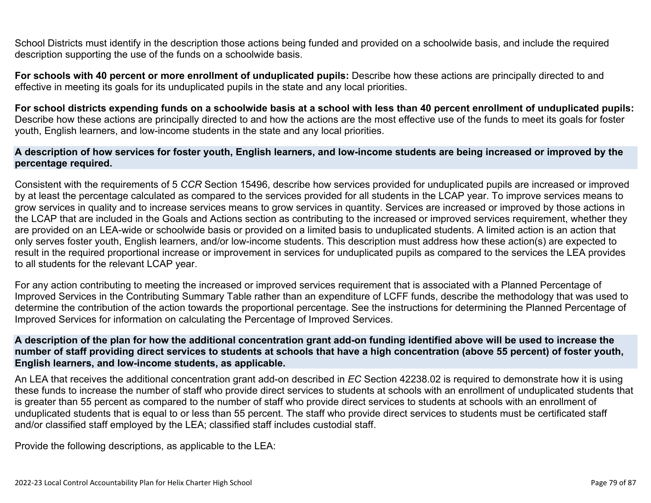School Districts must identify in the description those actions being funded and provided on a schoolwide basis, and include the required description supporting the use of the funds on a schoolwide basis.

**For schools with 40 percent or more enrollment of unduplicated pupils:** Describe how these actions are principally directed to and effective in meeting its goals for its unduplicated pupils in the state and any local priorities.

**For school districts expending funds on a schoolwide basis at a school with less than 40 percent enrollment of unduplicated pupils:** Describe how these actions are principally directed to and how the actions are the most effective use of the funds to meet its goals for foster youth, English learners, and low-income students in the state and any local priorities.

### **A description of how services for foster youth, English learners, and low-income students are being increased or improved by the percentage required.**

Consistent with the requirements of 5 *CCR* Section 15496, describe how services provided for unduplicated pupils are increased or improved by at least the percentage calculated as compared to the services provided for all students in the LCAP year. To improve services means to grow services in quality and to increase services means to grow services in quantity. Services are increased or improved by those actions in the LCAP that are included in the Goals and Actions section as contributing to the increased or improved services requirement, whether they are provided on an LEA-wide or schoolwide basis or provided on a limited basis to unduplicated students. A limited action is an action that only serves foster youth, English learners, and/or low-income students. This description must address how these action(s) are expected to result in the required proportional increase or improvement in services for unduplicated pupils as compared to the services the LEA provides to all students for the relevant LCAP year.

For any action contributing to meeting the increased or improved services requirement that is associated with a Planned Percentage of Improved Services in the Contributing Summary Table rather than an expenditure of LCFF funds, describe the methodology that was used to determine the contribution of the action towards the proportional percentage. See the instructions for determining the Planned Percentage of Improved Services for information on calculating the Percentage of Improved Services.

### **A description of the plan for how the additional concentration grant add-on funding identified above will be used to increase the number of staff providing direct services to students at schools that have a high concentration (above 55 percent) of foster youth, English learners, and low-income students, as applicable.**

An LEA that receives the additional concentration grant add-on described in *EC* Section 42238.02 is required to demonstrate how it is using these funds to increase the number of staff who provide direct services to students at schools with an enrollment of unduplicated students that is greater than 55 percent as compared to the number of staff who provide direct services to students at schools with an enrollment of unduplicated students that is equal to or less than 55 percent. The staff who provide direct services to students must be certificated staff and/or classified staff employed by the LEA; classified staff includes custodial staff.

Provide the following descriptions, as applicable to the LEA: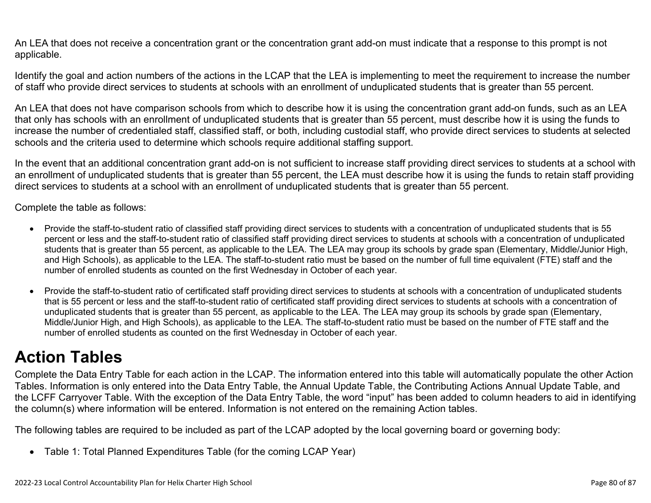An LEA that does not receive a concentration grant or the concentration grant add-on must indicate that a response to this prompt is not applicable.

Identify the goal and action numbers of the actions in the LCAP that the LEA is implementing to meet the requirement to increase the number of staff who provide direct services to students at schools with an enrollment of unduplicated students that is greater than 55 percent.

An LEA that does not have comparison schools from which to describe how it is using the concentration grant add-on funds, such as an LEA that only has schools with an enrollment of unduplicated students that is greater than 55 percent, must describe how it is using the funds to increase the number of credentialed staff, classified staff, or both, including custodial staff, who provide direct services to students at selected schools and the criteria used to determine which schools require additional staffing support.

In the event that an additional concentration grant add-on is not sufficient to increase staff providing direct services to students at a school with an enrollment of unduplicated students that is greater than 55 percent, the LEA must describe how it is using the funds to retain staff providing direct services to students at a school with an enrollment of unduplicated students that is greater than 55 percent.

Complete the table as follows:

- Provide the staff-to-student ratio of classified staff providing direct services to students with a concentration of unduplicated students that is 55 percent or less and the staff-to-student ratio of classified staff providing direct services to students at schools with a concentration of unduplicated students that is greater than 55 percent, as applicable to the LEA. The LEA may group its schools by grade span (Elementary, Middle/Junior High, and High Schools), as applicable to the LEA. The staff-to-student ratio must be based on the number of full time equivalent (FTE) staff and the number of enrolled students as counted on the first Wednesday in October of each year.
- Provide the staff-to-student ratio of certificated staff providing direct services to students at schools with a concentration of unduplicated students that is 55 percent or less and the staff-to-student ratio of certificated staff providing direct services to students at schools with a concentration of unduplicated students that is greater than 55 percent, as applicable to the LEA. The LEA may group its schools by grade span (Elementary, Middle/Junior High, and High Schools), as applicable to the LEA. The staff-to-student ratio must be based on the number of FTE staff and the number of enrolled students as counted on the first Wednesday in October of each year.

# **Action Tables**

Complete the Data Entry Table for each action in the LCAP. The information entered into this table will automatically populate the other Action Tables. Information is only entered into the Data Entry Table, the Annual Update Table, the Contributing Actions Annual Update Table, and the LCFF Carryover Table. With the exception of the Data Entry Table, the word "input" has been added to column headers to aid in identifying the column(s) where information will be entered. Information is not entered on the remaining Action tables.

The following tables are required to be included as part of the LCAP adopted by the local governing board or governing body:

• Table 1: Total Planned Expenditures Table (for the coming LCAP Year)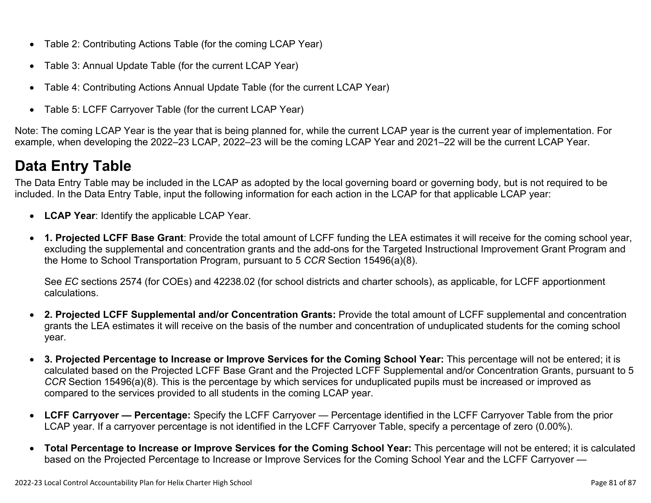- Table 2: Contributing Actions Table (for the coming LCAP Year)
- Table 3: Annual Update Table (for the current LCAP Year)
- Table 4: Contributing Actions Annual Update Table (for the current LCAP Year)
- Table 5: LCFF Carryover Table (for the current LCAP Year)

Note: The coming LCAP Year is the year that is being planned for, while the current LCAP year is the current year of implementation. For example, when developing the 2022–23 LCAP, 2022–23 will be the coming LCAP Year and 2021–22 will be the current LCAP Year.

# **Data Entry Table**

The Data Entry Table may be included in the LCAP as adopted by the local governing board or governing body, but is not required to be included. In the Data Entry Table, input the following information for each action in the LCAP for that applicable LCAP year:

- **LCAP Year**: Identify the applicable LCAP Year.
- **1. Projected LCFF Base Grant**: Provide the total amount of LCFF funding the LEA estimates it will receive for the coming school year, excluding the supplemental and concentration grants and the add-ons for the Targeted Instructional Improvement Grant Program and the Home to School Transportation Program, pursuant to 5 *CCR* Section 15496(a)(8).

See *EC* sections 2574 (for COEs) and 42238.02 (for school districts and charter schools), as applicable, for LCFF apportionment calculations.

- **2. Projected LCFF Supplemental and/or Concentration Grants:** Provide the total amount of LCFF supplemental and concentration grants the LEA estimates it will receive on the basis of the number and concentration of unduplicated students for the coming school year.
- **3. Projected Percentage to Increase or Improve Services for the Coming School Year:** This percentage will not be entered; it is calculated based on the Projected LCFF Base Grant and the Projected LCFF Supplemental and/or Concentration Grants, pursuant to 5 *CCR* Section 15496(a)(8). This is the percentage by which services for unduplicated pupils must be increased or improved as compared to the services provided to all students in the coming LCAP year.
- **LCFF Carryover Percentage:** Specify the LCFF Carryover Percentage identified in the LCFF Carryover Table from the prior LCAP year. If a carryover percentage is not identified in the LCFF Carryover Table, specify a percentage of zero (0.00%).
- **Total Percentage to Increase or Improve Services for the Coming School Year:** This percentage will not be entered; it is calculated based on the Projected Percentage to Increase or Improve Services for the Coming School Year and the LCFF Carryover —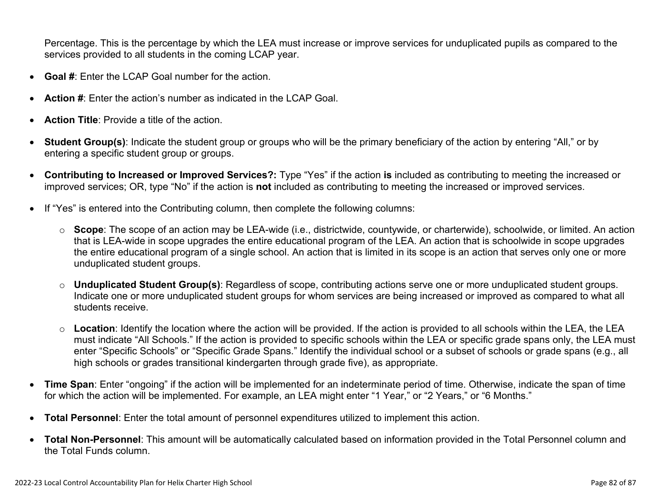Percentage. This is the percentage by which the LEA must increase or improve services for unduplicated pupils as compared to the services provided to all students in the coming LCAP year.

- **Goal #**: Enter the LCAP Goal number for the action.
- **Action #**: Enter the action's number as indicated in the LCAP Goal.
- **Action Title**: Provide a title of the action.
- **Student Group(s)**: Indicate the student group or groups who will be the primary beneficiary of the action by entering "All," or by entering a specific student group or groups.
- **Contributing to Increased or Improved Services?:** Type "Yes" if the action **is** included as contributing to meeting the increased or improved services; OR, type "No" if the action is **not** included as contributing to meeting the increased or improved services.
- If "Yes" is entered into the Contributing column, then complete the following columns:
	- o **Scope**: The scope of an action may be LEA-wide (i.e., districtwide, countywide, or charterwide), schoolwide, or limited. An action that is LEA-wide in scope upgrades the entire educational program of the LEA. An action that is schoolwide in scope upgrades the entire educational program of a single school. An action that is limited in its scope is an action that serves only one or more unduplicated student groups.
	- o **Unduplicated Student Group(s)**: Regardless of scope, contributing actions serve one or more unduplicated student groups. Indicate one or more unduplicated student groups for whom services are being increased or improved as compared to what all students receive.
	- o **Location**: Identify the location where the action will be provided. If the action is provided to all schools within the LEA, the LEA must indicate "All Schools." If the action is provided to specific schools within the LEA or specific grade spans only, the LEA must enter "Specific Schools" or "Specific Grade Spans." Identify the individual school or a subset of schools or grade spans (e.g., all high schools or grades transitional kindergarten through grade five), as appropriate.
- **Time Span**: Enter "ongoing" if the action will be implemented for an indeterminate period of time. Otherwise, indicate the span of time for which the action will be implemented. For example, an LEA might enter "1 Year," or "2 Years," or "6 Months."
- **Total Personnel**: Enter the total amount of personnel expenditures utilized to implement this action.
- **Total Non-Personnel**: This amount will be automatically calculated based on information provided in the Total Personnel column and the Total Funds column.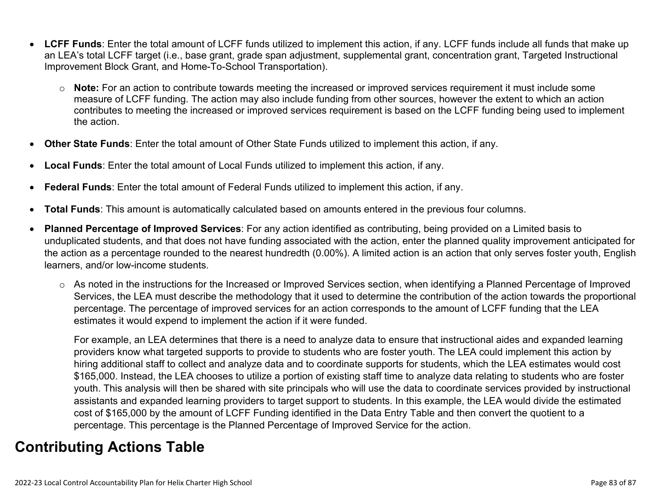- **LCFF Funds**: Enter the total amount of LCFF funds utilized to implement this action, if any. LCFF funds include all funds that make up an LEA's total LCFF target (i.e., base grant, grade span adjustment, supplemental grant, concentration grant, Targeted Instructional Improvement Block Grant, and Home-To-School Transportation).
	- o **Note:** For an action to contribute towards meeting the increased or improved services requirement it must include some measure of LCFF funding. The action may also include funding from other sources, however the extent to which an action contributes to meeting the increased or improved services requirement is based on the LCFF funding being used to implement the action.
- **Other State Funds**: Enter the total amount of Other State Funds utilized to implement this action, if any.
- **Local Funds**: Enter the total amount of Local Funds utilized to implement this action, if any.
- **Federal Funds**: Enter the total amount of Federal Funds utilized to implement this action, if any.
- **Total Funds**: This amount is automatically calculated based on amounts entered in the previous four columns.
- **Planned Percentage of Improved Services**: For any action identified as contributing, being provided on a Limited basis to unduplicated students, and that does not have funding associated with the action, enter the planned quality improvement anticipated for the action as a percentage rounded to the nearest hundredth (0.00%). A limited action is an action that only serves foster youth, English learners, and/or low-income students.
	- o As noted in the instructions for the Increased or Improved Services section, when identifying a Planned Percentage of Improved Services, the LEA must describe the methodology that it used to determine the contribution of the action towards the proportional percentage. The percentage of improved services for an action corresponds to the amount of LCFF funding that the LEA estimates it would expend to implement the action if it were funded.

For example, an LEA determines that there is a need to analyze data to ensure that instructional aides and expanded learning providers know what targeted supports to provide to students who are foster youth. The LEA could implement this action by hiring additional staff to collect and analyze data and to coordinate supports for students, which the LEA estimates would cost \$165,000. Instead, the LEA chooses to utilize a portion of existing staff time to analyze data relating to students who are foster youth. This analysis will then be shared with site principals who will use the data to coordinate services provided by instructional assistants and expanded learning providers to target support to students. In this example, the LEA would divide the estimated cost of \$165,000 by the amount of LCFF Funding identified in the Data Entry Table and then convert the quotient to a percentage. This percentage is the Planned Percentage of Improved Service for the action.

## **Contributing Actions Table**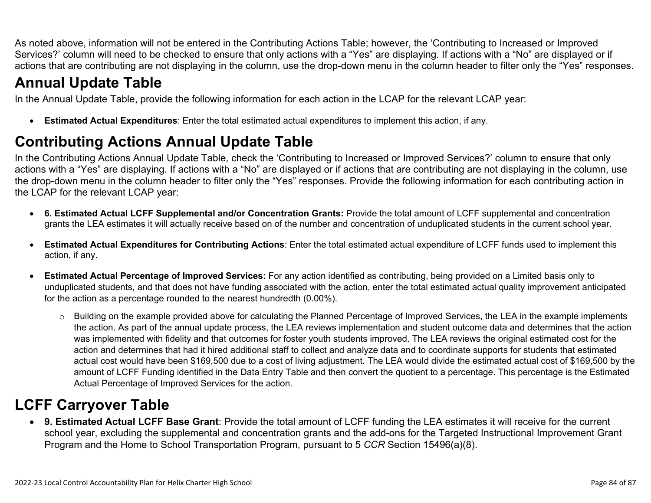As noted above, information will not be entered in the Contributing Actions Table; however, the 'Contributing to Increased or Improved Services?' column will need to be checked to ensure that only actions with a "Yes" are displaying. If actions with a "No" are displayed or if actions that are contributing are not displaying in the column, use the drop-down menu in the column header to filter only the "Yes" responses.

# **Annual Update Table**

In the Annual Update Table, provide the following information for each action in the LCAP for the relevant LCAP year:

• **Estimated Actual Expenditures**: Enter the total estimated actual expenditures to implement this action, if any.

# **Contributing Actions Annual Update Table**

In the Contributing Actions Annual Update Table, check the 'Contributing to Increased or Improved Services?' column to ensure that only actions with a "Yes" are displaying. If actions with a "No" are displayed or if actions that are contributing are not displaying in the column, use the drop-down menu in the column header to filter only the "Yes" responses. Provide the following information for each contributing action in the LCAP for the relevant LCAP year:

- **6. Estimated Actual LCFF Supplemental and/or Concentration Grants:** Provide the total amount of LCFF supplemental and concentration grants the LEA estimates it will actually receive based on of the number and concentration of unduplicated students in the current school year.
- **Estimated Actual Expenditures for Contributing Actions**: Enter the total estimated actual expenditure of LCFF funds used to implement this action, if any.
- **Estimated Actual Percentage of Improved Services:** For any action identified as contributing, being provided on a Limited basis only to unduplicated students, and that does not have funding associated with the action, enter the total estimated actual quality improvement anticipated for the action as a percentage rounded to the nearest hundredth (0.00%).
	- o Building on the example provided above for calculating the Planned Percentage of Improved Services, the LEA in the example implements the action. As part of the annual update process, the LEA reviews implementation and student outcome data and determines that the action was implemented with fidelity and that outcomes for foster youth students improved. The LEA reviews the original estimated cost for the action and determines that had it hired additional staff to collect and analyze data and to coordinate supports for students that estimated actual cost would have been \$169,500 due to a cost of living adjustment. The LEA would divide the estimated actual cost of \$169,500 by the amount of LCFF Funding identified in the Data Entry Table and then convert the quotient to a percentage. This percentage is the Estimated Actual Percentage of Improved Services for the action.

# **LCFF Carryover Table**

• **9. Estimated Actual LCFF Base Grant**: Provide the total amount of LCFF funding the LEA estimates it will receive for the current school year, excluding the supplemental and concentration grants and the add-ons for the Targeted Instructional Improvement Grant Program and the Home to School Transportation Program, pursuant to 5 *CCR* Section 15496(a)(8).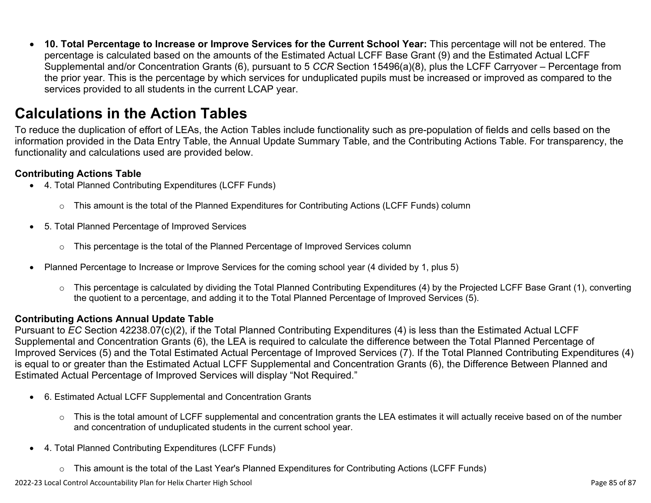• **10. Total Percentage to Increase or Improve Services for the Current School Year:** This percentage will not be entered. The percentage is calculated based on the amounts of the Estimated Actual LCFF Base Grant (9) and the Estimated Actual LCFF Supplemental and/or Concentration Grants (6), pursuant to 5 *CCR* Section 15496(a)(8), plus the LCFF Carryover – Percentage from the prior year. This is the percentage by which services for unduplicated pupils must be increased or improved as compared to the services provided to all students in the current LCAP year.

## **Calculations in the Action Tables**

To reduce the duplication of effort of LEAs, the Action Tables include functionality such as pre-population of fields and cells based on the information provided in the Data Entry Table, the Annual Update Summary Table, and the Contributing Actions Table. For transparency, the functionality and calculations used are provided below.

### **Contributing Actions Table**

- 4. Total Planned Contributing Expenditures (LCFF Funds)
	- $\circ$  This amount is the total of the Planned Expenditures for Contributing Actions (LCFF Funds) column
- 5. Total Planned Percentage of Improved Services
	- $\circ$  This percentage is the total of the Planned Percentage of Improved Services column
- Planned Percentage to Increase or Improve Services for the coming school year (4 divided by 1, plus 5)
	- o This percentage is calculated by dividing the Total Planned Contributing Expenditures (4) by the Projected LCFF Base Grant (1), converting the quotient to a percentage, and adding it to the Total Planned Percentage of Improved Services (5).

## **Contributing Actions Annual Update Table**

Pursuant to *EC* Section 42238.07(c)(2), if the Total Planned Contributing Expenditures (4) is less than the Estimated Actual LCFF Supplemental and Concentration Grants (6), the LEA is required to calculate the difference between the Total Planned Percentage of Improved Services (5) and the Total Estimated Actual Percentage of Improved Services (7). If the Total Planned Contributing Expenditures (4) is equal to or greater than the Estimated Actual LCFF Supplemental and Concentration Grants (6), the Difference Between Planned and Estimated Actual Percentage of Improved Services will display "Not Required."

- 6. Estimated Actual LCFF Supplemental and Concentration Grants
	- o This is the total amount of LCFF supplemental and concentration grants the LEA estimates it will actually receive based on of the number and concentration of unduplicated students in the current school year.
- 4. Total Planned Contributing Expenditures (LCFF Funds)
	- $\circ$  This amount is the total of the Last Year's Planned Expenditures for Contributing Actions (LCFF Funds)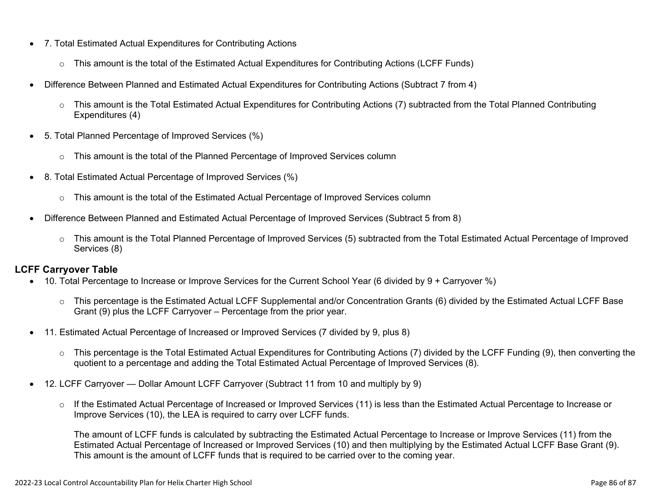- 7. Total Estimated Actual Expenditures for Contributing Actions
	- o This amount is the total of the Estimated Actual Expenditures for Contributing Actions (LCFF Funds)
- Difference Between Planned and Estimated Actual Expenditures for Contributing Actions (Subtract 7 from 4)
	- $\circ$  This amount is the Total Estimated Actual Expenditures for Contributing Actions (7) subtracted from the Total Planned Contributing Expenditures (4)
- 5. Total Planned Percentage of Improved Services (%)
	- $\circ$  This amount is the total of the Planned Percentage of Improved Services column
- 8. Total Estimated Actual Percentage of Improved Services (%)
	- o This amount is the total of the Estimated Actual Percentage of Improved Services column
- Difference Between Planned and Estimated Actual Percentage of Improved Services (Subtract 5 from 8)
	- o This amount is the Total Planned Percentage of Improved Services (5) subtracted from the Total Estimated Actual Percentage of Improved Services (8)

## **LCFF Carryover Table**

- 10. Total Percentage to Increase or Improve Services for the Current School Year (6 divided by 9 + Carryover %)
	- $\circ$  This percentage is the Estimated Actual LCFF Supplemental and/or Concentration Grants (6) divided by the Estimated Actual LCFF Base Grant (9) plus the LCFF Carryover – Percentage from the prior year.
- 11. Estimated Actual Percentage of Increased or Improved Services (7 divided by 9, plus 8)
	- o This percentage is the Total Estimated Actual Expenditures for Contributing Actions (7) divided by the LCFF Funding (9), then converting the quotient to a percentage and adding the Total Estimated Actual Percentage of Improved Services (8).
- 12. LCFF Carryover Dollar Amount LCFF Carryover (Subtract 11 from 10 and multiply by 9)
	- $\circ$  If the Estimated Actual Percentage of Increased or Improved Services (11) is less than the Estimated Actual Percentage to Increase or Improve Services (10), the LEA is required to carry over LCFF funds.

The amount of LCFF funds is calculated by subtracting the Estimated Actual Percentage to Increase or Improve Services (11) from the Estimated Actual Percentage of Increased or Improved Services (10) and then multiplying by the Estimated Actual LCFF Base Grant (9). This amount is the amount of LCFF funds that is required to be carried over to the coming year.